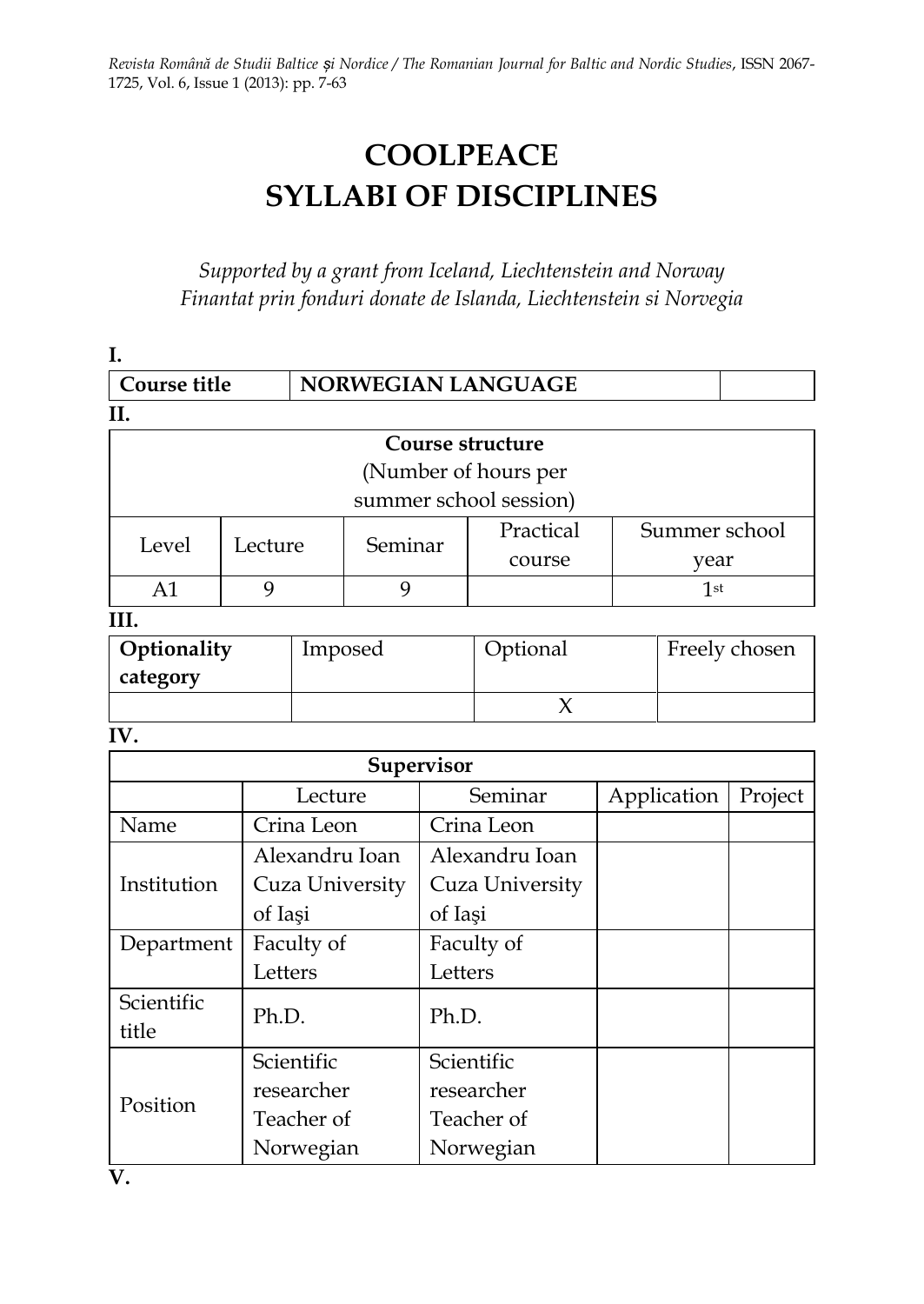# **COOLPEACE SYLLABI OF DISCIPLINES**

*Supported by a grant from Iceland, Liechtenstein and Norway Finantat prin fonduri donate de Islanda, Liechtenstein si Norvegia*

| I.             |                      |                    |         |            |                        |               |                 |               |
|----------------|----------------------|--------------------|---------|------------|------------------------|---------------|-----------------|---------------|
| Course title   |                      |                    |         |            | NORWEGIAN LANGUAGE     |               |                 |               |
| II.            |                      |                    |         |            |                        |               |                 |               |
|                | Course structure     |                    |         |            |                        |               |                 |               |
|                | (Number of hours per |                    |         |            |                        |               |                 |               |
|                |                      |                    |         |            | summer school session) |               |                 |               |
| Level          |                      | Seminar<br>Lecture |         | Practical  |                        | Summer school |                 |               |
|                |                      |                    |         |            | course                 | year          |                 |               |
| A1             | 9                    |                    | 9       |            |                        |               | 1 <sup>st</sup> |               |
| III.           |                      |                    |         |            |                        |               |                 |               |
| Optionality    |                      |                    | Imposed |            | Optional               |               |                 | Freely chosen |
| category       |                      |                    |         |            |                        |               |                 |               |
| $\chi$         |                      |                    |         |            |                        |               |                 |               |
| IV.            |                      |                    |         |            |                        |               |                 |               |
|                |                      |                    |         | Supervisor |                        |               |                 |               |
| Lecture        |                      |                    |         |            | Seminar                |               | Application     | Project       |
| Name           |                      | Crina Leon         |         |            | Crina Leon             |               |                 |               |
|                |                      | Alexandru Ioan     |         |            | Alexandru Ioan         |               |                 |               |
| Institution    |                      | Cuza University    |         |            | Cuza University        |               |                 |               |
|                |                      | of Iași            |         | of Iaşi    |                        |               |                 |               |
| Department     |                      | Faculty of         |         | Faculty of |                        |               |                 |               |
| Letters        |                      | Letters            |         |            |                        |               |                 |               |
| Scientific     |                      |                    | Ph.D.   |            |                        |               |                 |               |
| Ph.D.<br>title |                      |                    |         |            |                        |               |                 |               |
|                |                      | Scientific         |         | Scientific |                        |               |                 |               |
| Position       |                      | researcher         |         |            | researcher             |               |                 |               |
|                |                      | Teacher of         |         |            | Teacher of             |               |                 |               |
|                |                      | Norwegian          |         |            | Norwegian              |               |                 |               |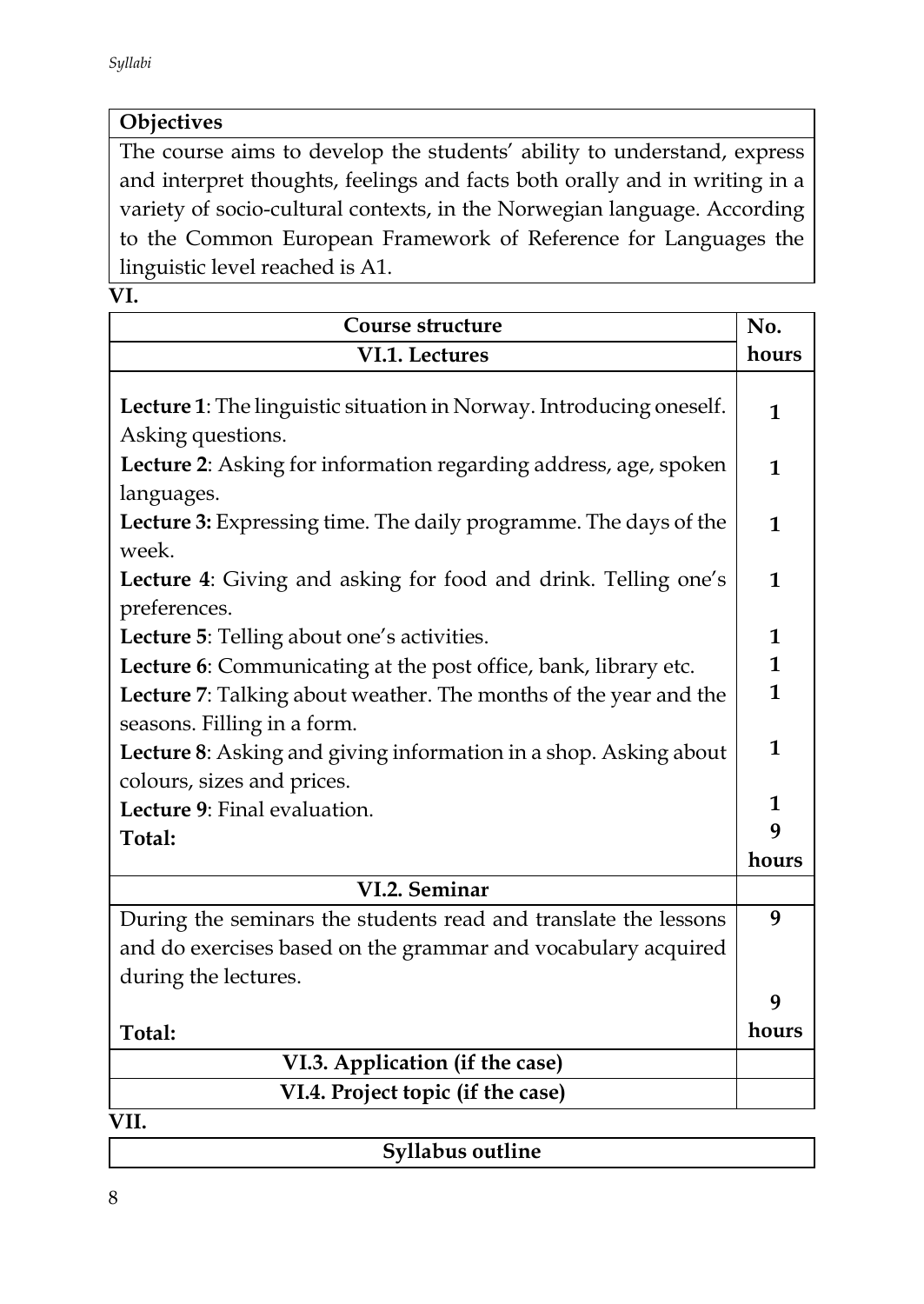# **Objectives**

The course aims to develop the students' ability to understand, express and interpret thoughts, feelings and facts both orally and in writing in a variety of socio-cultural contexts, in the Norwegian language. According to the Common European Framework of Reference for Languages the linguistic level reached is A1.

**VI.** 

| Course structure                                                                         | No.          |  |  |
|------------------------------------------------------------------------------------------|--------------|--|--|
| VI.1. Lectures                                                                           | hours        |  |  |
| Lecture 1: The linguistic situation in Norway. Introducing oneself.<br>Asking questions. | $\mathbf{1}$ |  |  |
| Lecture 2: Asking for information regarding address, age, spoken                         |              |  |  |
| languages.                                                                               |              |  |  |
| Lecture 3: Expressing time. The daily programme. The days of the<br>week.                | $\mathbf{1}$ |  |  |
| Lecture 4: Giving and asking for food and drink. Telling one's<br>preferences.           | 1            |  |  |
| Lecture 5: Telling about one's activities.                                               | 1            |  |  |
| Lecture 6: Communicating at the post office, bank, library etc.                          | $\mathbf{1}$ |  |  |
| Lecture 7: Talking about weather. The months of the year and the                         | 1            |  |  |
| seasons. Filling in a form.                                                              |              |  |  |
| Lecture 8: Asking and giving information in a shop. Asking about                         |              |  |  |
| colours, sizes and prices.                                                               | 1            |  |  |
| Lecture 9: Final evaluation.                                                             |              |  |  |
| Total:                                                                                   | q            |  |  |
|                                                                                          | hours        |  |  |
| VI.2. Seminar                                                                            |              |  |  |
| During the seminars the students read and translate the lessons                          | 9            |  |  |
| and do exercises based on the grammar and vocabulary acquired                            |              |  |  |
| during the lectures.                                                                     |              |  |  |
|                                                                                          | 9            |  |  |
| Total:                                                                                   | hours        |  |  |
| VI.3. Application (if the case)                                                          |              |  |  |
| VI.4. Project topic (if the case)                                                        |              |  |  |

**VII.** 

| Syllabus outline |
|------------------|
|                  |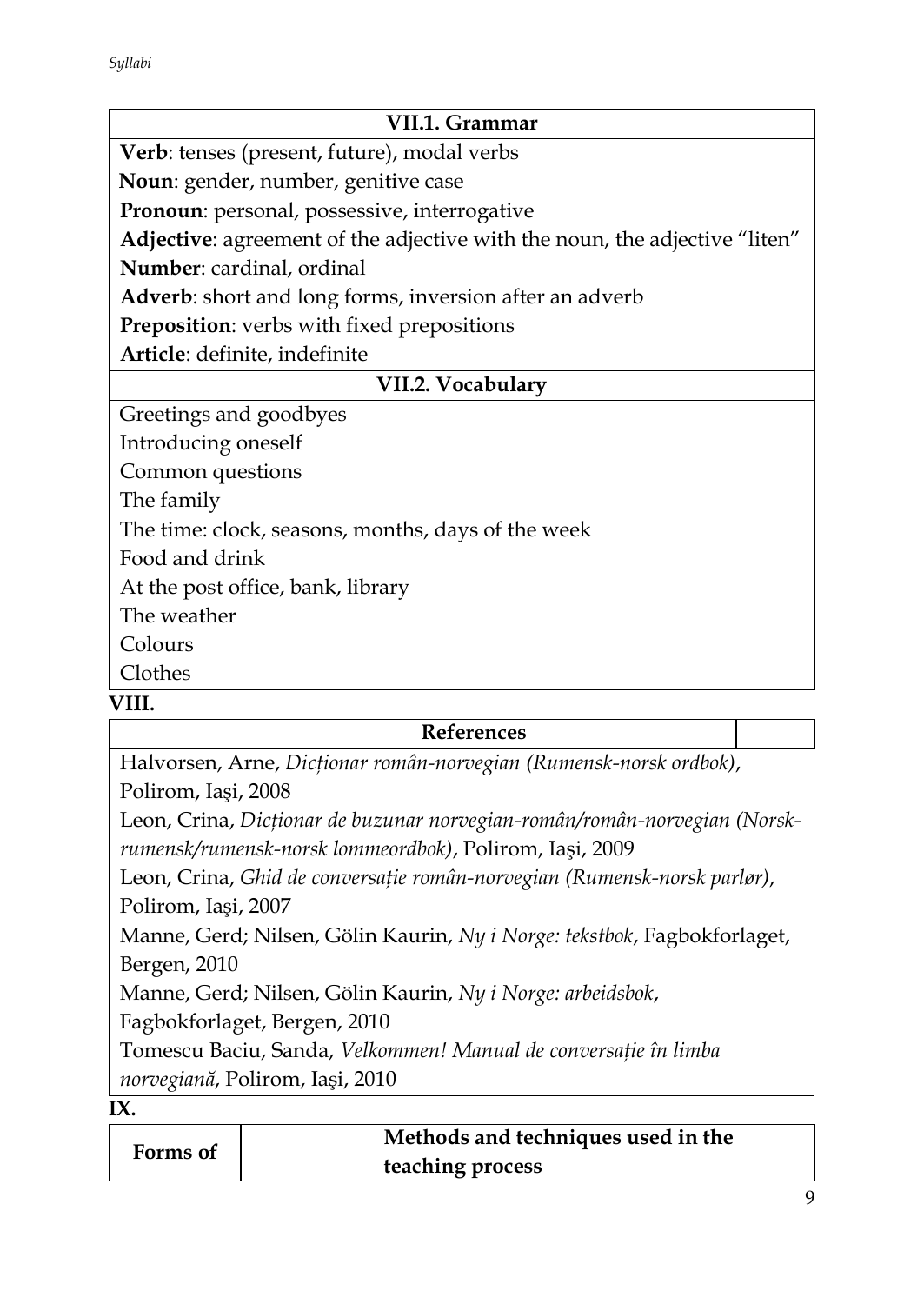| VII.1. Grammar                                                             |  |  |  |  |
|----------------------------------------------------------------------------|--|--|--|--|
| Verb: tenses (present, future), modal verbs                                |  |  |  |  |
| Noun: gender, number, genitive case                                        |  |  |  |  |
| Pronoun: personal, possessive, interrogative                               |  |  |  |  |
| Adjective: agreement of the adjective with the noun, the adjective "liten" |  |  |  |  |
| Number: cardinal, ordinal                                                  |  |  |  |  |
| <b>Adverb</b> : short and long forms, inversion after an adverb            |  |  |  |  |
| <b>Preposition:</b> verbs with fixed prepositions                          |  |  |  |  |
| Article: definite, indefinite                                              |  |  |  |  |
| VII.2. Vocabulary                                                          |  |  |  |  |
| Greetings and goodbyes                                                     |  |  |  |  |
| Introducing oneself                                                        |  |  |  |  |
| Common questions                                                           |  |  |  |  |
| The family                                                                 |  |  |  |  |
| The time: clock, seasons, months, days of the week                         |  |  |  |  |
| Food and drink                                                             |  |  |  |  |
| At the post office, bank, library                                          |  |  |  |  |
| The weather                                                                |  |  |  |  |
| Colours                                                                    |  |  |  |  |
| Clothes                                                                    |  |  |  |  |
| VIII.                                                                      |  |  |  |  |

### **References**

Halvorsen, Arne, *Dicţionar român-norvegian (Rumensk-norsk ordbok)*, Polirom, Iaşi, 2008

Leon, Crina, *Dicţionar de buzunar norvegian-român/român-norvegian (Norskrumensk/rumensk-norsk lommeordbok)*, Polirom, Iaşi, 2009

Leon, Crina, *Ghid de conversaţie român-norvegian (Rumensk-norsk parlør)*, Polirom, Iaşi, 2007

Manne, Gerd; Nilsen, Gölin Kaurin, *Ny i Norge: tekstbok*, Fagbokforlaget, Bergen, 2010

Manne, Gerd; Nilsen, Gölin Kaurin, *Ny i Norge: arbeidsbok*,

Fagbokforlaget, Bergen, 2010

Tomescu Baciu, Sanda, *Velkommen! Manual de conversaţie în limba norvegiană*, Polirom, Iaşi, 2010

**IX.** 

| Forms of | Methods and techniques used in the |
|----------|------------------------------------|
|          | teaching process                   |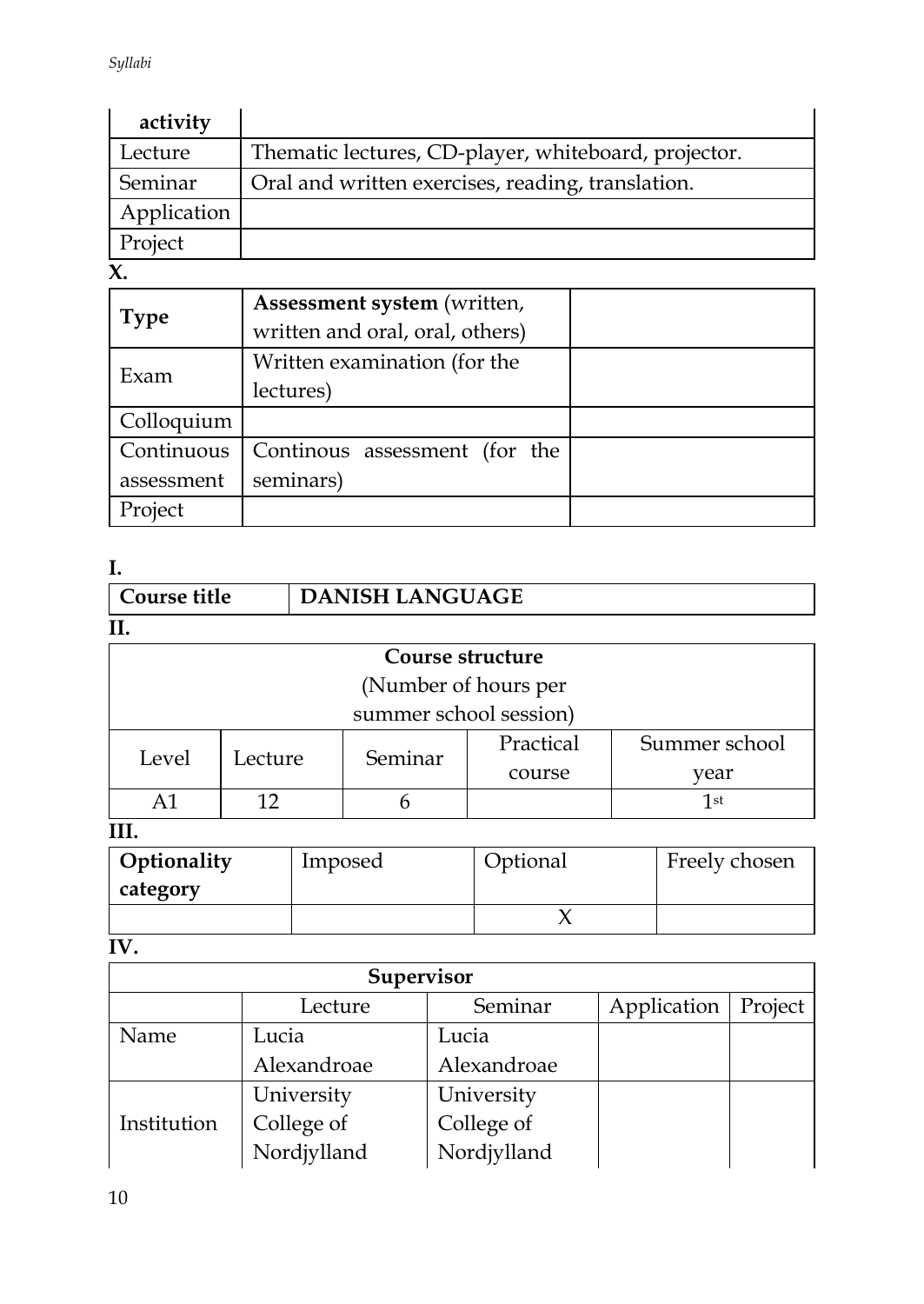| activity    |                                                      |
|-------------|------------------------------------------------------|
| Lecture     | Thematic lectures, CD-player, whiteboard, projector. |
| Seminar     | Oral and written exercises, reading, translation.    |
| Application |                                                      |
| Project     |                                                      |

**X.** 

| <b>Type</b> | Assessment system (written,     |  |
|-------------|---------------------------------|--|
|             | written and oral, oral, others) |  |
| Exam        | Written examination (for the    |  |
|             | lectures)                       |  |
| Colloquium  |                                 |  |
| Continuous  | Continous assessment (for the   |  |
| assessment  | seminars)                       |  |
| Project     |                                 |  |

# **I.**

| Course title | DANISH LANGUAGE |
|--------------|-----------------|
| Η.           |                 |

| Course structure       |         |         |           |               |  |  |
|------------------------|---------|---------|-----------|---------------|--|--|
| (Number of hours per   |         |         |           |               |  |  |
| summer school session) |         |         |           |               |  |  |
| Level                  | Lecture | Seminar | Practical | Summer school |  |  |
|                        |         |         | course    | year          |  |  |
| 1st                    |         |         |           |               |  |  |
|                        |         |         |           |               |  |  |

#### **III.**

| Optionality | Imposed | Optional | Freely chosen |
|-------------|---------|----------|---------------|
| category    |         |          |               |
|             |         |          |               |

**IV.** 

| Supervisor  |             |             |             |         |  |
|-------------|-------------|-------------|-------------|---------|--|
|             | Lecture     | Seminar     | Application | Project |  |
| Name        | Lucia       | Lucia       |             |         |  |
|             | Alexandroae | Alexandroae |             |         |  |
|             | University  | University  |             |         |  |
| Institution | College of  | College of  |             |         |  |
|             | Nordjylland | Nordjylland |             |         |  |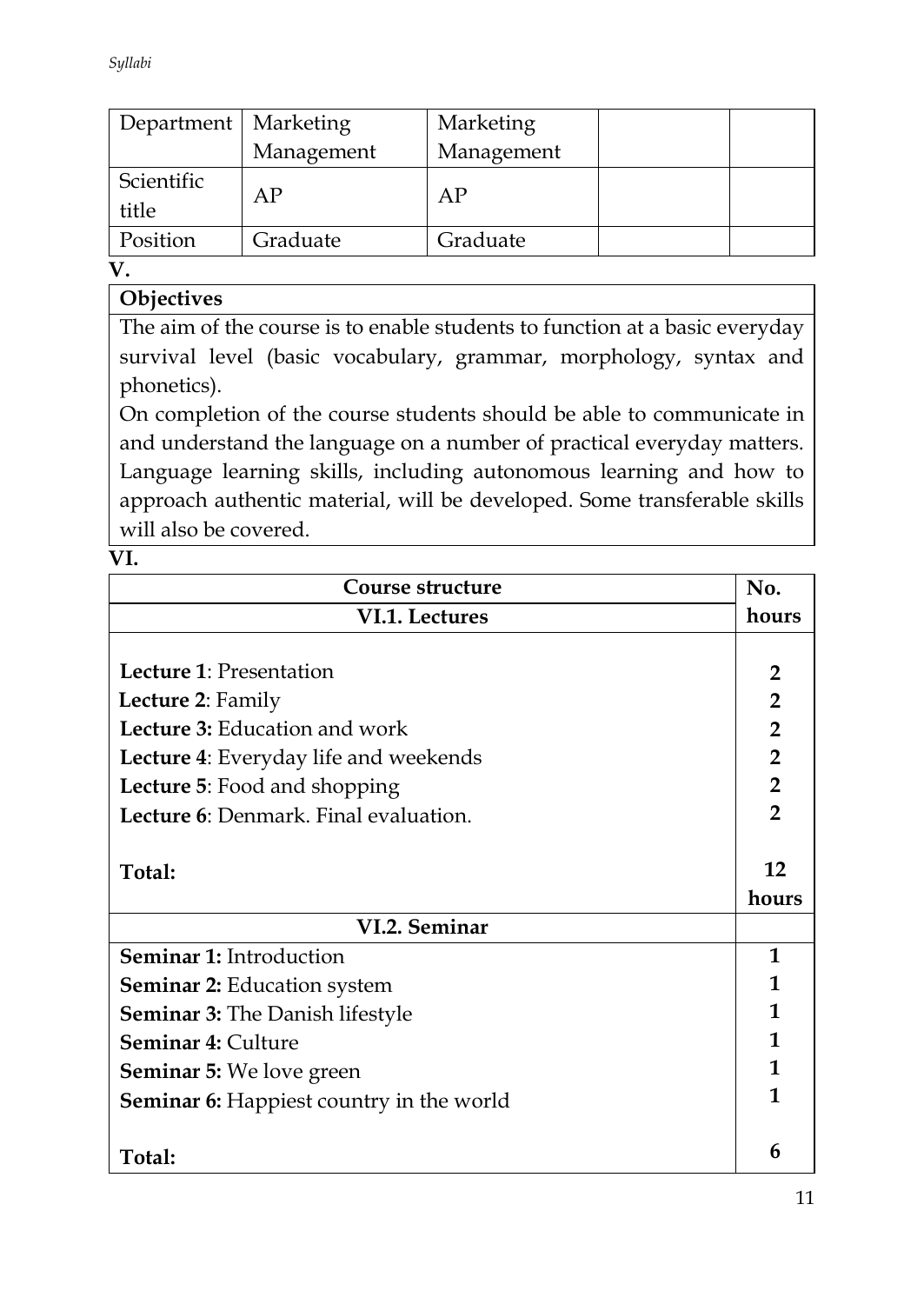| Department   Marketing |            | Marketing  |  |
|------------------------|------------|------------|--|
|                        | Management | Management |  |
| Scientific<br>title    | AP         | АP         |  |
| Position               | Graduate   | Graduate   |  |

**V.**

# **Objectives**

The aim of the course is to enable students to function at a basic everyday survival level (basic vocabulary, grammar, morphology, syntax and phonetics).

On completion of the course students should be able to communicate in and understand the language on a number of practical everyday matters. Language learning skills, including autonomous learning and how to approach authentic material, will be developed. Some transferable skills will also be covered.

**VI.** 

| Course structure                                | No.            |
|-------------------------------------------------|----------------|
| VI.1. Lectures                                  | hours          |
|                                                 |                |
| Lecture 1: Presentation                         | $\overline{2}$ |
| Lecture 2: Family                               | $\overline{2}$ |
| Lecture 3: Education and work                   | $\overline{2}$ |
| Lecture 4: Everyday life and weekends           | $\overline{2}$ |
| Lecture 5: Food and shopping                    | $\overline{2}$ |
| Lecture 6: Denmark, Final evaluation,           | $\overline{2}$ |
|                                                 |                |
| Total:                                          | 12             |
|                                                 | hours          |
| VI.2. Seminar                                   |                |
| <b>Seminar 1: Introduction</b>                  | 1              |
| <b>Seminar 2: Education system</b>              | 1              |
| <b>Seminar 3:</b> The Danish lifestyle          | 1              |
| <b>Seminar 4: Culture</b>                       | 1              |
| <b>Seminar 5:</b> We love green                 | 1              |
| <b>Seminar 6:</b> Happiest country in the world | 1              |
|                                                 |                |
| Total:                                          | 6              |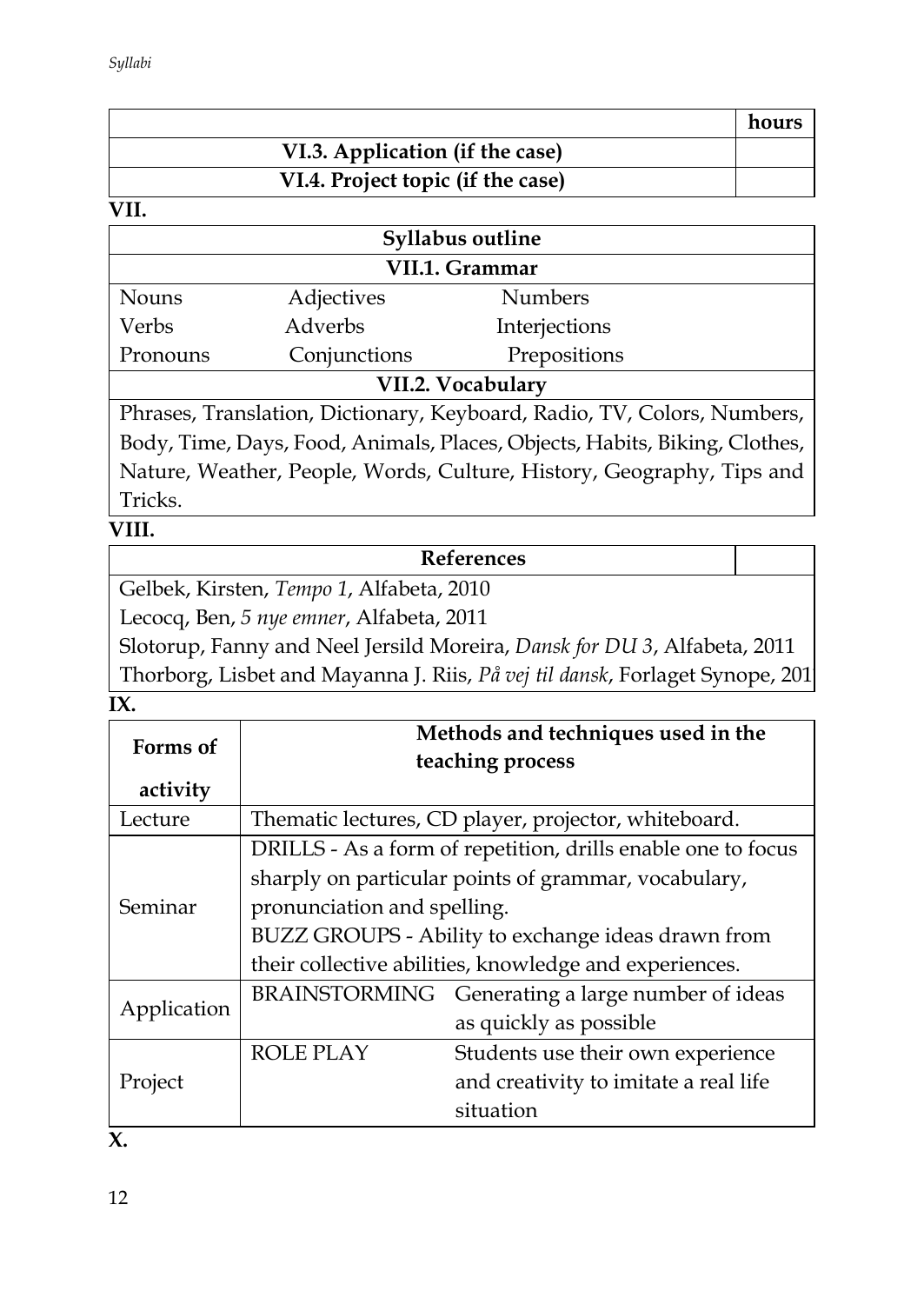|                                   | hours |
|-----------------------------------|-------|
| VI.3. Application (if the case)   |       |
| VI.4. Project topic (if the case) |       |

| <b>Syllabus outline</b> |              |                |  |
|-------------------------|--------------|----------------|--|
| VII.1. Grammar          |              |                |  |
| Nouns                   | Adjectives   | <b>Numbers</b> |  |
| Verbs                   | Adverbs      | Interjections  |  |
| Pronouns                | Conjunctions | Prepositions   |  |
| VII.2. Vocabulary       |              |                |  |

Phrases, Translation, Dictionary, Keyboard, Radio, TV, Colors, Numbers, Body, Time, Days, Food, Animals, Places, Objects, Habits, Biking, Clothes, Nature, Weather, People, Words, Culture, History, Geography, Tips and Tricks.

# **VIII.**

# **References**

Gelbek, Kirsten, *Tempo 1*, Alfabeta, 2010

Lecocq, Ben, *5 nye emner*, Alfabeta, 2011

Slotorup, Fanny and Neel Jersild Moreira, *Dansk for DU 3*, Alfabeta, 2011 Thorborg, Lisbet and Mayanna J. Riis, *På vej til dansk*, Forlaget Synope, 2011

#### **IX.**

| Forms of    | Methods and techniques used in the                     |                                                              |  |  |
|-------------|--------------------------------------------------------|--------------------------------------------------------------|--|--|
|             |                                                        | teaching process                                             |  |  |
| activity    |                                                        |                                                              |  |  |
| Lecture     |                                                        | Thematic lectures, CD player, projector, whiteboard.         |  |  |
|             |                                                        | DRILLS - As a form of repetition, drills enable one to focus |  |  |
|             | sharply on particular points of grammar, vocabulary,   |                                                              |  |  |
| Seminar     | pronunciation and spelling.                            |                                                              |  |  |
|             | BUZZ GROUPS - Ability to exchange ideas drawn from     |                                                              |  |  |
|             | their collective abilities, knowledge and experiences. |                                                              |  |  |
|             |                                                        | BRAINSTORMING Generating a large number of ideas             |  |  |
| Application |                                                        | as quickly as possible                                       |  |  |
|             | <b>ROLE PLAY</b>                                       | Students use their own experience                            |  |  |
| Project     |                                                        | and creativity to imitate a real life                        |  |  |
|             |                                                        | situation                                                    |  |  |

**X.**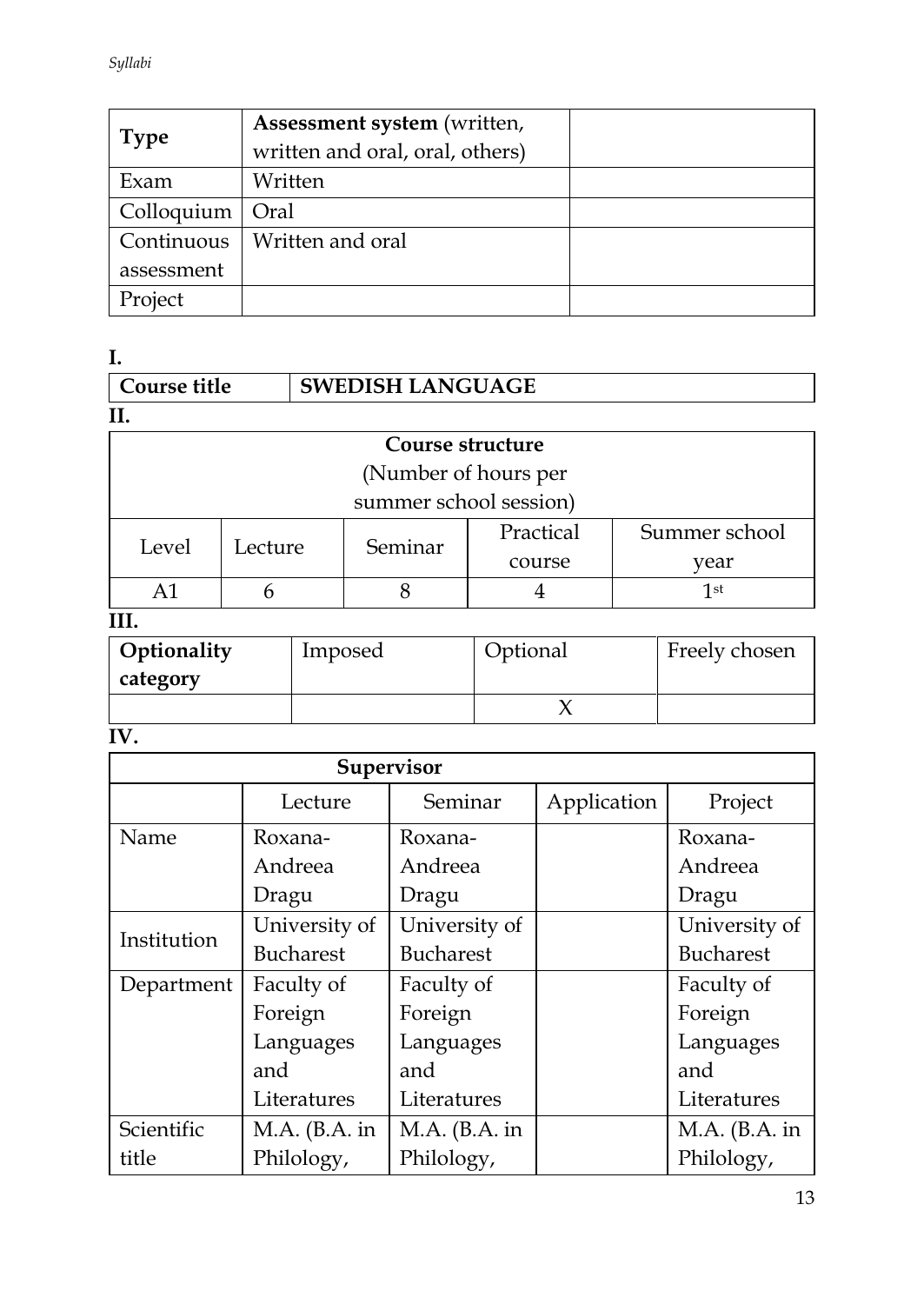| <b>Type</b> | Assessment system (written,<br>written and oral, oral, others) |  |
|-------------|----------------------------------------------------------------|--|
| Exam        | Written                                                        |  |
| Colloquium  | Oral                                                           |  |
| Continuous  | Written and oral                                               |  |
| assessment  |                                                                |  |
| Project     |                                                                |  |

**I.**

| Course title | <b>SWEDISH LANGUAGE</b> |  |
|--------------|-------------------------|--|
|              |                         |  |
|              | Course structure        |  |

| Course su acture       |         |         |           |               |  |  |
|------------------------|---------|---------|-----------|---------------|--|--|
| (Number of hours per   |         |         |           |               |  |  |
| summer school session) |         |         |           |               |  |  |
| Level                  | Lecture | Seminar | Practical | Summer school |  |  |
|                        |         |         | course    | vear          |  |  |
|                        |         |         |           | 1st           |  |  |
|                        |         |         |           |               |  |  |

# **III.**

| Optionality<br>category | Imposed | Optional | Freely chosen |
|-------------------------|---------|----------|---------------|
|                         |         |          |               |

# **IV.**

| Supervisor  |                  |                  |             |                  |  |
|-------------|------------------|------------------|-------------|------------------|--|
|             | Lecture          | Seminar          | Application | Project          |  |
| Name        | Roxana-          | Roxana-          |             | Roxana-          |  |
|             | Andreea          | Andreea          |             | Andreea          |  |
|             | Dragu            | Dragu            |             | Dragu            |  |
| Institution | University of    | University of    |             | University of    |  |
|             | <b>Bucharest</b> | <b>Bucharest</b> |             | <b>Bucharest</b> |  |
| Department  | Faculty of       | Faculty of       |             | Faculty of       |  |
|             | Foreign          | Foreign          |             | Foreign          |  |
|             | Languages        | Languages        |             | Languages        |  |
|             | and              | and              |             | and              |  |
|             | Literatures      | Literatures      |             | Literatures      |  |
| Scientific  | $MA.$ (B.A. in   | $MA.$ (B.A. in   |             | $M.A.$ (B.A. in  |  |
| title       | Philology,       | Philology,       |             | Philology,       |  |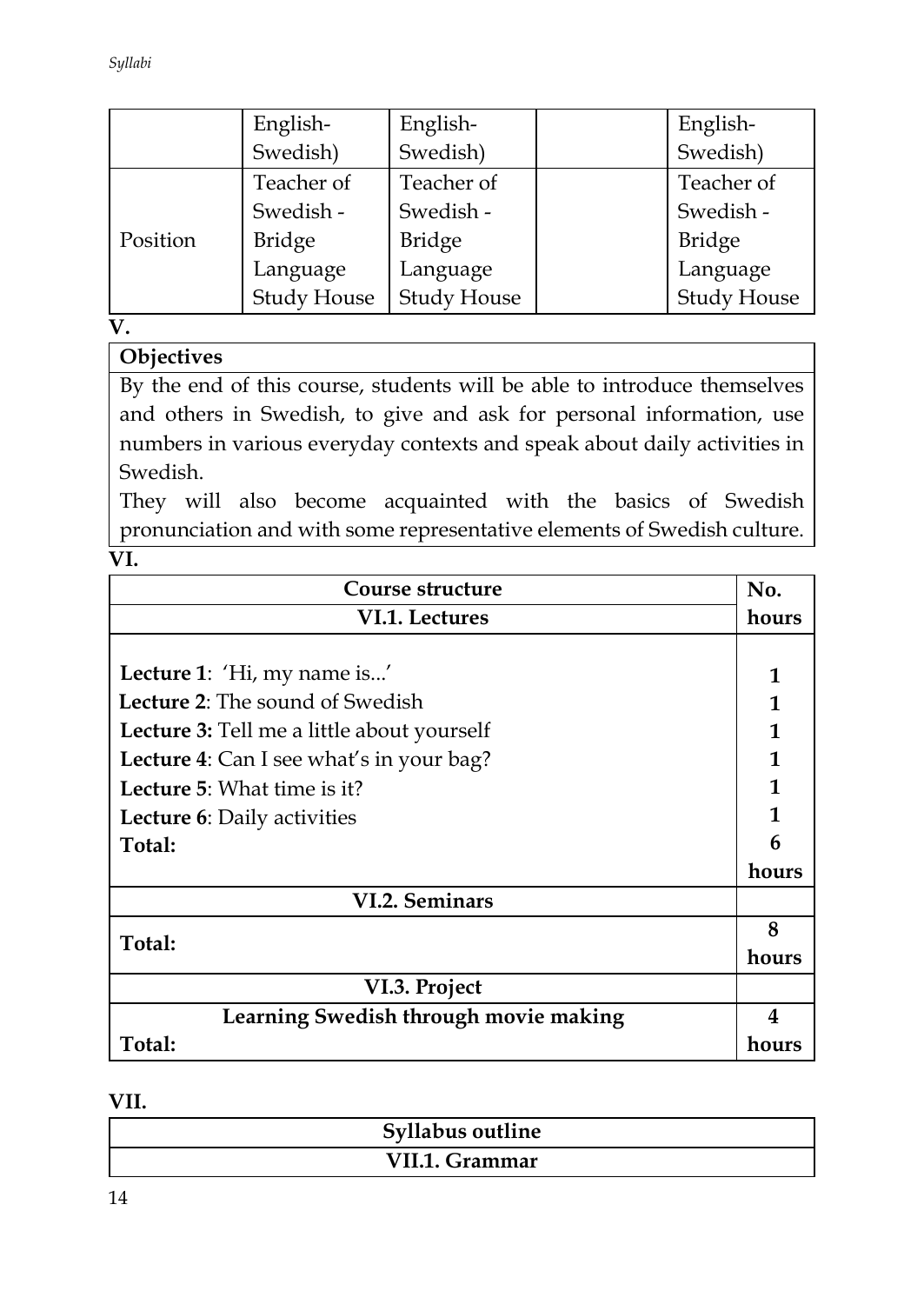*Syllabi*

|          | English-           | English-           | English-           |
|----------|--------------------|--------------------|--------------------|
|          | Swedish)           | Swedish)           | Swedish)           |
|          | Teacher of         | Teacher of         | Teacher of         |
|          | Swedish -          | Swedish -          | Swedish -          |
| Position | <b>Bridge</b>      | <b>Bridge</b>      | <b>Bridge</b>      |
|          | Language           | Language           | Language           |
|          | <b>Study House</b> | <b>Study House</b> | <b>Study House</b> |

**V.**

# **Objectives**

By the end of this course, students will be able to introduce themselves and others in Swedish, to give and ask for personal information, use numbers in various everyday contexts and speak about daily activities in Swedish.

They will also become acquainted with the basics of Swedish pronunciation and with some representative elements of Swedish culture.

**VI.** 

| Course structure                           | No.   |
|--------------------------------------------|-------|
| VI.1. Lectures                             | hours |
|                                            |       |
| Lecture 1: 'Hi, my name is'                | 1     |
| <b>Lecture 2:</b> The sound of Swedish     | 1     |
| Lecture 3: Tell me a little about yourself | 1     |
| Lecture 4: Can I see what's in your bag?   | 1     |
| <b>Lecture 5:</b> What time is it?         | 1     |
| Lecture 6: Daily activities                | 1     |
| Total:                                     | 6     |
|                                            | hours |
| <b>VI.2. Seminars</b>                      |       |
|                                            | 8     |
| Total:                                     | hours |
| VI.3. Project                              |       |
| Learning Swedish through movie making      | 4     |
| Total:                                     | hours |

#### **VII.**

| Syllabus outline |  |
|------------------|--|
| VII.1. Grammar   |  |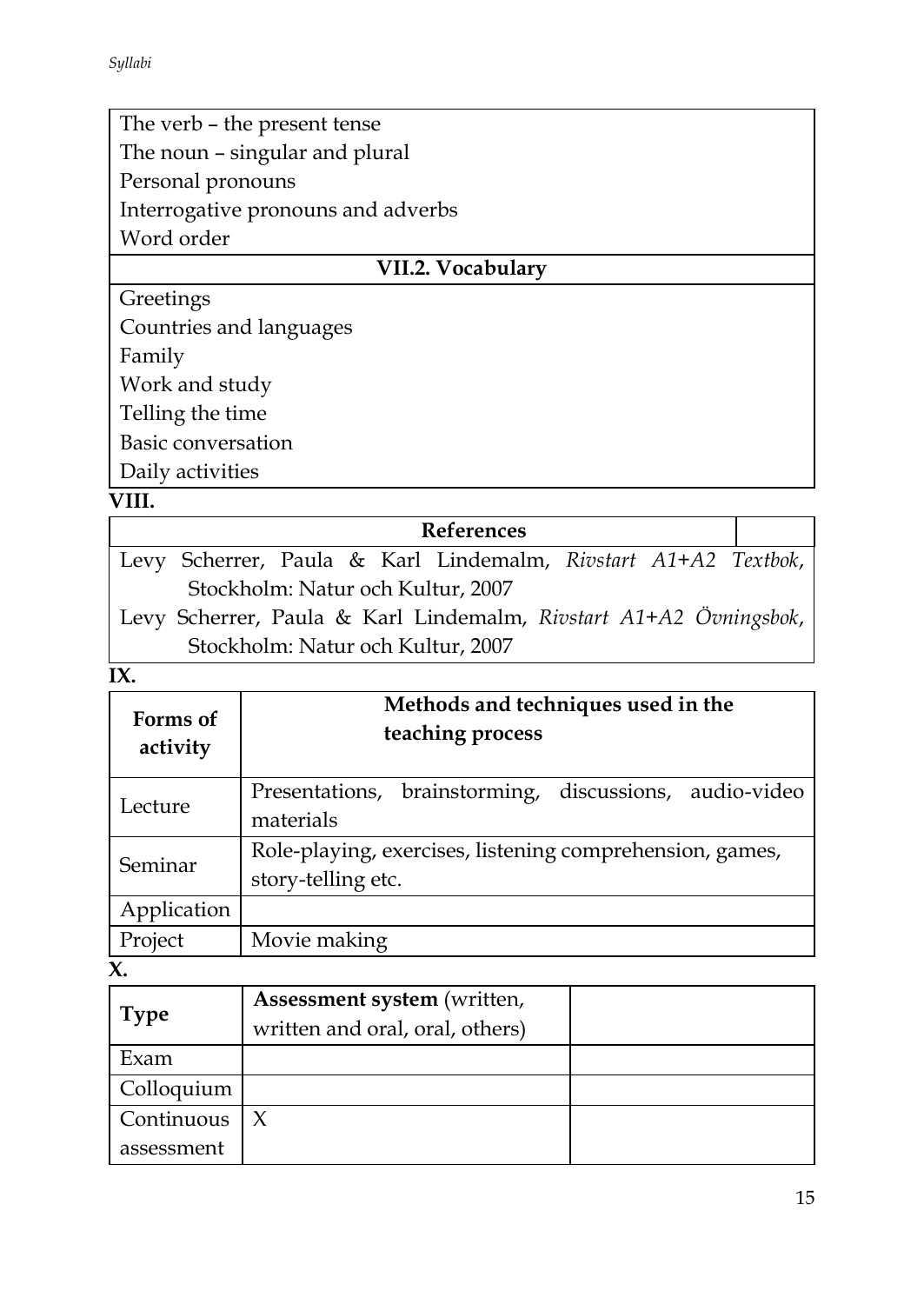# The verb – the present tense The noun – singular and plural Personal pronouns Interrogative pronouns and adverbs Word order

# **VII.2. Vocabulary**

Greetings Countries and languages

Family

Work and study

Telling the time

Basic conversation

Daily activities

### **VIII.**

| <b>References</b>                                                 |  |
|-------------------------------------------------------------------|--|
| Levy Scherrer, Paula & Karl Lindemalm, Rivstart A1+A2 Textbok,    |  |
| Stockholm: Natur och Kultur, 2007                                 |  |
| Levy Scherrer, Paula & Karl Lindemalm, Rivstart A1+A2 Övningsbok, |  |
| Stockholm: Natur och Kultur, 2007                                 |  |

# **IX.**

| Forms of<br>activity | Methods and techniques used in the<br>teaching process                         |
|----------------------|--------------------------------------------------------------------------------|
| Lecture              | Presentations, brainstorming, discussions, audio-video<br>materials            |
| Seminar              | Role-playing, exercises, listening comprehension, games,<br>story-telling etc. |
| Application          |                                                                                |
| Project              | Movie making                                                                   |

**X.** 

| <b>Type</b> | Assessment system (written,<br>written and oral, oral, others) |  |
|-------------|----------------------------------------------------------------|--|
| Exam        |                                                                |  |
| Colloquium  |                                                                |  |
| Continuous  |                                                                |  |
| assessment  |                                                                |  |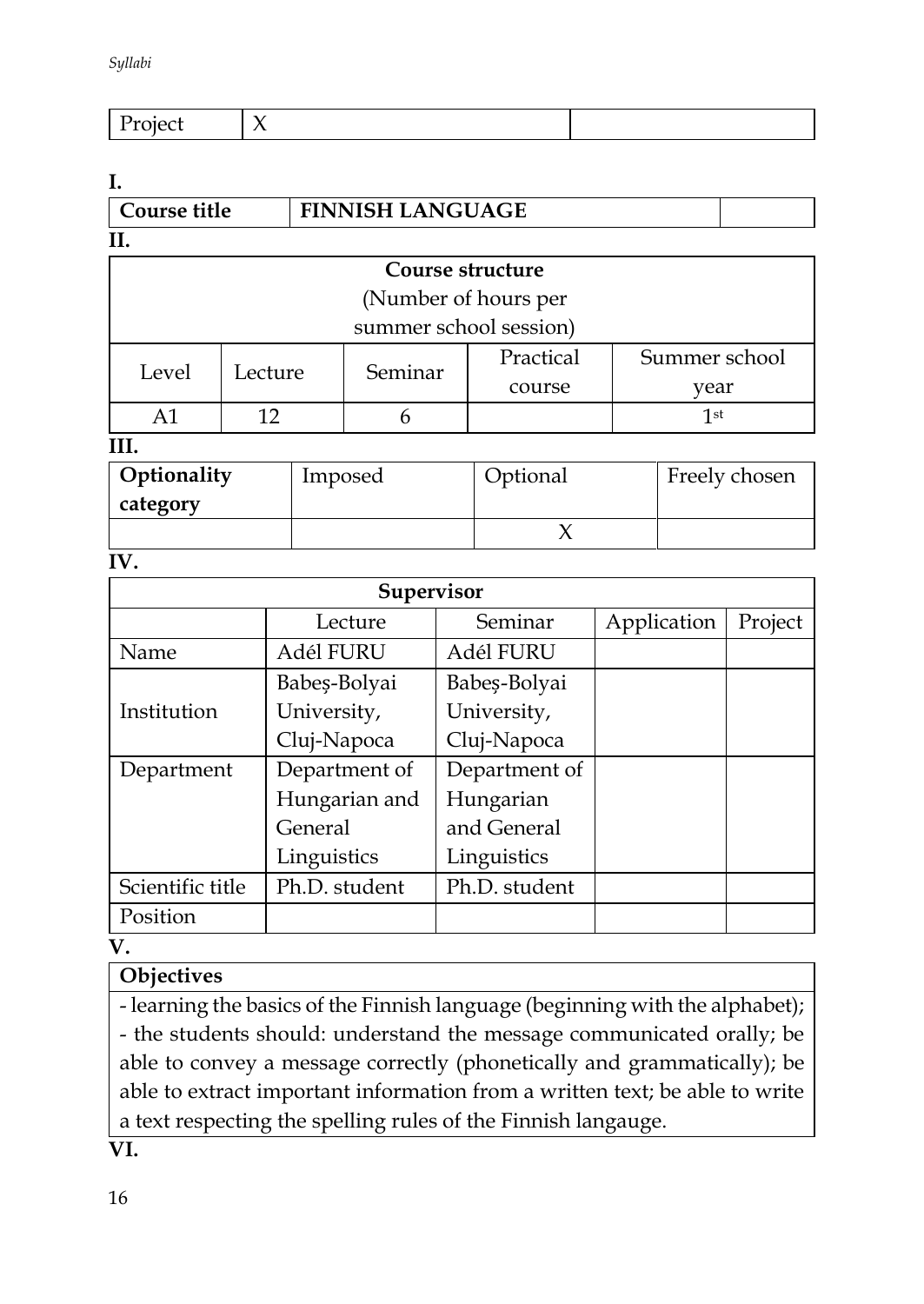| - |  |
|---|--|

#### **I.**

| Course title | <b>FINNISH LANGUAGE</b> |  |
|--------------|-------------------------|--|
| II.          |                         |  |

| Course structure       |                      |         |           |               |
|------------------------|----------------------|---------|-----------|---------------|
|                        | (Number of hours per |         |           |               |
| summer school session) |                      |         |           |               |
| Level                  | Lecture              | Seminar | Practical | Summer school |
| course<br>year         |                      |         |           |               |
|                        |                      |         |           | 1st           |

#### **III.**

| Optionality | Imposed | Optional | Freely chosen |
|-------------|---------|----------|---------------|
| category    |         |          |               |
|             |         |          |               |

#### **IV.**

| Supervisor       |               |               |             |         |
|------------------|---------------|---------------|-------------|---------|
|                  | Lecture       | Seminar       | Application | Project |
| Name             | Adél FURU     | Adél FURU     |             |         |
|                  | Babeș-Bolyai  | Babeș-Bolyai  |             |         |
| Institution      | University,   | University,   |             |         |
|                  | Cluj-Napoca   | Cluj-Napoca   |             |         |
| Department       | Department of | Department of |             |         |
|                  | Hungarian and | Hungarian     |             |         |
|                  | General       | and General   |             |         |
|                  | Linguistics   | Linguistics   |             |         |
| Scientific title | Ph.D. student | Ph.D. student |             |         |
| Position         |               |               |             |         |

**V.**

# **Objectives**

- learning the basics of the Finnish language (beginning with the alphabet); - the students should: understand the message communicated orally; be able to convey a message correctly (phonetically and grammatically); be able to extract important information from a written text; be able to write a text respecting the spelling rules of the Finnish langauge.

**VI.**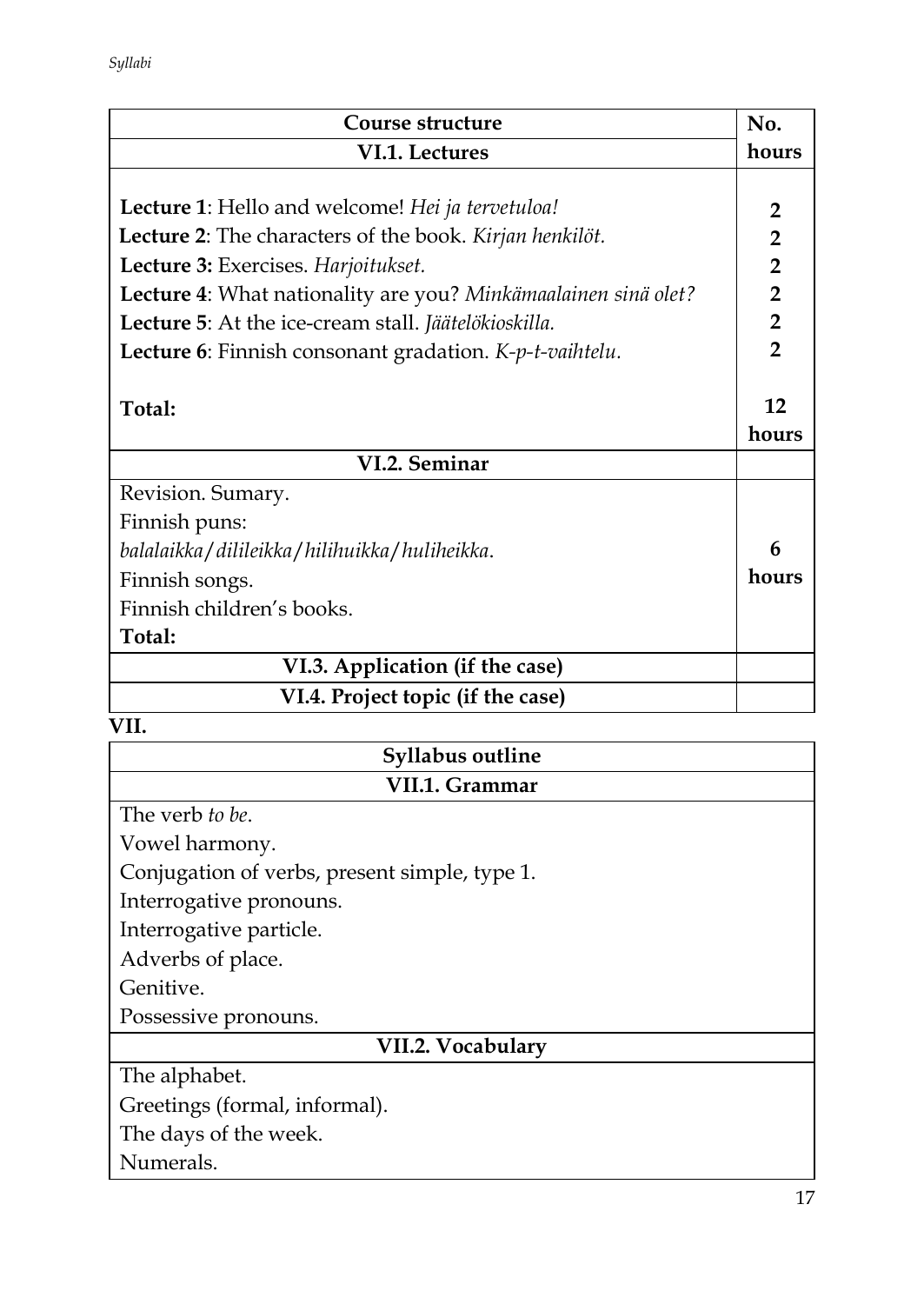| Course structure                                                       | No.            |
|------------------------------------------------------------------------|----------------|
| VI.1. Lectures                                                         | hours          |
|                                                                        |                |
| <b>Lecture 1:</b> Hello and welcome! Hei ja tervetuloa!                | $\overline{2}$ |
| <b>Lecture 2:</b> The characters of the book. <i>Kirjan henkilöt</i> . | $\overline{2}$ |
| Lecture 3: Exercises. Harjoitukset.                                    | $\overline{2}$ |
| Lecture 4: What nationality are you? Minkämaalainen sinä olet?         | $\overline{2}$ |
| Lecture 5: At the ice-cream stall. Jäätelökioskilla.                   | $\overline{2}$ |
| Lecture 6: Finnish consonant gradation. K-p-t-vaihtelu.                | $\mathbf{2}$   |
|                                                                        |                |
| Total:                                                                 | 12             |
|                                                                        | hours          |
| VI.2. Seminar                                                          |                |
| Revision. Sumary.                                                      |                |
| Finnish puns:                                                          |                |
| balalaikka / dilileikka / hilihuikka / huliheikka.                     | 6              |
| Finnish songs.                                                         | hours          |
| Finnish children's books.                                              |                |
| Total:                                                                 |                |
| VI.3. Application (if the case)                                        |                |
| VI.4. Project topic (if the case)                                      |                |

| Syllabus outline                              |  |
|-----------------------------------------------|--|
| VII.1. Grammar                                |  |
| The verb to be.                               |  |
| Vowel harmony.                                |  |
| Conjugation of verbs, present simple, type 1. |  |
| Interrogative pronouns.                       |  |
| Interrogative particle.                       |  |
| Adverbs of place.                             |  |
| Genitive.                                     |  |
| Possessive pronouns.                          |  |
| VII.2. Vocabulary                             |  |
| The alphabet.                                 |  |
| Greetings (formal, informal).                 |  |
| The days of the week.                         |  |
| Numerals.                                     |  |
| 17                                            |  |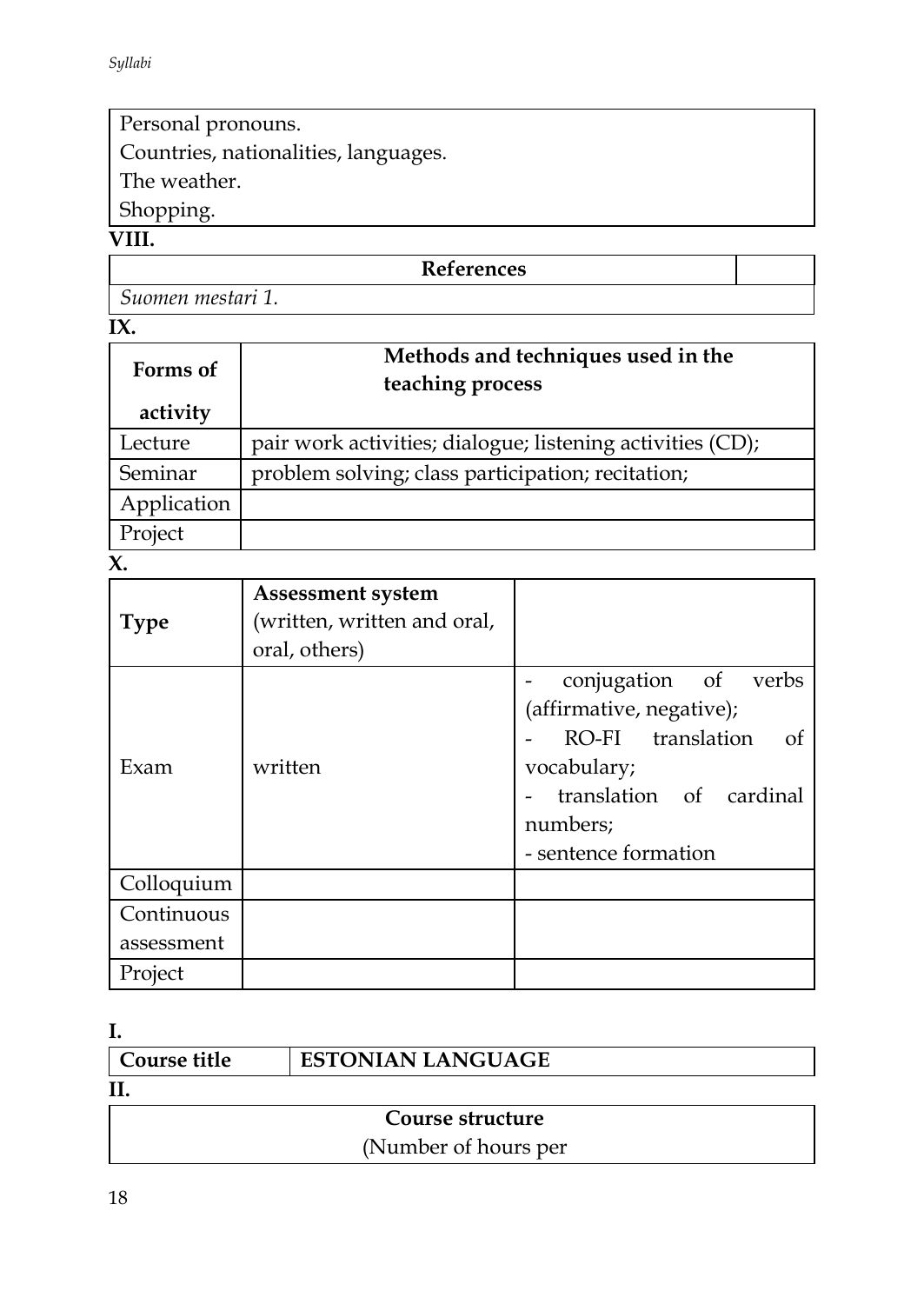Personal pronouns.

Countries, nationalities, languages.

The weather.

Shopping.

# **VIII.**

*Suomen mestari 1.*

# **IX.**

| Forms of<br>activity | Methods and techniques used in the<br>teaching process     |
|----------------------|------------------------------------------------------------|
| Lecture              | pair work activities; dialogue; listening activities (CD); |
| Seminar              | problem solving; class participation; recitation;          |
| Application          |                                                            |
| Project              |                                                            |

**X.** 

| <b>Type</b> | <b>Assessment system</b><br>(written, written and oral,<br>oral, others) |                                                                                                                                                           |
|-------------|--------------------------------------------------------------------------|-----------------------------------------------------------------------------------------------------------------------------------------------------------|
| Exam        | written                                                                  | conjugation of verbs<br>(affirmative, negative);<br>RO-FI translation<br>of<br>vocabulary;<br>translation of cardinal<br>numbers;<br>- sentence formation |
| Colloquium  |                                                                          |                                                                                                                                                           |
| Continuous  |                                                                          |                                                                                                                                                           |
| assessment  |                                                                          |                                                                                                                                                           |
| Project     |                                                                          |                                                                                                                                                           |

**I.** 

| Course title | <b>ESTONIAN LANGUAGE</b> |
|--------------|--------------------------|
| Η.           |                          |
|              |                          |

# **Course structure** (Number of hours per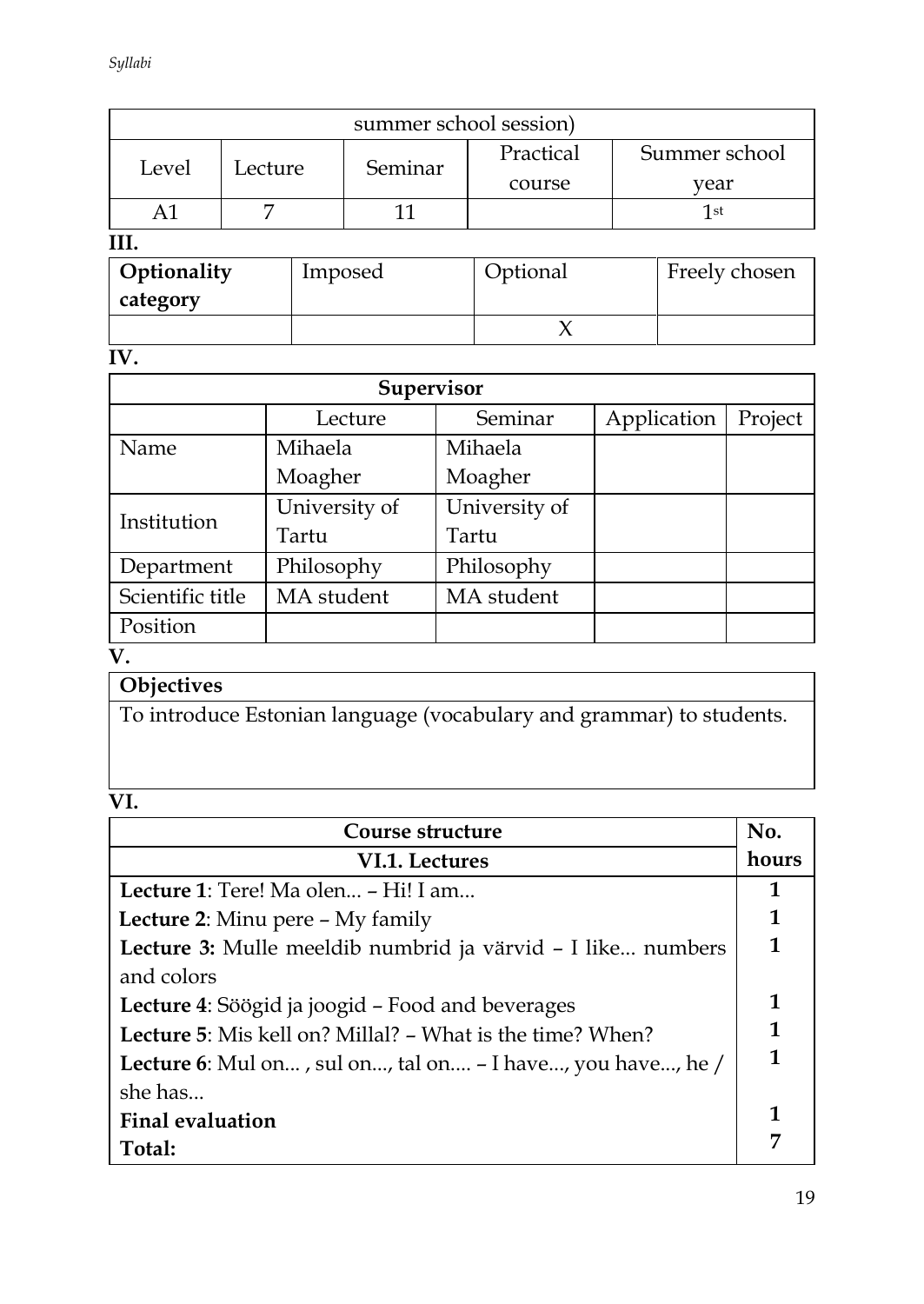| summer school session) |         |         |               |           |               |  |
|------------------------|---------|---------|---------------|-----------|---------------|--|
| Level                  | Lecture |         | Seminar       | Practical | Summer school |  |
|                        |         |         |               | course    | year          |  |
|                        |         |         |               |           | 1st           |  |
|                        |         |         |               |           |               |  |
| Optionality<br>Imposed |         | rtional | Freely chosen |           |               |  |

| Optionality | Imposed | Optional | Freely chosen |
|-------------|---------|----------|---------------|
| category    |         |          |               |
|             |         |          |               |

**IV.** 

| Supervisor       |               |               |             |         |  |  |
|------------------|---------------|---------------|-------------|---------|--|--|
|                  | Lecture       | Seminar       | Application | Project |  |  |
| Name             | Mihaela       | Mihaela       |             |         |  |  |
|                  | Moagher       | Moagher       |             |         |  |  |
| Institution      | University of | University of |             |         |  |  |
|                  | Tartu         | Tartu         |             |         |  |  |
| Department       | Philosophy    | Philosophy    |             |         |  |  |
| Scientific title | MA student    | MA student    |             |         |  |  |
| Position         |               |               |             |         |  |  |

**V.**

# **Objectives**

To introduce Estonian language (vocabulary and grammar) to students.

| $\sim$ |
|--------|

| Course structure                                                   |   |  |
|--------------------------------------------------------------------|---|--|
| VI.1. Lectures                                                     |   |  |
| <b>Lecture 1</b> : Tere! Ma olen – Hi! I am                        | 1 |  |
| <b>Lecture 2:</b> Minu pere - My family                            |   |  |
| Lecture 3: Mulle meeldib numbrid ja värvid – I like numbers        |   |  |
| and colors                                                         |   |  |
| Lecture 4: Söögid ja joogid - Food and beverages                   |   |  |
| <b>Lecture 5:</b> Mis kell on? Millal? – What is the time? When?   |   |  |
| <b>Lecture 6</b> : Mul on, sul on, tal on - I have, you have, he / |   |  |
| she has                                                            |   |  |
| <b>Final evaluation</b>                                            |   |  |
| Total:                                                             |   |  |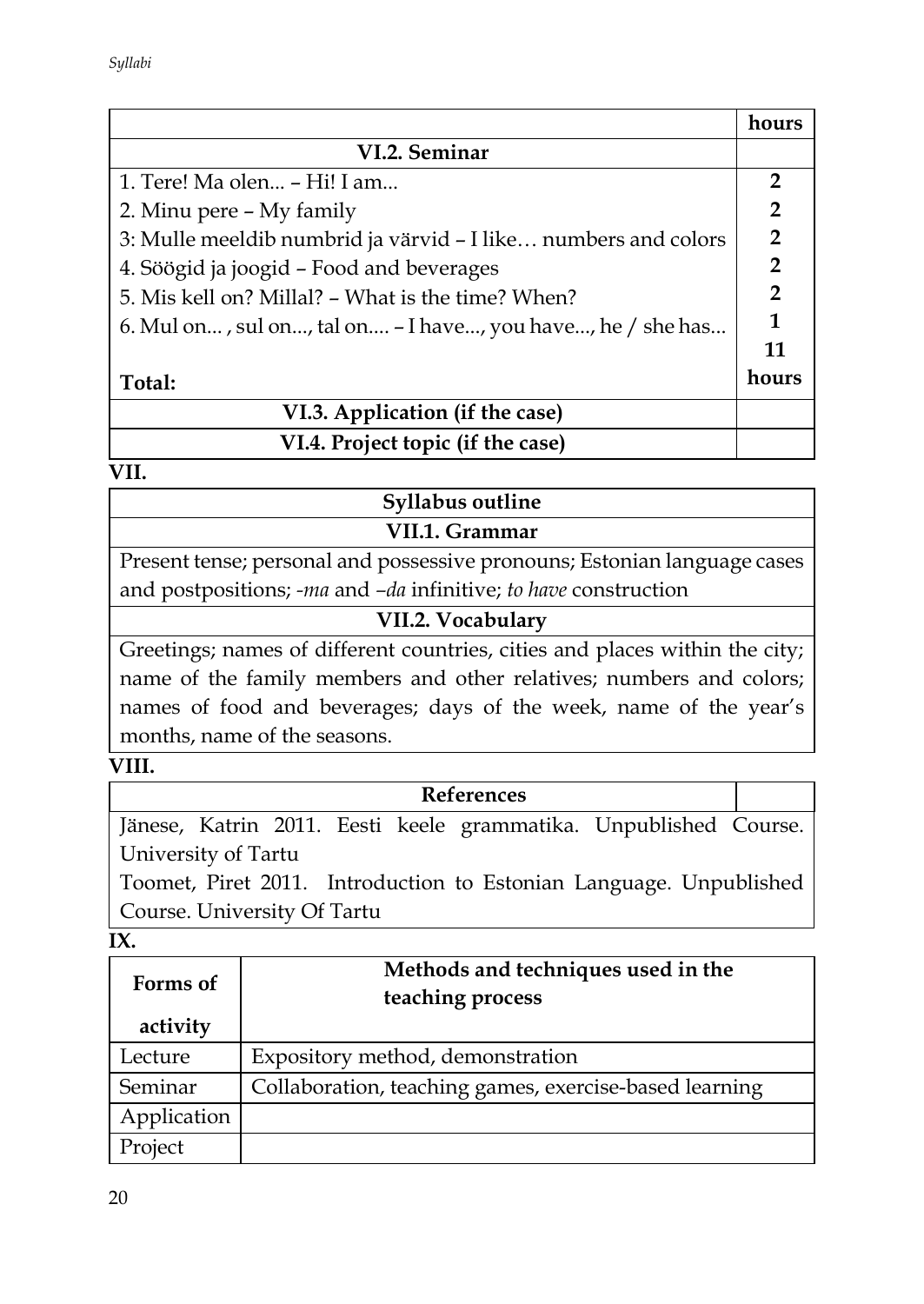|                                                                | hours          |  |
|----------------------------------------------------------------|----------------|--|
| VI.2. Seminar                                                  |                |  |
| 1. Tere! Ma olen - Hi! I am                                    | $\mathbf{2}$   |  |
| 2. Minu pere – My family                                       | $\overline{2}$ |  |
| 3: Mulle meeldib numbrid ja värvid – I like numbers and colors | $\overline{2}$ |  |
| 4. Söögid ja joogid - Food and beverages                       |                |  |
| 5. Mis kell on? Millal? – What is the time? When?              |                |  |
| 6. Mul on, sul on, tal on – I have, you have, he / she has     |                |  |
|                                                                |                |  |
| Total:                                                         | hours          |  |
| VI.3. Application (if the case)                                |                |  |
| VI.4. Project topic (if the case)                              |                |  |

# **Syllabus outline VII.1. Grammar**

Present tense; personal and possessive pronouns; Estonian language cases and postpositions; *-ma* and *–da* infinitive; *to have* construction

#### **VII.2. Vocabulary**

Greetings; names of different countries, cities and places within the city; name of the family members and other relatives; numbers and colors; names of food and beverages; days of the week, name of the year's months, name of the seasons.

#### **VIII.**

# **References** Jänese, Katrin 2011. Eesti keele grammatika. Unpublished Course. University of Tartu Toomet, Piret 2011. Introduction to Estonian Language. Unpublished

Course. University Of Tartu

**IX.** 

| Forms of    | Methods and techniques used in the<br>teaching process |  |
|-------------|--------------------------------------------------------|--|
| activity    |                                                        |  |
| Lecture     | Expository method, demonstration                       |  |
| Seminar     | Collaboration, teaching games, exercise-based learning |  |
| Application |                                                        |  |
| Project     |                                                        |  |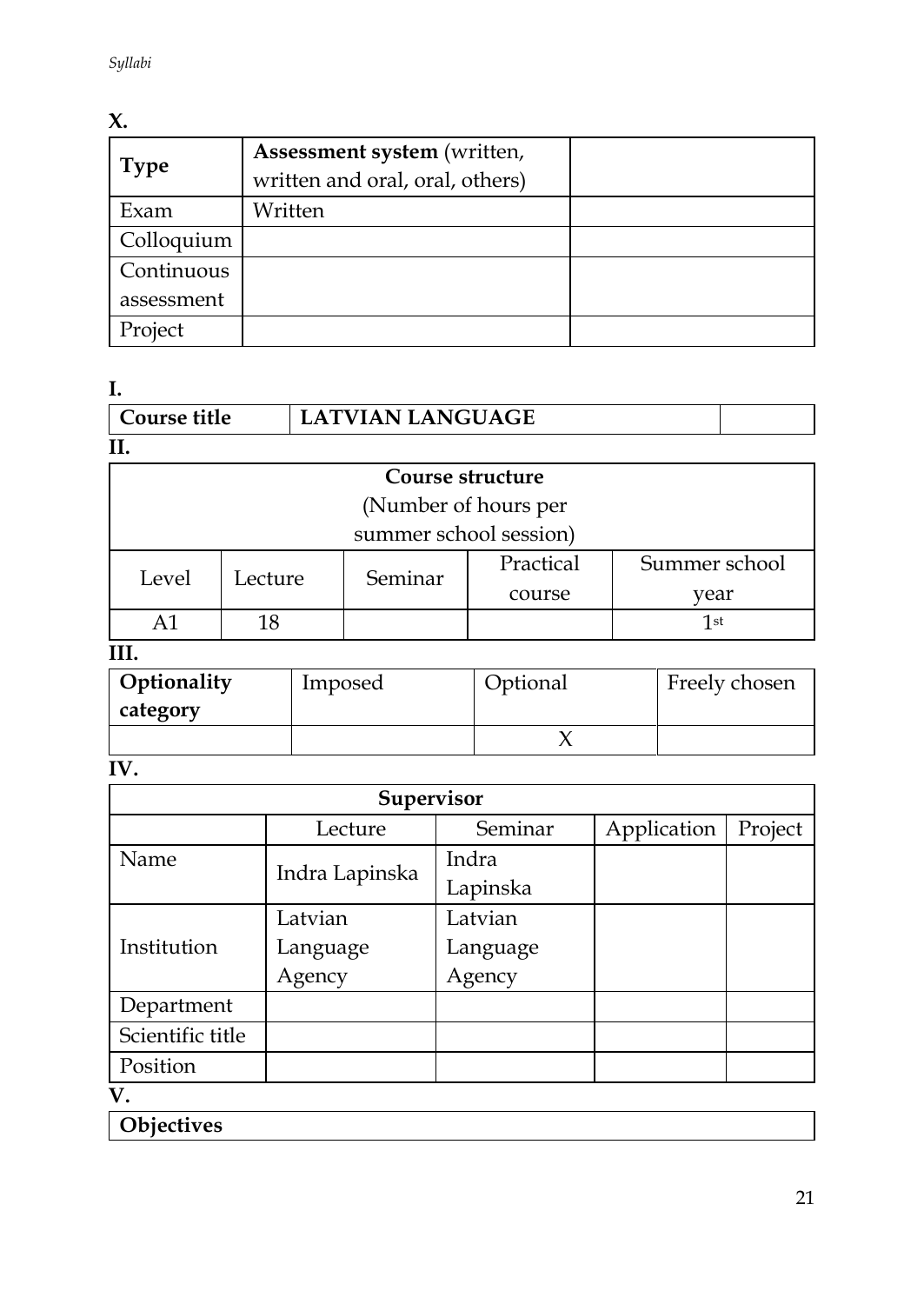# **X.**

| <b>Type</b> | Assessment system (written,<br>written and oral, oral, others) |  |
|-------------|----------------------------------------------------------------|--|
| Exam        | Written                                                        |  |
| Colloquium  |                                                                |  |
| Continuous  |                                                                |  |
| assessment  |                                                                |  |
| Project     |                                                                |  |

**I.** 

| Course title | LATVIAN LANGUAGE |  |
|--------------|------------------|--|
| II.          |                  |  |

# **Course structure** (Number of hours per

summer school session)

|       | Lecture | Seminar | Practical | Summer school |
|-------|---------|---------|-----------|---------------|
| Level |         |         | course    | vear          |
|       |         |         |           | 1st           |

**III.**

| Optionality<br>category | Imposed |  | Freely chosen |
|-------------------------|---------|--|---------------|
|                         |         |  |               |

**IV.** 

| Supervisor       |                |          |             |         |  |  |
|------------------|----------------|----------|-------------|---------|--|--|
|                  | Lecture        | Seminar  | Application | Project |  |  |
| Name             |                | Indra    |             |         |  |  |
|                  | Indra Lapinska | Lapinska |             |         |  |  |
| Institution      | Latvian        | Latvian  |             |         |  |  |
|                  | Language       | Language |             |         |  |  |
|                  | Agency         | Agency   |             |         |  |  |
| Department       |                |          |             |         |  |  |
| Scientific title |                |          |             |         |  |  |
| Position         |                |          |             |         |  |  |
| TT.              |                |          |             |         |  |  |

**V.**

**Objectives**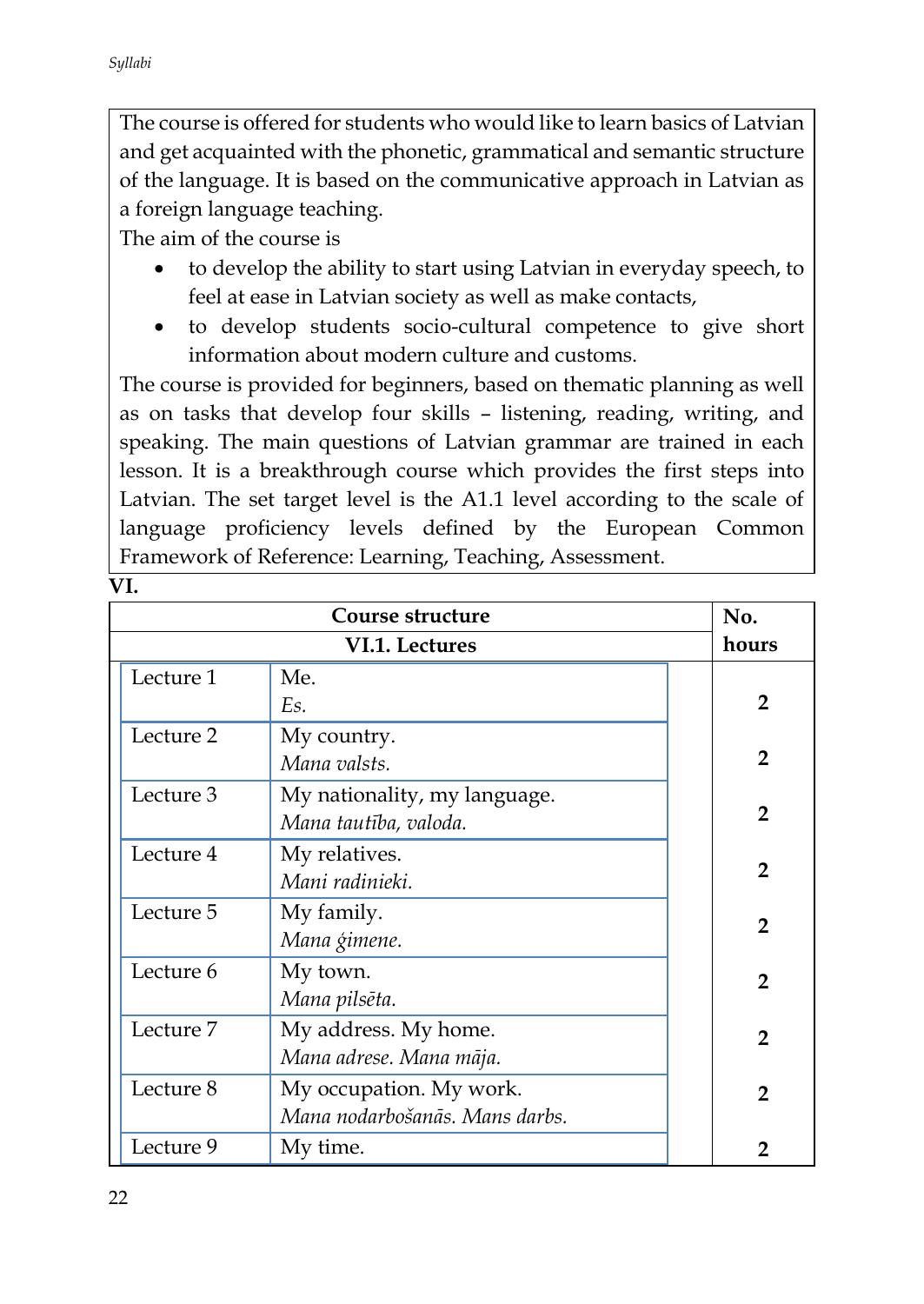$\overline{\mathbf{V}}$ 

The course is offered for students who would like to learn basics of Latvian and get acquainted with the phonetic, grammatical and semantic structure of the language. It is based on the communicative approach in Latvian as a foreign language teaching.

The aim of the course is

- to develop the ability to start using Latvian in everyday speech, to feel at ease in Latvian society as well as make contacts,
- to develop students socio-cultural competence to give short information about modern culture and customs.

The course is provided for beginners, based on thematic planning as well as on tasks that develop four skills – listening, reading, writing, and speaking. The main questions of Latvian grammar are trained in each lesson. It is a breakthrough course which provides the first steps into Latvian. The set target level is the A1.1 level according to the scale of language proficiency levels defined by the European Common Framework of Reference: Learning, Teaching, Assessment.

|           | No.                            |                |
|-----------|--------------------------------|----------------|
|           | hours                          |                |
| Lecture 1 | Me.                            |                |
|           | Es.                            | $\mathbf{2}$   |
| Lecture 2 | My country.                    |                |
|           | Mana valsts.                   | $\mathbf{2}$   |
| Lecture 3 | My nationality, my language.   |                |
|           | Mana tautība, valoda.          | $\overline{2}$ |
| Lecture 4 | My relatives.                  |                |
|           | Mani radinieki.                | $\mathbf{2}$   |
| Lecture 5 | My family.                     | $\mathbf{2}$   |
|           | Mana ģimene.                   |                |
| Lecture 6 | My town.                       | $\mathbf{2}$   |
|           | Mana pilsēta.                  |                |
| Lecture 7 | My address. My home.           | $\mathbf{2}$   |
|           | Mana adrese. Mana māja.        |                |
| Lecture 8 | My occupation. My work.        | $\mathbf{2}$   |
|           | Mana nodarbošanās. Mans darbs. |                |
| Lecture 9 | My time.                       | 2              |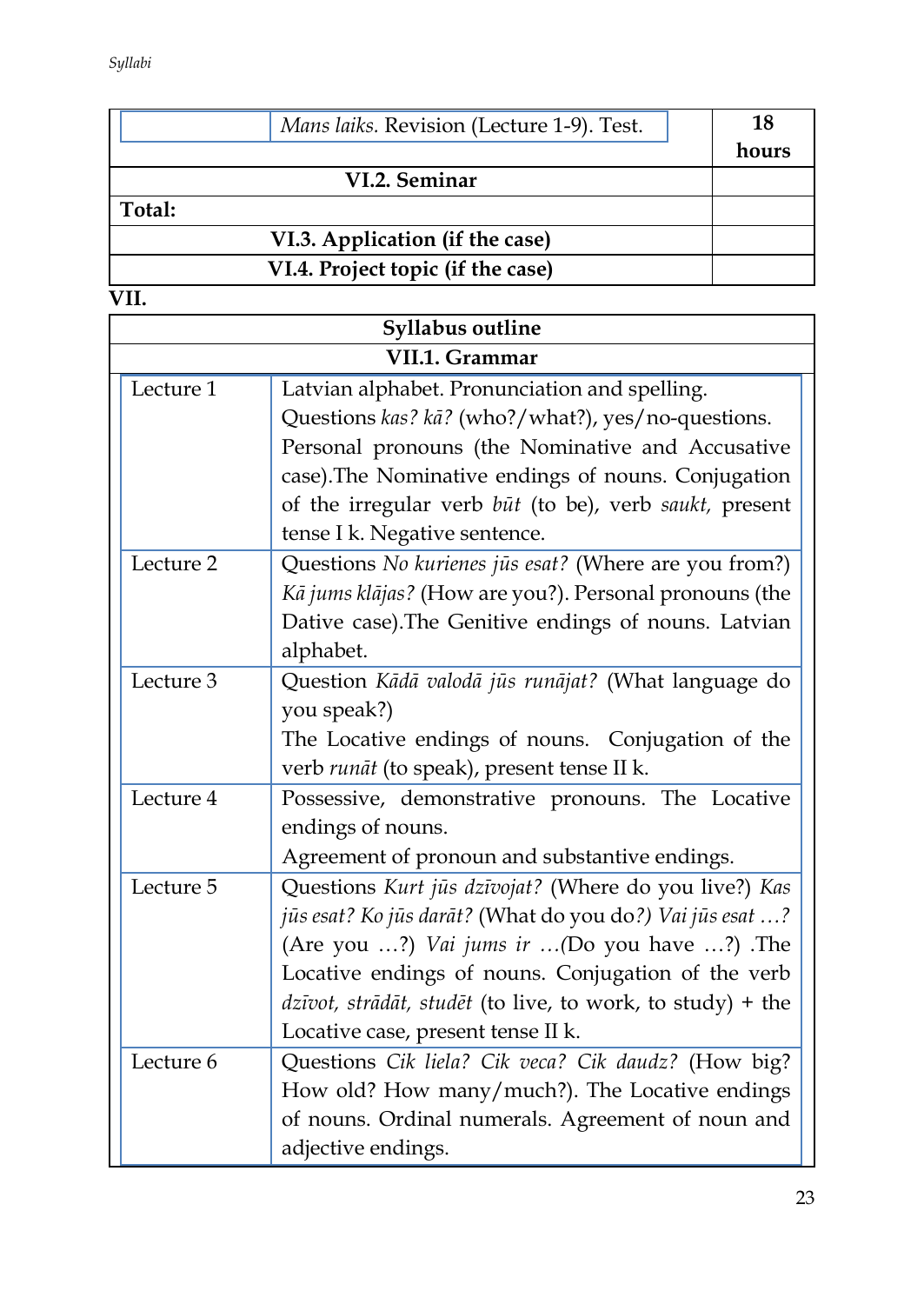|        | Mans laiks. Revision (Lecture 1-9). Test. | 18    |
|--------|-------------------------------------------|-------|
|        |                                           | hours |
|        | VI.2. Seminar                             |       |
| Total: |                                           |       |
|        | VI.3. Application (if the case)           |       |
|        | VI.4. Project topic (if the case)         |       |

| <b>Syllabus outline</b> |                                                                          |  |  |  |  |
|-------------------------|--------------------------------------------------------------------------|--|--|--|--|
| VII.1. Grammar          |                                                                          |  |  |  |  |
| Lecture 1               | Latvian alphabet. Pronunciation and spelling.                            |  |  |  |  |
|                         | Questions kas? kā? (who?/what?), yes/no-questions.                       |  |  |  |  |
|                         | Personal pronouns (the Nominative and Accusative                         |  |  |  |  |
|                         | case). The Nominative endings of nouns. Conjugation                      |  |  |  |  |
|                         | of the irregular verb būt (to be), verb saukt, present                   |  |  |  |  |
|                         | tense I k. Negative sentence.                                            |  |  |  |  |
| Lecture 2               | Questions No kurienes jūs esat? (Where are you from?)                    |  |  |  |  |
|                         | Kā jums klājas? (How are you?). Personal pronouns (the                   |  |  |  |  |
|                         | Dative case). The Genitive endings of nouns. Latvian                     |  |  |  |  |
|                         | alphabet.                                                                |  |  |  |  |
| Lecture 3               | Question Kādā valodā jūs runājat? (What language do                      |  |  |  |  |
|                         | you speak?)                                                              |  |  |  |  |
|                         | The Locative endings of nouns. Conjugation of the                        |  |  |  |  |
|                         | verb runāt (to speak), present tense II k.                               |  |  |  |  |
| Lecture 4               | Possessive, demonstrative pronouns. The Locative                         |  |  |  |  |
|                         | endings of nouns.                                                        |  |  |  |  |
|                         | Agreement of pronoun and substantive endings.                            |  |  |  |  |
| Lecture 5               | Questions Kurt jūs dzīvojat? (Where do you live?) Kas                    |  |  |  |  |
|                         | jūs esat? Ko jūs darāt? (What do you do?) Vai jūs esat ?                 |  |  |  |  |
|                         | (Are you ?) Vai jums ir (Do you have ?) .The                             |  |  |  |  |
|                         | Locative endings of nouns. Conjugation of the verb                       |  |  |  |  |
|                         | $dz\bar{v}\omega t$ , strādāt, studēt (to live, to work, to study) + the |  |  |  |  |
|                         | Locative case, present tense II k.                                       |  |  |  |  |
| Lecture 6               | Questions Cik liela? Cik veca? Cik daudz? (How big?                      |  |  |  |  |
|                         | How old? How many/much?). The Locative endings                           |  |  |  |  |
|                         | of nouns. Ordinal numerals. Agreement of noun and                        |  |  |  |  |
|                         | adjective endings.                                                       |  |  |  |  |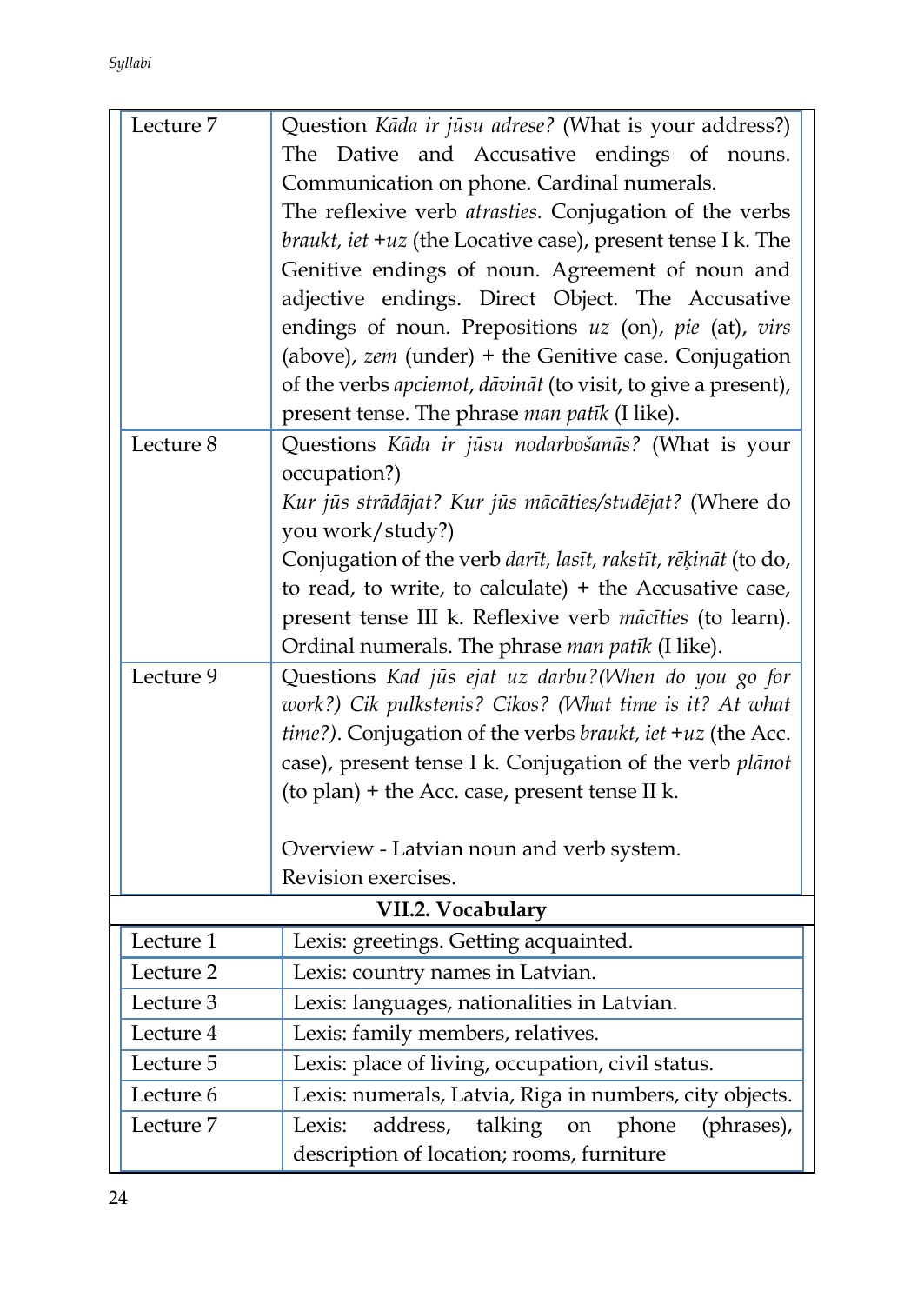| Lecture 7            | Question Kāda ir jūsu adrese? (What is your address?)                                  |  |  |  |  |
|----------------------|----------------------------------------------------------------------------------------|--|--|--|--|
|                      | The Dative and Accusative endings of nouns.                                            |  |  |  |  |
|                      | Communication on phone. Cardinal numerals.                                             |  |  |  |  |
|                      | The reflexive verb <i>atrasties</i> . Conjugation of the verbs                         |  |  |  |  |
|                      | braukt, iet +uz (the Locative case), present tense I k. The                            |  |  |  |  |
|                      | Genitive endings of noun. Agreement of noun and                                        |  |  |  |  |
|                      | adjective endings. Direct Object. The Accusative                                       |  |  |  |  |
|                      | endings of noun. Prepositions $uz$ (on), $pie$ (at), $virs$                            |  |  |  |  |
|                      | (above), $zem$ (under) + the Genitive case. Conjugation                                |  |  |  |  |
|                      | of the verbs apciemot, dāvināt (to visit, to give a present),                          |  |  |  |  |
|                      | present tense. The phrase man patik (I like).                                          |  |  |  |  |
| Lecture 8            | Questions Kāda ir jūsu nodarbošanās? (What is your                                     |  |  |  |  |
|                      | occupation?)                                                                           |  |  |  |  |
|                      | Kur jūs strādājat? Kur jūs mācāties/studējat? (Where do                                |  |  |  |  |
|                      | you work/study?)                                                                       |  |  |  |  |
|                      | Conjugation of the verb darīt, lasīt, rakstīt, rēķināt (to do,                         |  |  |  |  |
|                      | to read, to write, to calculate) $+$ the Accusative case,                              |  |  |  |  |
|                      | present tense III k. Reflexive verb mācīties (to learn).                               |  |  |  |  |
|                      | Ordinal numerals. The phrase man patik (I like).                                       |  |  |  |  |
| Lecture 9            | Questions Kad jūs ejat uz darbu? (When do you go for                                   |  |  |  |  |
|                      | work?) Cik pulkstenis? Cikos? (What time is it? At what                                |  |  |  |  |
|                      | time?). Conjugation of the verbs braukt, iet +uz (the Acc.                             |  |  |  |  |
|                      | case), present tense I k. Conjugation of the verb plānot                               |  |  |  |  |
|                      | (to plan) + the Acc. case, present tense II k.                                         |  |  |  |  |
|                      |                                                                                        |  |  |  |  |
|                      | Overview - Latvian noun and verb system.<br>Revision exercises.                        |  |  |  |  |
|                      | VII.2. Vocabulary                                                                      |  |  |  |  |
| Lecture 1            | Lexis: greetings. Getting acquainted.                                                  |  |  |  |  |
| Lecture 2            |                                                                                        |  |  |  |  |
| Lecture 3            | Lexis: country names in Latvian.                                                       |  |  |  |  |
| Lecture 4            | Lexis: languages, nationalities in Latvian.                                            |  |  |  |  |
| Lecture 5            | Lexis: family members, relatives.<br>Lexis: place of living, occupation, civil status. |  |  |  |  |
| Lecture 6            | Lexis: numerals, Latvia, Riga in numbers, city objects.                                |  |  |  |  |
| Lecture <sub>7</sub> | address,<br>talking<br>Lexis:<br>phone<br>(phrases),<br>on                             |  |  |  |  |
|                      | description of location; rooms, furniture                                              |  |  |  |  |
|                      |                                                                                        |  |  |  |  |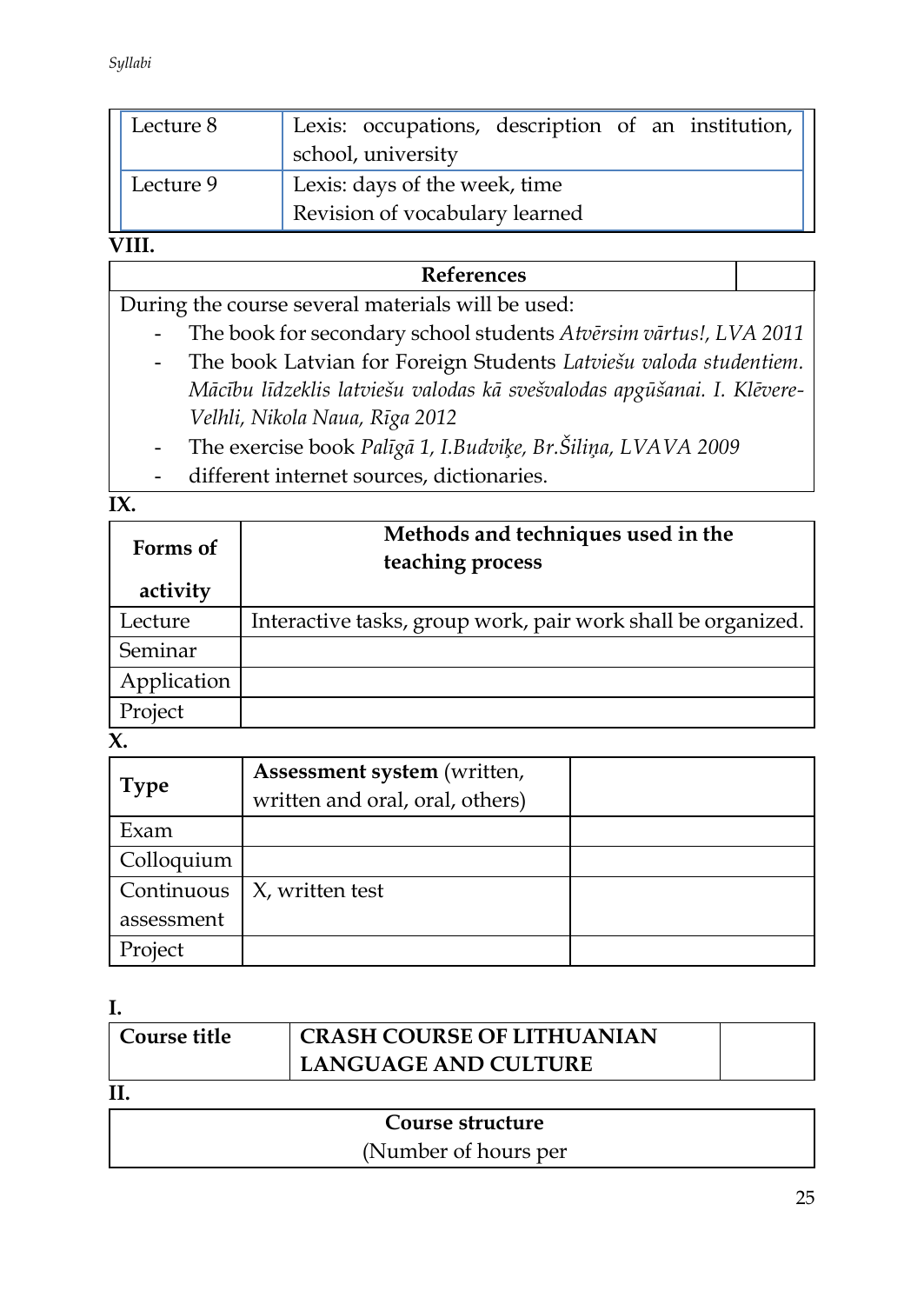| Lecture 8 | Lexis: occupations, description of an institution,<br>school, university |
|-----------|--------------------------------------------------------------------------|
| Lecture 9 | Lexis: days of the week, time<br>Revision of vocabulary learned          |

# **VIII.**

### **References**

During the course several materials will be used:

- The book for secondary school students *Atvērsim vārtus!, LVA 2011*
- The book Latvian for Foreign Students *Latviešu valoda studentiem. Mācību līdzeklis latviešu valodas kā svešvalodas apgūšanai. I. Klēvere-Velhli, Nikola Naua, Rīga 2012*
- The exercise book *Palīgā 1, I.Budviķe, Br.Šiliņa, LVAVA 2009*
- different internet sources, dictionaries.

**IX.** 

| Forms of    | Methods and techniques used in the<br>teaching process       |  |
|-------------|--------------------------------------------------------------|--|
| activity    |                                                              |  |
| Lecture     | Interactive tasks, group work, pair work shall be organized. |  |
| Seminar     |                                                              |  |
| Application |                                                              |  |
| Project     |                                                              |  |

**X.** 

| <b>Type</b> | Assessment system (written,<br>written and oral, oral, others) |  |
|-------------|----------------------------------------------------------------|--|
| Exam        |                                                                |  |
| Colloquium  |                                                                |  |
| Continuous  | X, written test                                                |  |
| assessment  |                                                                |  |
| Project     |                                                                |  |

**I.** 

| Course title | <b>CRASH COURSE OF LITHUANIAN</b> |  |  |  |  |  |
|--------------|-----------------------------------|--|--|--|--|--|
|              | LANGUAGE AND CULTURE              |  |  |  |  |  |
|              |                                   |  |  |  |  |  |
|              | Course structure                  |  |  |  |  |  |

# (Number of hours per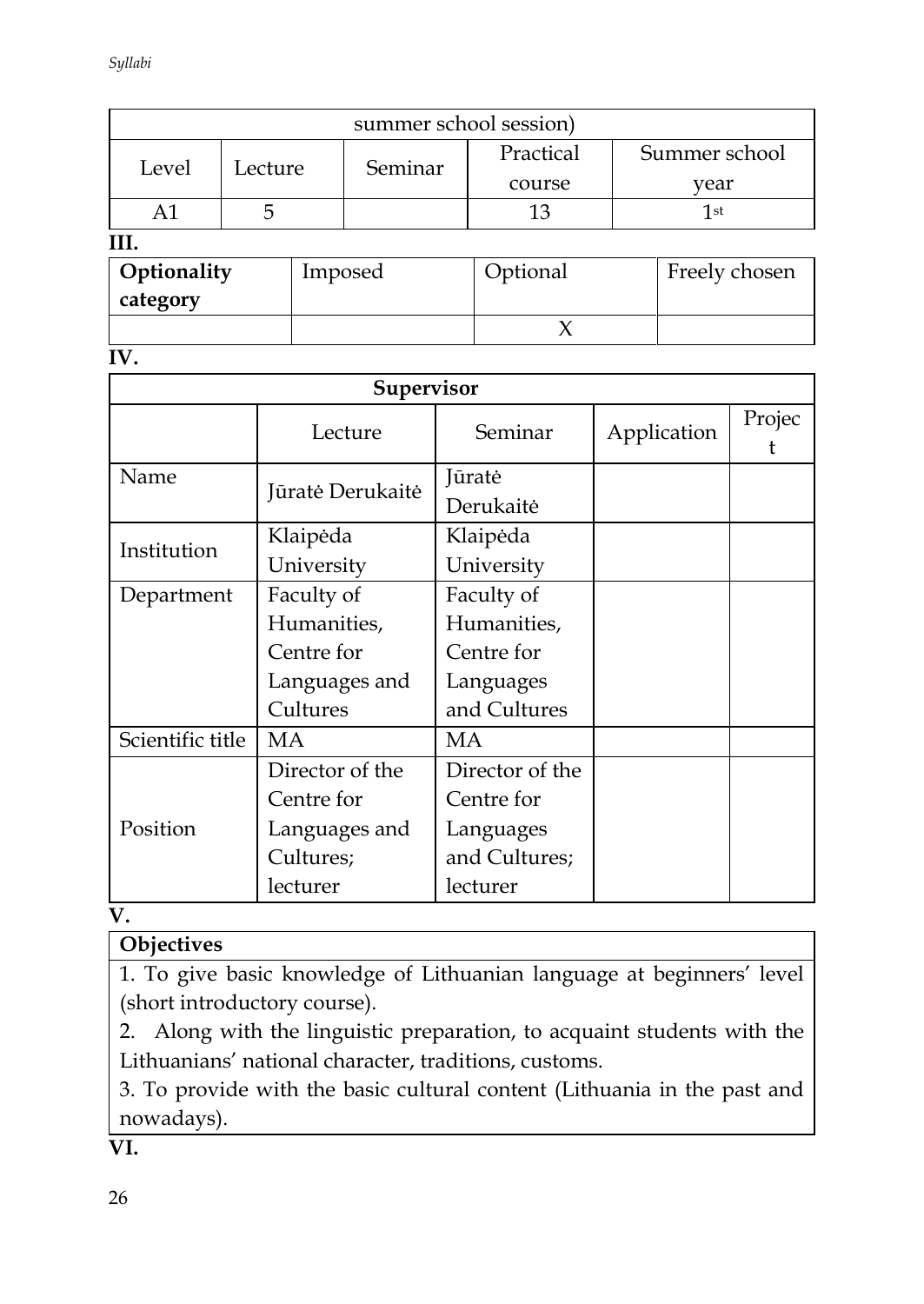| summer school session) |  |  |         |           |               |  |
|------------------------|--|--|---------|-----------|---------------|--|
| Level<br>Lecture       |  |  | Seminar | Practical | Summer school |  |
|                        |  |  |         | course    | vear          |  |
|                        |  |  |         | 13        | 1st           |  |
|                        |  |  |         |           |               |  |
| Optionality            |  |  | Imposed | Optional  | Freely chosen |  |

| Optionality | Imposed | Optional | Freely chosen |
|-------------|---------|----------|---------------|
| category    |         |          |               |
|             |         |          |               |

**IV.** 

| Supervisor       |                  |                     |             |        |  |
|------------------|------------------|---------------------|-------------|--------|--|
|                  | Lecture          | Seminar             | Application | Projec |  |
| Name             | Jūratė Derukaitė | Jūratė<br>Derukaitė |             |        |  |
| Institution      | Klaipėda         | Klaipėda            |             |        |  |
|                  | University       | University          |             |        |  |
| Department       | Faculty of       | Faculty of          |             |        |  |
|                  | Humanities,      | Humanities,         |             |        |  |
|                  | Centre for       | Centre for          |             |        |  |
|                  | Languages and    | Languages           |             |        |  |
|                  | Cultures         | and Cultures        |             |        |  |
| Scientific title | МA               | МA                  |             |        |  |
|                  | Director of the  | Director of the     |             |        |  |
|                  | Centre for       | Centre for          |             |        |  |
| Position         | Languages and    | Languages           |             |        |  |
|                  | Cultures;        | and Cultures;       |             |        |  |
|                  | lecturer         | lecturer            |             |        |  |

**V.**

# **Objectives**

1. To give basic knowledge of Lithuanian language at beginners' level (short introductory course).

2. Along with the linguistic preparation, to acquaint students with the Lithuanians' national character, traditions, customs.

3. To provide with the basic cultural content (Lithuania in the past and nowadays).

**VI.**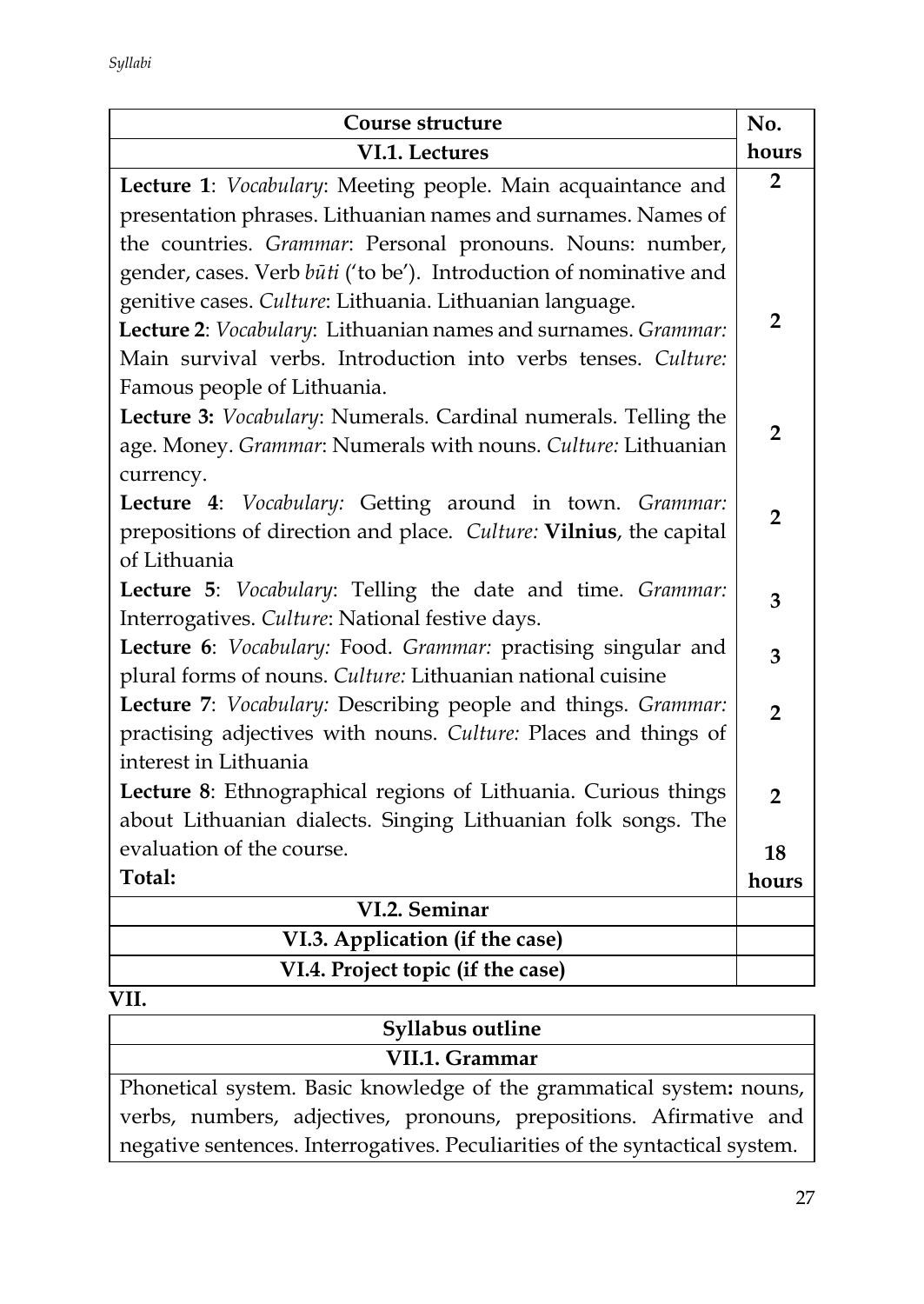| <b>Course structure</b>                                            | No.            |
|--------------------------------------------------------------------|----------------|
| VI.1. Lectures                                                     | hours          |
| Lecture 1: Vocabulary: Meeting people. Main acquaintance and       | $\overline{2}$ |
| presentation phrases. Lithuanian names and surnames. Names of      |                |
| the countries. Grammar: Personal pronouns. Nouns: number,          |                |
| gender, cases. Verb būti ('to be'). Introduction of nominative and |                |
| genitive cases. Culture: Lithuania. Lithuanian language.           |                |
| Lecture 2: Vocabulary: Lithuanian names and surnames. Grammar:     | $\overline{2}$ |
| Main survival verbs. Introduction into verbs tenses. Culture:      |                |
| Famous people of Lithuania.                                        |                |
| Lecture 3: Vocabulary: Numerals. Cardinal numerals. Telling the    |                |
| age. Money. Grammar: Numerals with nouns. Culture: Lithuanian      | $\overline{2}$ |
| currency.                                                          |                |
| Lecture 4: Vocabulary: Getting around in town. Grammar:            | $\overline{2}$ |
| prepositions of direction and place. Culture: Vilnius, the capital |                |
| of Lithuania                                                       |                |
| Lecture 5: Vocabulary: Telling the date and time. Grammar:         | 3              |
| Interrogatives. Culture: National festive days.                    |                |
| Lecture 6: Vocabulary: Food. Grammar: practising singular and      | 3              |
| plural forms of nouns. Culture: Lithuanian national cuisine        |                |
| Lecture 7: Vocabulary: Describing people and things. Grammar:      | $\overline{2}$ |
| practising adjectives with nouns. Culture: Places and things of    |                |
| interest in Lithuania                                              |                |
| Lecture 8: Ethnographical regions of Lithuania. Curious things     | $\overline{2}$ |
| about Lithuanian dialects. Singing Lithuanian folk songs. The      |                |
| evaluation of the course.                                          | 18             |
| Total:                                                             | hours          |
| VI.2. Seminar                                                      |                |
| VI.3. Application (if the case)                                    |                |
| VI.4. Project topic (if the case)                                  |                |

| Syllabus outline                                                             |
|------------------------------------------------------------------------------|
| VII.1. Grammar                                                               |
| Phonetical system. Basic knowledge of the grammatical system: nouns,         |
| verbs, numbers, adjectives, pronouns, prepositions. Afirmative and           |
| negative sentences. Interrogatives. Peculiarities of the syntactical system. |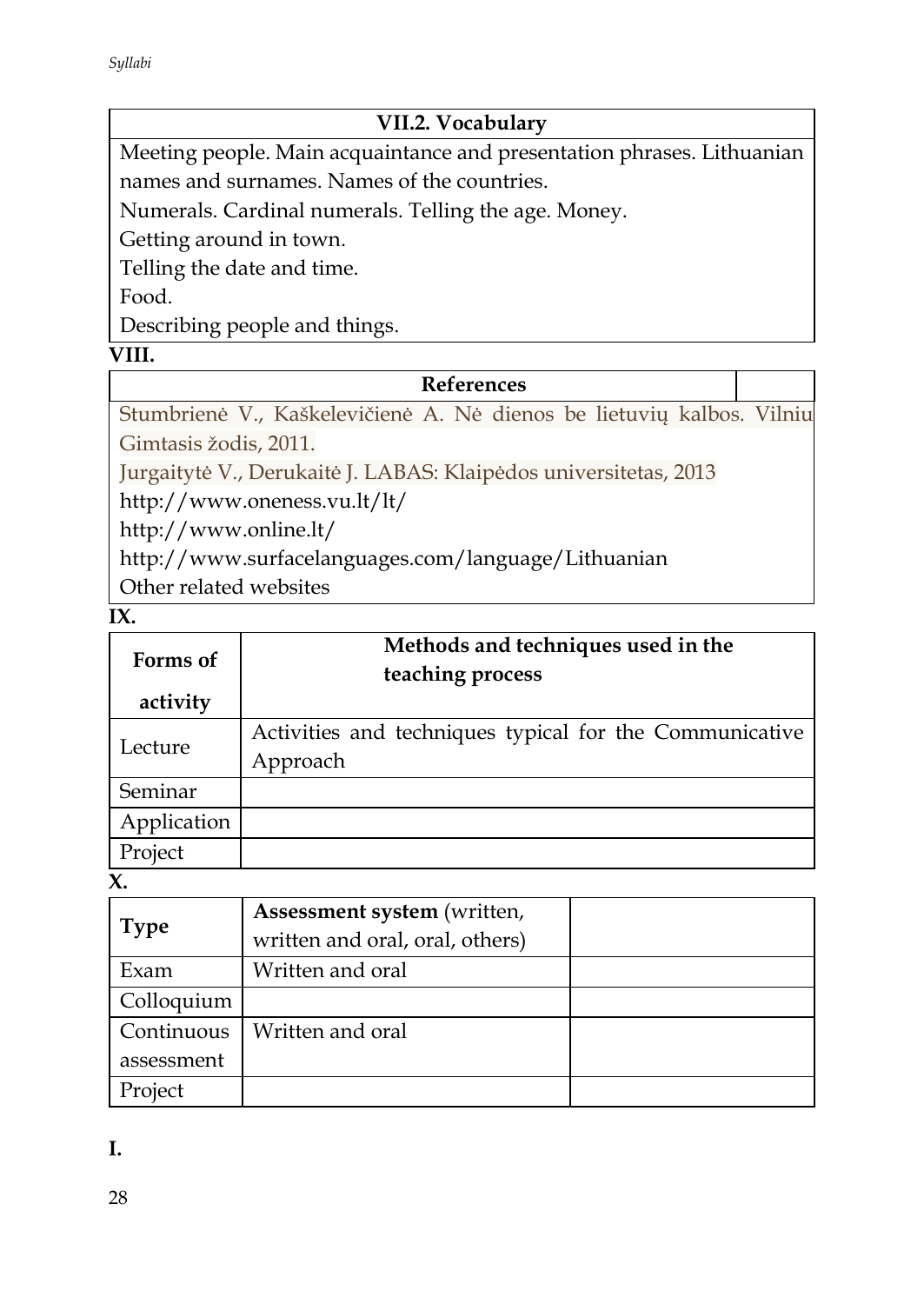### **VII.2. Vocabulary**

Meeting people. Main acquaintance and presentation phrases. Lithuanian names and surnames. Names of the countries.

Numerals. Cardinal numerals. Telling the age. Money.

Getting around in town.

Telling the date and time.

Food.

Describing people and things.

#### **VIII.**

#### **References**

Stumbrienė V., Kaškelevičienė A. Nė dienos be lietuvių kalbos. Vilniu Gimtasis žodis, 2011.

Jurgaitytė V., Derukaitė J. LABAS: Klaipėdos universitetas, 2013

http://www.oneness.vu.lt/lt/

http://www.online.lt/

http://www.surfacelanguages.com/language/Lithuanian

Other related websites

**IX.** 

| Forms of    | Methods and techniques used in the<br>teaching process  |  |
|-------------|---------------------------------------------------------|--|
| activity    |                                                         |  |
| Lecture     | Activities and techniques typical for the Communicative |  |
|             | Approach                                                |  |
| Seminar     |                                                         |  |
| Application |                                                         |  |
| Project     |                                                         |  |

**X.** 

| <b>Type</b> | Assessment system (written,     |  |
|-------------|---------------------------------|--|
|             | written and oral, oral, others) |  |
| Exam        | Written and oral                |  |
| Colloquium  |                                 |  |
| Continuous  | Written and oral                |  |
| assessment  |                                 |  |
| Project     |                                 |  |

**I.**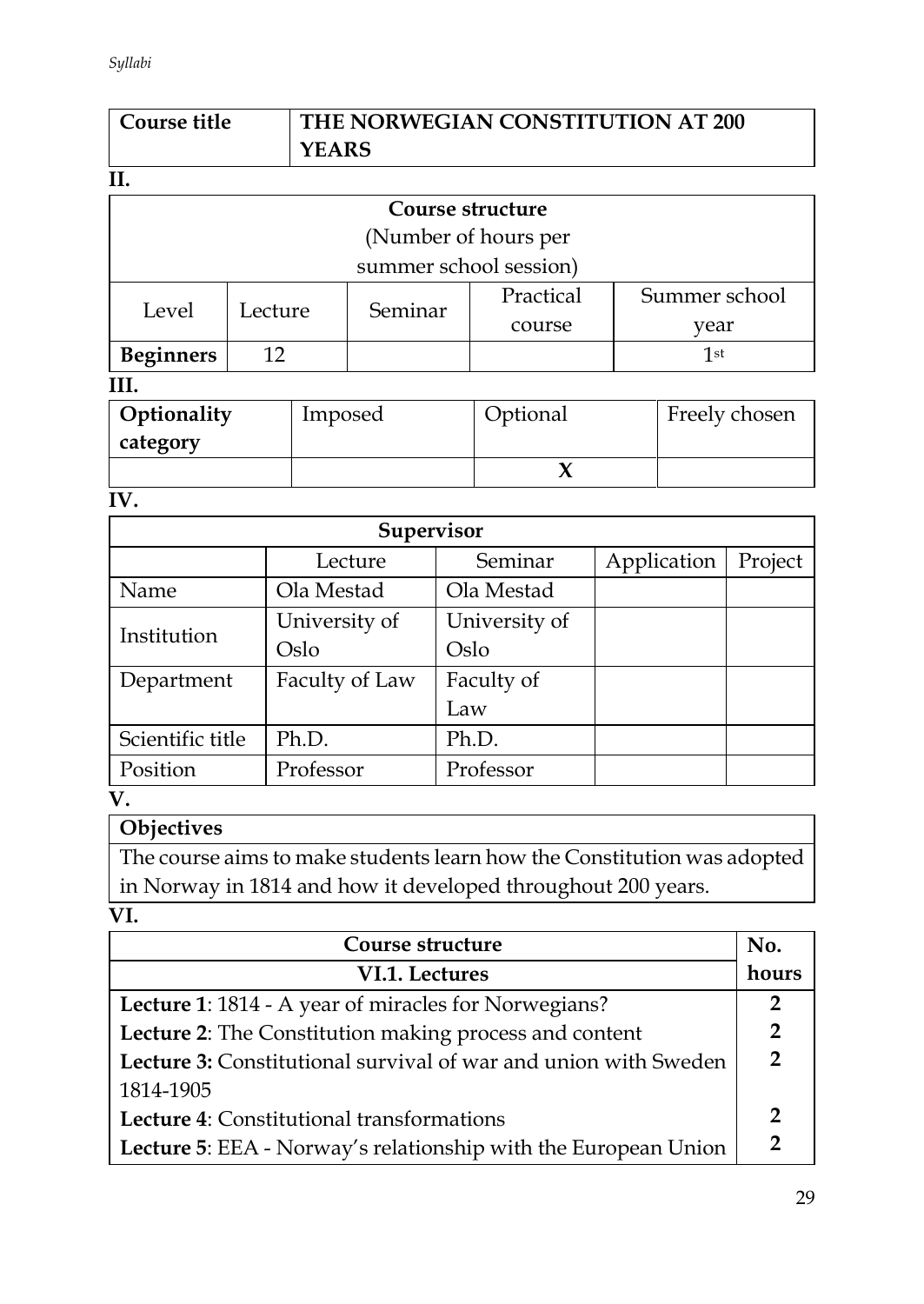| Course title | THE NORWEGIAN CONSTITUTION AT 200 |
|--------------|-----------------------------------|
|              | <b>YEARS</b>                      |

|                  |                        | Course structure     |           |               |  |
|------------------|------------------------|----------------------|-----------|---------------|--|
|                  |                        | (Number of hours per |           |               |  |
|                  | summer school session) |                      |           |               |  |
| Level            | Lecture                | Seminar              | Practical | Summer school |  |
|                  |                        |                      | course    | year          |  |
| <b>Beginners</b> | 12                     |                      |           | 1st           |  |
|                  |                        |                      |           |               |  |

| Optionality | Imposed | Optional | Freely chosen |
|-------------|---------|----------|---------------|
| category    |         |          |               |
|             |         |          |               |

**IV.** 

| Supervisor       |                |               |             |         |
|------------------|----------------|---------------|-------------|---------|
|                  | Lecture        | Seminar       | Application | Project |
| Name             | Ola Mestad     | Ola Mestad    |             |         |
| Institution      | University of  | University of |             |         |
|                  | Oslo           | Oslo          |             |         |
| Department       | Faculty of Law | Faculty of    |             |         |
|                  |                | Law           |             |         |
| Scientific title | Ph.D.          | Ph.D.         |             |         |
| Position         | Professor      | Professor     |             |         |
| τz               |                |               |             |         |

**V.**

# **Objectives**

The course aims to make students learn how the Constitution was adopted in Norway in 1814 and how it developed throughout 200 years.

**VI.** 

| Course structure                                                       |                |
|------------------------------------------------------------------------|----------------|
| VI.1. Lectures                                                         | hours          |
| Lecture 1: 1814 - A year of miracles for Norwegians?                   | 2              |
| Lecture 2: The Constitution making process and content                 | $\overline{2}$ |
| <b>Lecture 3:</b> Constitutional survival of war and union with Sweden |                |
| 1814-1905                                                              |                |
| Lecture 4: Constitutional transformations                              | 2              |
| Lecture 5: EEA - Norway's relationship with the European Union         | າ              |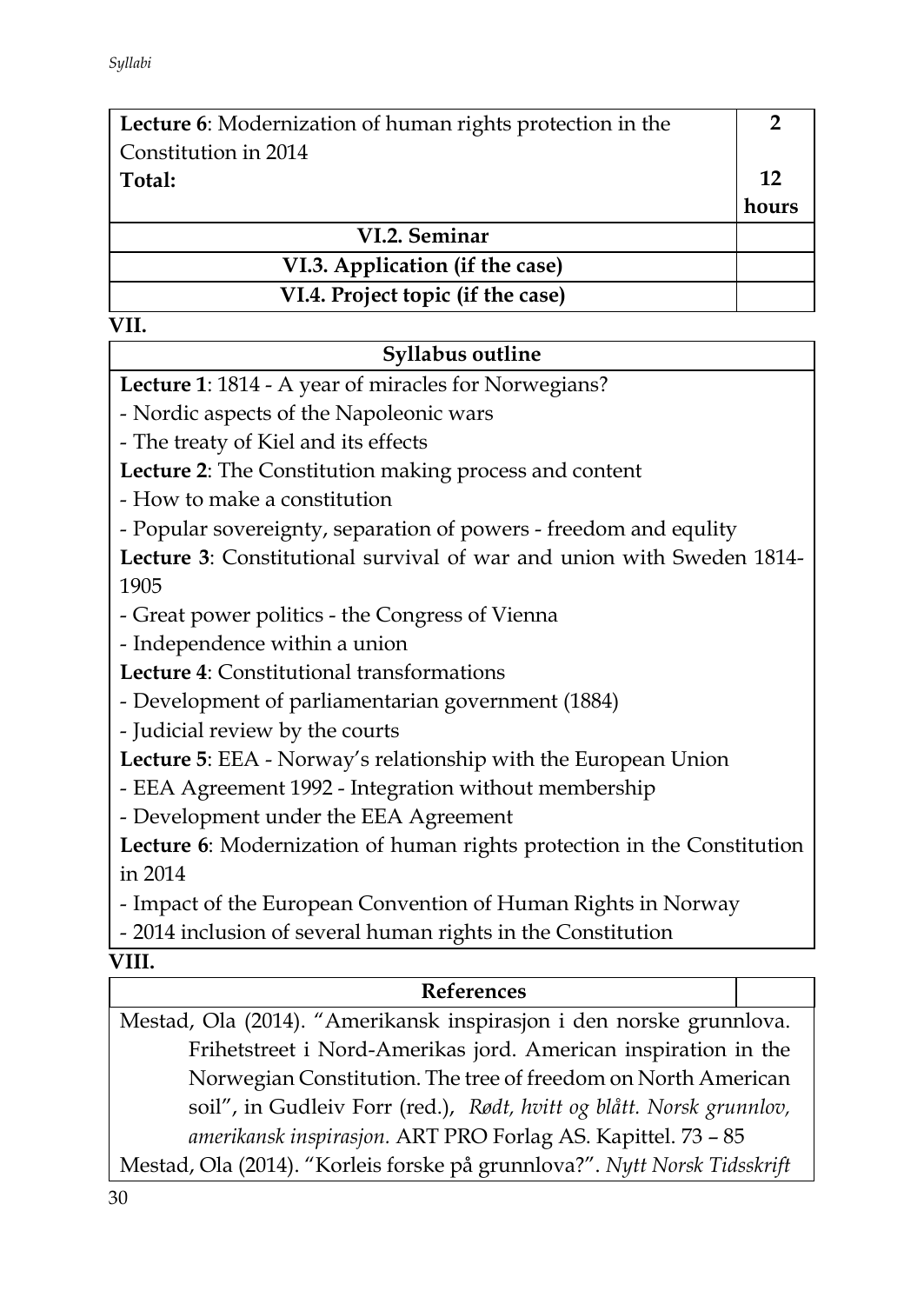| Lecture 6: Modernization of human rights protection in the |       |
|------------------------------------------------------------|-------|
| Constitution in 2014                                       |       |
| Total:                                                     | 12    |
|                                                            | hours |
| VI.2. Seminar                                              |       |
| VI.3. Application (if the case)                            |       |
| VI.4. Project topic (if the case)                          |       |

### **Syllabus outline**

**Lecture 1**: 1814 - A year of miracles for Norwegians?

- Nordic aspects of the Napoleonic wars

- The treaty of Kiel and its effects

**Lecture 2**: The Constitution making process and content

- How to make a constitution

- Popular sovereignty, separation of powers - freedom and equlity

**Lecture 3**: Constitutional survival of war and union with Sweden 1814- 1905

- Great power politics - the Congress of Vienna

- Independence within a union

**Lecture 4**: Constitutional transformations

- Development of parliamentarian government (1884)

- Judicial review by the courts

**Lecture 5**: EEA - Norway's relationship with the European Union

- EEA Agreement 1992 - Integration without membership

- Development under the EEA Agreement

**Lecture 6**: Modernization of human rights protection in the Constitution in 2014

- Impact of the European Convention of Human Rights in Norway

- 2014 inclusion of several human rights in the Constitution

### **VIII.**

### **References**

Mestad, Ola (2014). "Amerikansk inspirasjon i den norske grunnlova. Frihetstreet i Nord-Amerikas jord. American inspiration in the Norwegian Constitution. The tree of freedom on North American soil", in Gudleiv Forr (red.), *Rødt, hvitt og blått. Norsk grunnlov, amerikansk inspirasjon.* ART PRO Forlag AS. Kapittel. 73 – 85

Mestad, Ola (2014). "Korleis forske på grunnlova?". *Nytt Norsk Tidsskrift*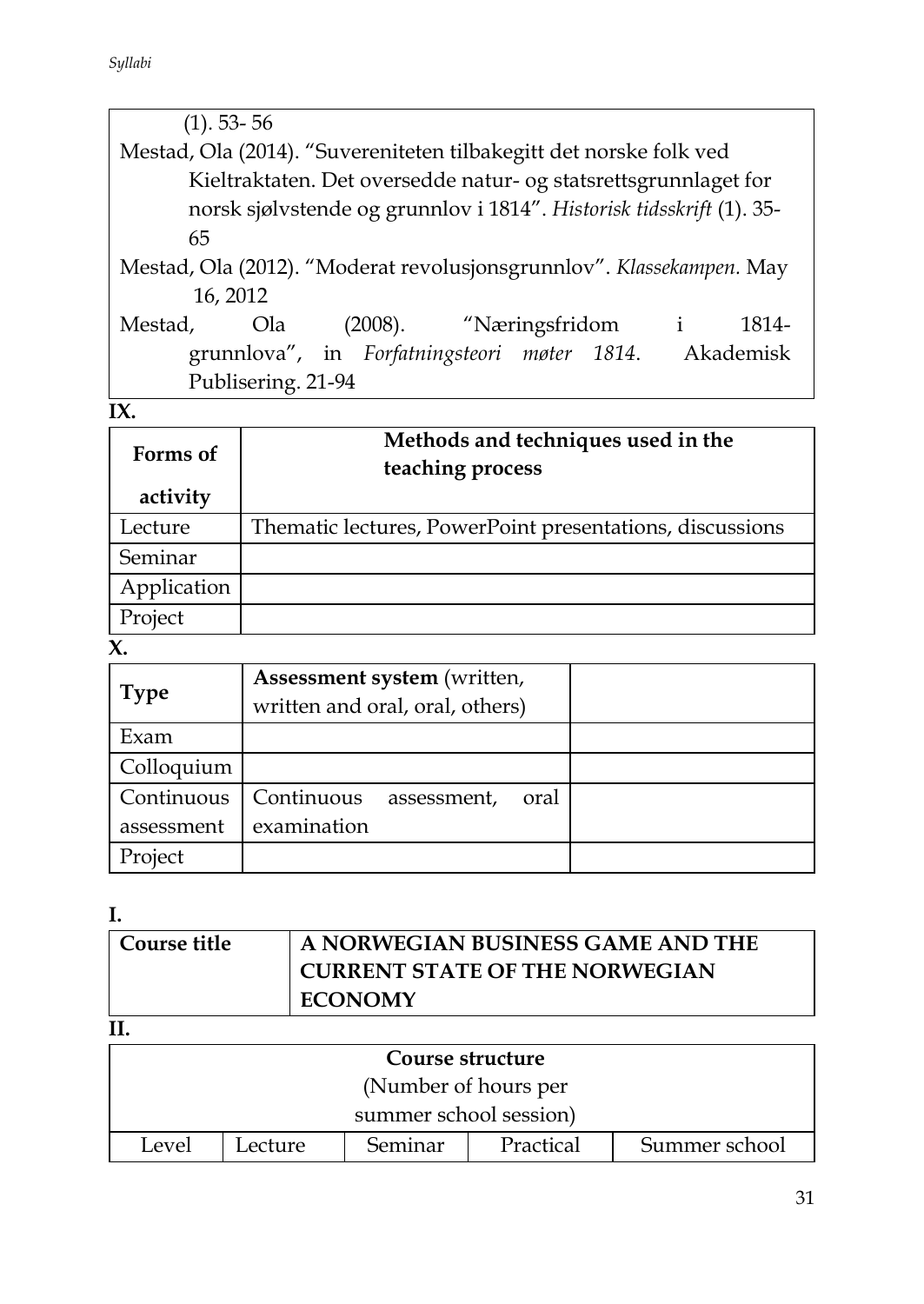| $(1)$ . 53-56                                                        |                       |  |  |
|----------------------------------------------------------------------|-----------------------|--|--|
| Mestad, Ola (2014). "Suvereniteten tilbakegitt det norske folk ved   |                       |  |  |
| Kieltraktaten. Det oversedde natur- og statsrettsgrunnlaget for      |                       |  |  |
| norsk sjølvstende og grunnlov i 1814". Historisk tidsskrift (1). 35- |                       |  |  |
| 65                                                                   |                       |  |  |
| Mestad, Ola (2012). "Moderat revolusjonsgrunnlov". Klassekampen. May |                       |  |  |
| 16, 2012                                                             |                       |  |  |
| (2008). "Næringsfridom<br>Mestad,<br>Ola                             | $\mathbf{i}$<br>1814- |  |  |
| grunnlova", in Forfatningsteori møter 1814.                          | Akademisk             |  |  |
| Publisering. 21-94                                                   |                       |  |  |
|                                                                      |                       |  |  |

| Forms of    | Methods and techniques used in the<br>teaching process   |
|-------------|----------------------------------------------------------|
| activity    |                                                          |
| Lecture     | Thematic lectures, PowerPoint presentations, discussions |
| Seminar     |                                                          |
| Application |                                                          |
| Project     |                                                          |

# **X.**

| <b>Type</b> | Assessment system (written,<br>written and oral, oral, others) |  |
|-------------|----------------------------------------------------------------|--|
| Exam        |                                                                |  |
| Colloquium  |                                                                |  |
| Continuous  | Continuous<br>assessment,<br>oral                              |  |
| assessment  | examination                                                    |  |
| Project     |                                                                |  |

# **I.**

| Course title | A NORWEGIAN BUSINESS GAME AND THE     |
|--------------|---------------------------------------|
|              | <b>CURRENT STATE OF THE NORWEGIAN</b> |
|              | <b>ECONOMY</b>                        |

# **II.**

| ---              |         |                        |           |               |
|------------------|---------|------------------------|-----------|---------------|
| Course structure |         |                        |           |               |
|                  |         | (Number of hours per   |           |               |
|                  |         | summer school session) |           |               |
| Level            | Lecture | Seminar                | Practical | Summer school |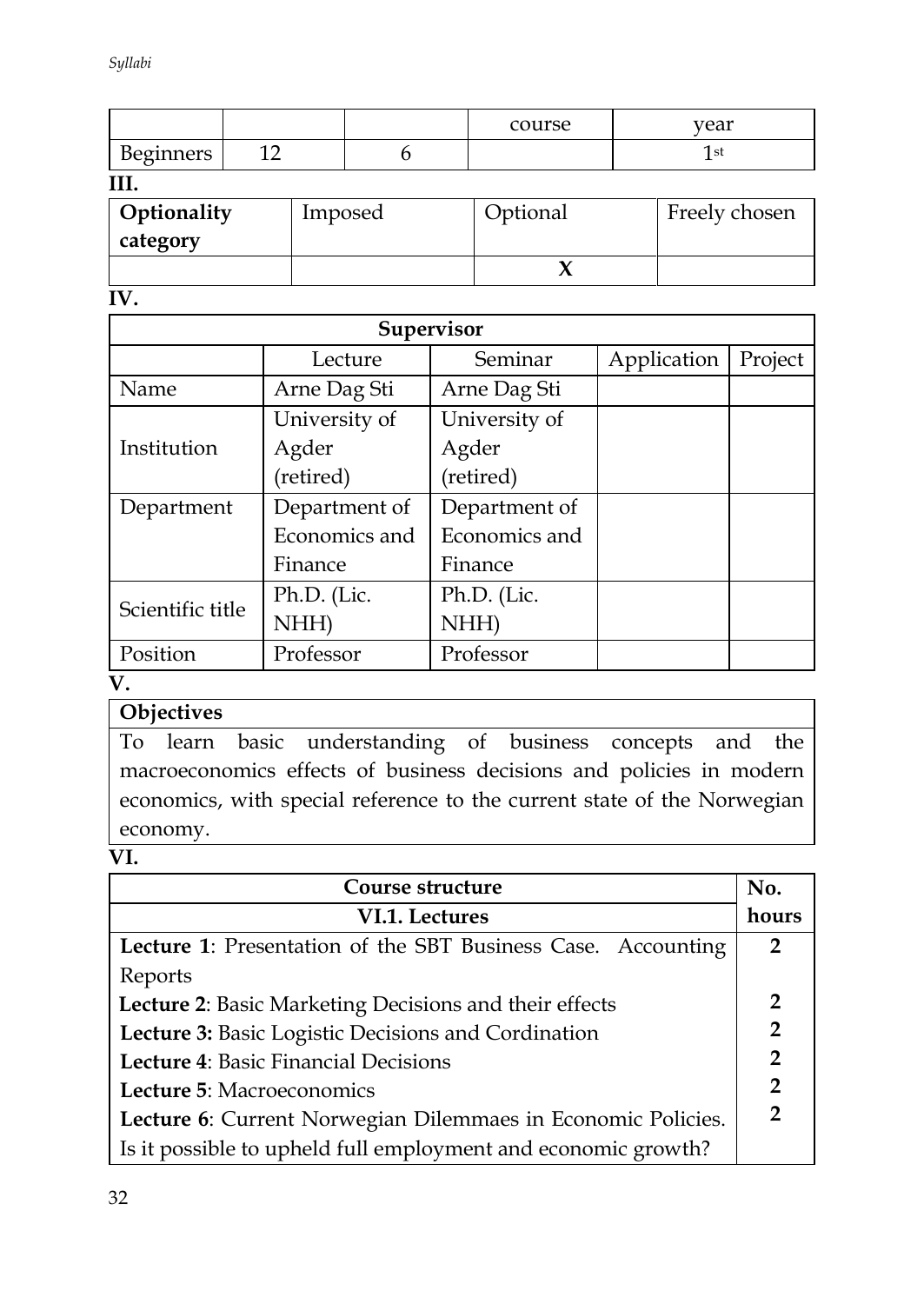|           |    | course | year         |
|-----------|----|--------|--------------|
| Beginners | -- |        | <sub>S</sub> |

**III.**

| Optionality | Imposed | Optional | Freely chosen |
|-------------|---------|----------|---------------|
| category    |         |          |               |
|             |         |          |               |

**IV.** 

| Supervisor       |               |               |             |         |  |
|------------------|---------------|---------------|-------------|---------|--|
|                  | Lecture       | Seminar       | Application | Project |  |
| Name             | Arne Dag Sti  | Arne Dag Sti  |             |         |  |
|                  | University of | University of |             |         |  |
| Institution      | Agder         | Agder         |             |         |  |
|                  | (retired)     | (retired)     |             |         |  |
| Department       | Department of | Department of |             |         |  |
|                  | Economics and | Economics and |             |         |  |
|                  | Finance       | Finance       |             |         |  |
| Scientific title | Ph.D. (Lic.   | Ph.D. (Lic.   |             |         |  |
|                  | NHH)          | NHH)          |             |         |  |
| Position         | Professor     | Professor     |             |         |  |

### **V.**

# **Objectives**

To learn basic understanding of business concepts and the macroeconomics effects of business decisions and policies in modern economics, with special reference to the current state of the Norwegian economy.

#### **VI.**

| Course structure                                              | No.            |
|---------------------------------------------------------------|----------------|
| VI.1. Lectures                                                | hours          |
| Lecture 1: Presentation of the SBT Business Case. Accounting  | $\overline{2}$ |
| Reports                                                       |                |
| Lecture 2: Basic Marketing Decisions and their effects        | $\overline{2}$ |
| Lecture 3: Basic Logistic Decisions and Cordination           | $\mathbf{2}$   |
| <b>Lecture 4: Basic Financial Decisions</b>                   | $\overline{2}$ |
| Lecture 5: Macroeconomics                                     | $\mathbf{2}$   |
| Lecture 6: Current Norwegian Dilemmaes in Economic Policies.  |                |
| Is it possible to upheld full employment and economic growth? |                |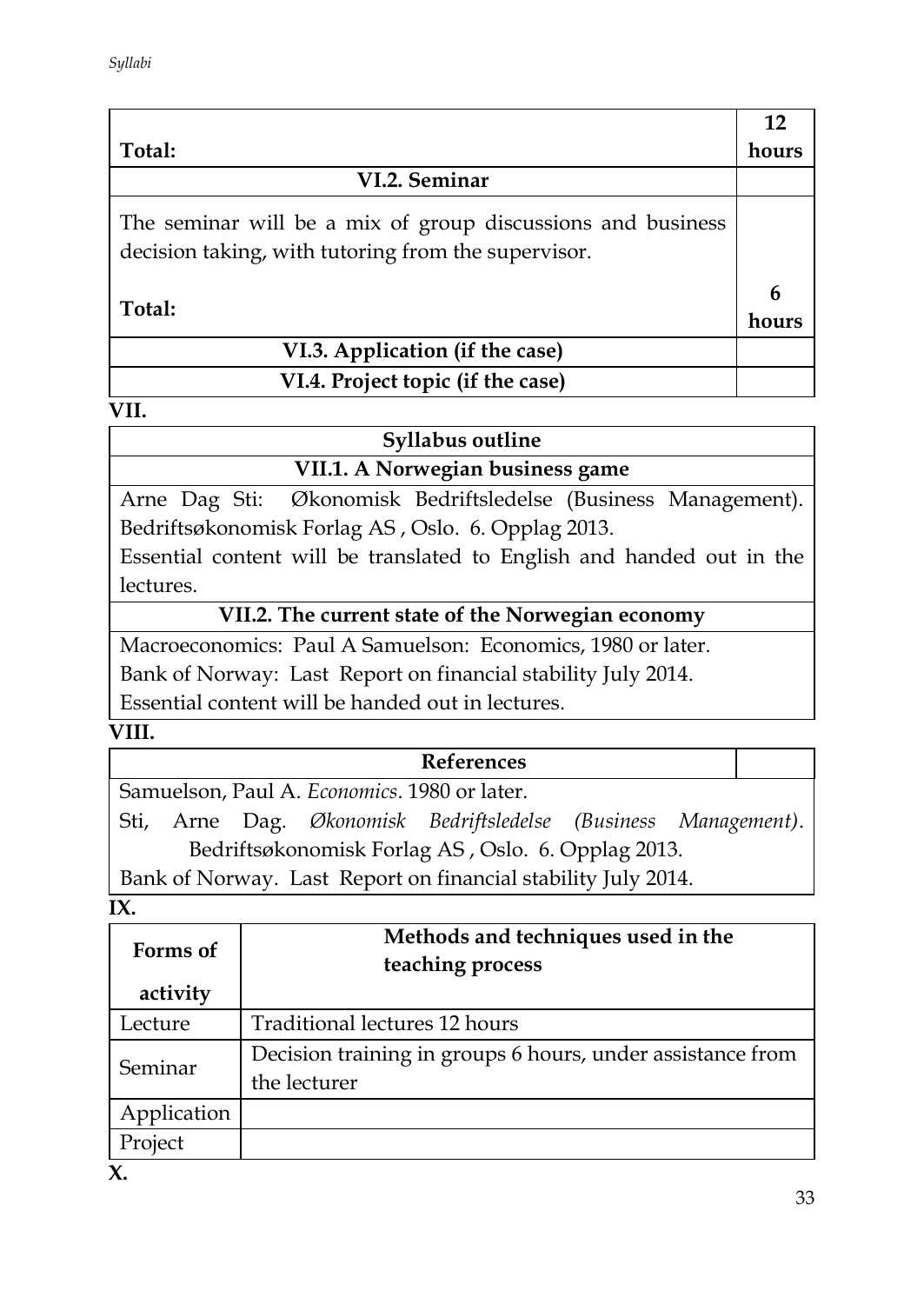|                                                                                                                    | 12         |
|--------------------------------------------------------------------------------------------------------------------|------------|
| Total:                                                                                                             | hours      |
| VI.2. Seminar                                                                                                      |            |
| The seminar will be a mix of group discussions and business<br>decision taking, with tutoring from the supervisor. |            |
| Total:                                                                                                             | 6<br>hours |
| VI.3. Application (if the case)                                                                                    |            |
| VI.4. Project topic (if the case)                                                                                  |            |

| Syllabus outline                 |  |
|----------------------------------|--|
| VII.1. A Norwegian business game |  |

Arne Dag Sti: Økonomisk Bedriftsledelse (Business Management). Bedriftsøkonomisk Forlag AS , Oslo. 6. Opplag 2013.

Essential content will be translated to English and handed out in the lectures.

### **VII.2. The current state of the Norwegian economy**

Macroeconomics: Paul A Samuelson: Economics, 1980 or later. Bank of Norway: Last Report on financial stability July 2014. Essential content will be handed out in lectures.

### **VIII.**

|  |                                              | <b>References</b>                                               |  |
|--|----------------------------------------------|-----------------------------------------------------------------|--|
|  | Samuelson, Paul A. Economics. 1980 or later. |                                                                 |  |
|  |                                              | Sti, Arne Dag. Økonomisk Bedriftsledelse (Business Management). |  |
|  |                                              | Bedriftsøkonomisk Forlag AS, Oslo. 6. Opplag 2013.              |  |
|  |                                              | Bank of Norway. Last Report on financial stability July 2014.   |  |

**IX.** 

| Forms of    | Methods and techniques used in the<br>teaching process                     |
|-------------|----------------------------------------------------------------------------|
| activity    |                                                                            |
| Lecture     | Traditional lectures 12 hours                                              |
| Seminar     | Decision training in groups 6 hours, under assistance from<br>the lecturer |
| Application |                                                                            |
| Project     |                                                                            |
| v           |                                                                            |

**X.**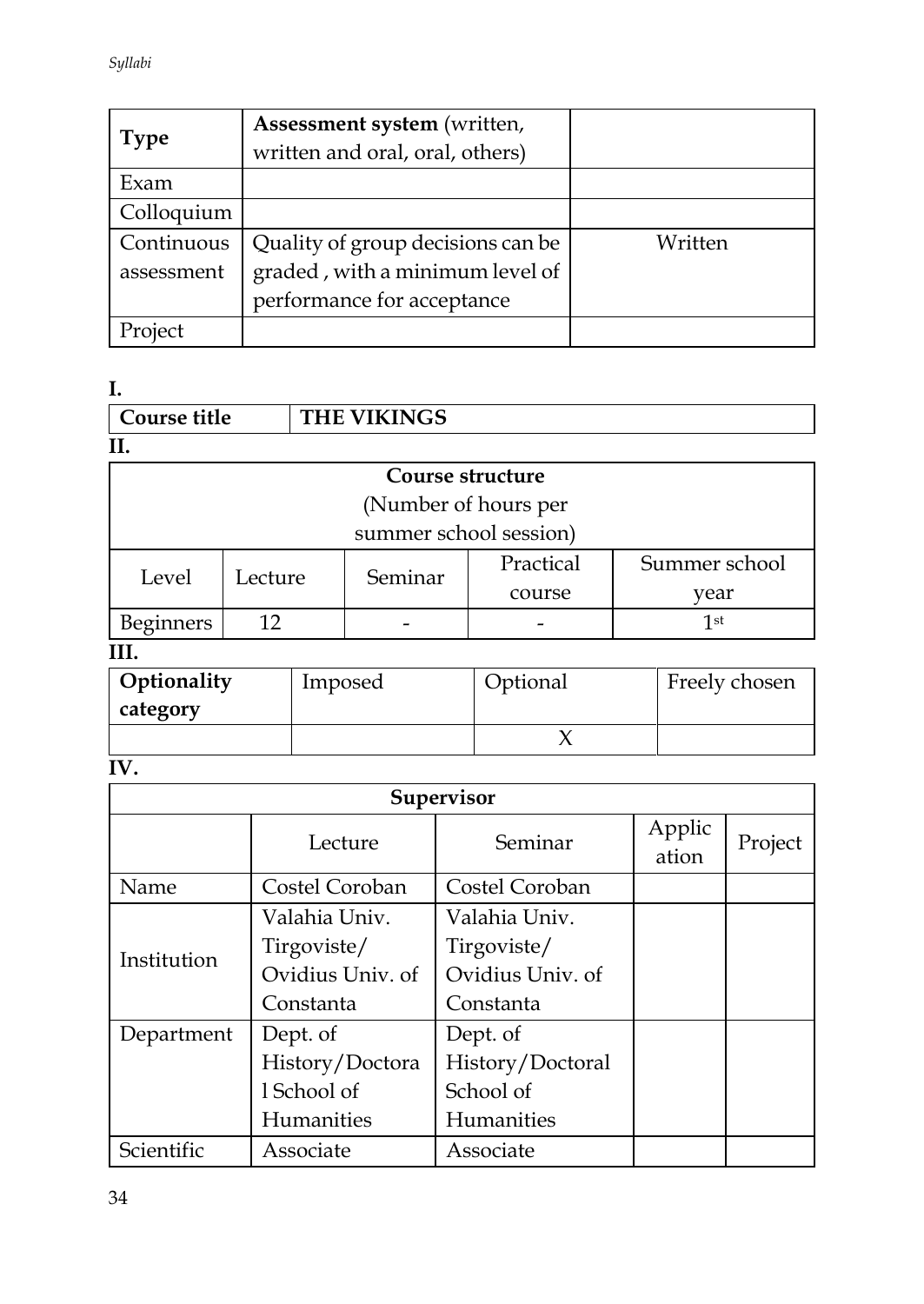| Type       | Assessment system (written,<br>written and oral, oral, others) |         |
|------------|----------------------------------------------------------------|---------|
| Exam       |                                                                |         |
| Colloquium |                                                                |         |
| Continuous | Quality of group decisions can be                              | Written |
| assessment | graded, with a minimum level of                                |         |
|            | performance for acceptance                                     |         |
| Project    |                                                                |         |

**I.** 

| Course title     |                      |  | <b>THE VIKINGS</b>     |           |               |
|------------------|----------------------|--|------------------------|-----------|---------------|
|                  |                      |  |                        |           |               |
|                  |                      |  | Course structure       |           |               |
|                  | (Number of hours per |  |                        |           |               |
|                  |                      |  | summer school session) |           |               |
| Level            | Lecture              |  | Seminar                | Practical | Summer school |
|                  |                      |  |                        | course    | year          |
| <b>Beginners</b> | 12                   |  |                        |           | 1st           |

**III.**

| Optionality<br>category | Imposed | Optional | Freely chosen |
|-------------------------|---------|----------|---------------|
|                         |         |          |               |

# **IV.**

|             | <b>Supervisor</b> |                   |                 |         |  |  |
|-------------|-------------------|-------------------|-----------------|---------|--|--|
|             | Lecture           | Seminar           | Applic<br>ation | Project |  |  |
| Name        | Costel Coroban    | Costel Coroban    |                 |         |  |  |
|             | Valahia Univ.     | Valahia Univ.     |                 |         |  |  |
| Institution | Tirgoviste/       | Tirgoviste/       |                 |         |  |  |
|             | Ovidius Univ. of  | Ovidius Univ. of  |                 |         |  |  |
|             | Constanta         | Constanta         |                 |         |  |  |
| Department  | Dept. of          | Dept. of          |                 |         |  |  |
|             | History/Doctora   | History/Doctoral  |                 |         |  |  |
|             | 1 School of       | School of         |                 |         |  |  |
|             | <b>Humanities</b> | <b>Humanities</b> |                 |         |  |  |
| Scientific  | Associate         | Associate         |                 |         |  |  |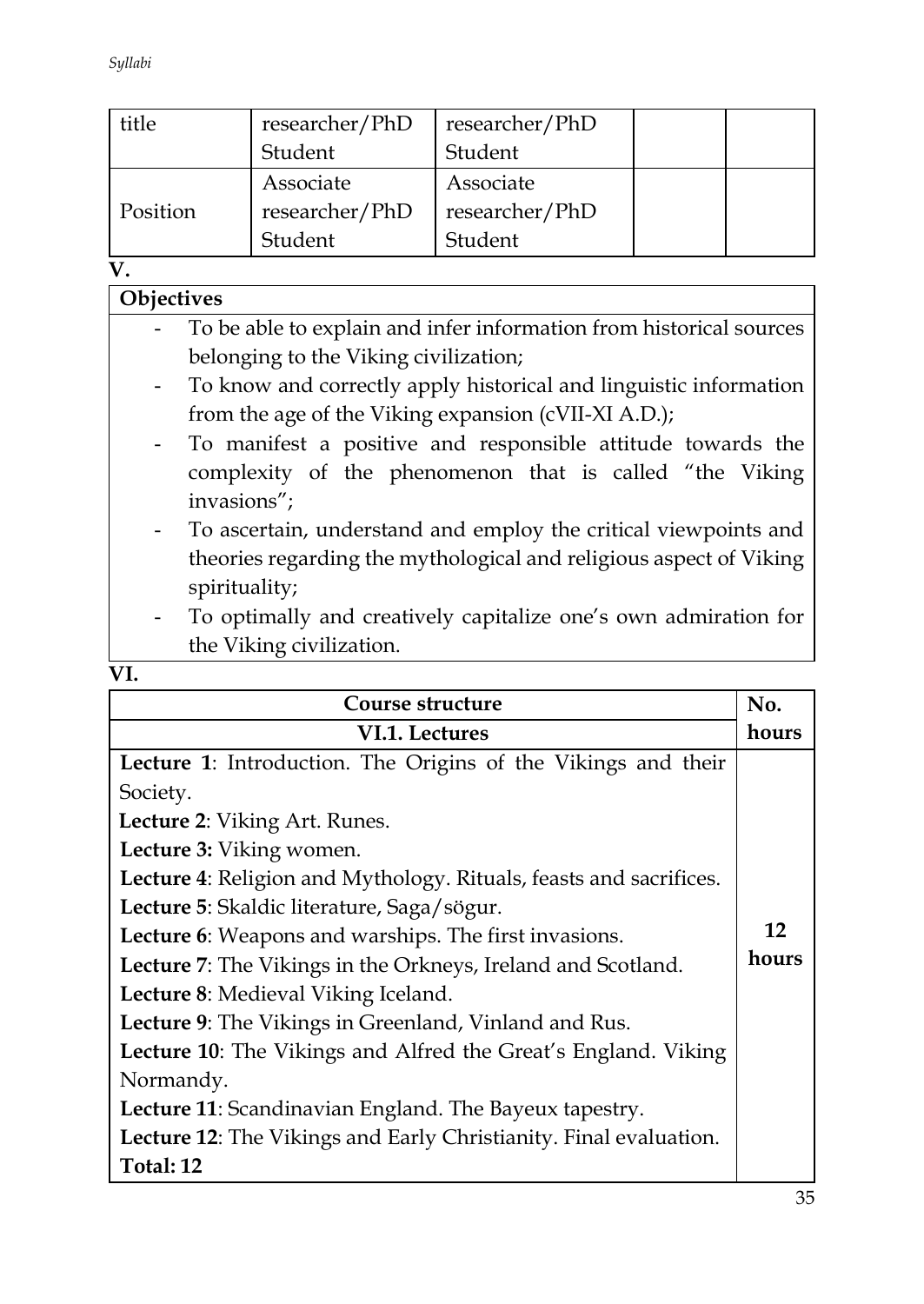*Syllabi*

| title    | researcher/PhD<br>researcher/PhD |                |  |
|----------|----------------------------------|----------------|--|
|          | Student                          | Student        |  |
|          | Associate                        | Associate      |  |
| Position | researcher/PhD                   | researcher/PhD |  |
|          | Student                          | Student        |  |

**V.**

| Objectives                                                          |  |
|---------------------------------------------------------------------|--|
| To be able to explain and infer information from historical sources |  |
| belonging to the Viking civilization;                               |  |
| To know and correctly apply historical and linguistic information   |  |
| from the age of the Viking expansion (cVII-XI A.D.);                |  |
| - To manifest a positive and responsible attitude towards the       |  |
| complexity of the phenomenon that is called "the Viking             |  |
| invasions";                                                         |  |
| - To ascertain, understand and employ the critical viewpoints and   |  |
| theories regarding the mythological and religious aspect of Viking  |  |
| spirituality;                                                       |  |
| To optimally and creatively capitalize one's own admiration for     |  |
| the Viking civilization.                                            |  |
| VI.                                                                 |  |

| Course structure                                                   | No.   |
|--------------------------------------------------------------------|-------|
| VI.1. Lectures                                                     | hours |
| Lecture 1: Introduction. The Origins of the Vikings and their      |       |
| Society.                                                           |       |
| Lecture 2: Viking Art. Runes.                                      |       |
| Lecture 3: Viking women.                                           |       |
| Lecture 4: Religion and Mythology. Rituals, feasts and sacrifices. |       |
| Lecture 5: Skaldic literature, Saga/sögur.                         |       |
| Lecture 6: Weapons and warships. The first invasions.              |       |
| Lecture 7: The Vikings in the Orkneys, Ireland and Scotland.       | hours |
| Lecture 8: Medieval Viking Iceland.                                |       |
| Lecture 9: The Vikings in Greenland, Vinland and Rus.              |       |
| Lecture 10: The Vikings and Alfred the Great's England. Viking     |       |
| Normandy.                                                          |       |
| Lecture 11: Scandinavian England. The Bayeux tapestry.             |       |
| Lecture 12: The Vikings and Early Christianity. Final evaluation.  |       |
| Total: 12                                                          |       |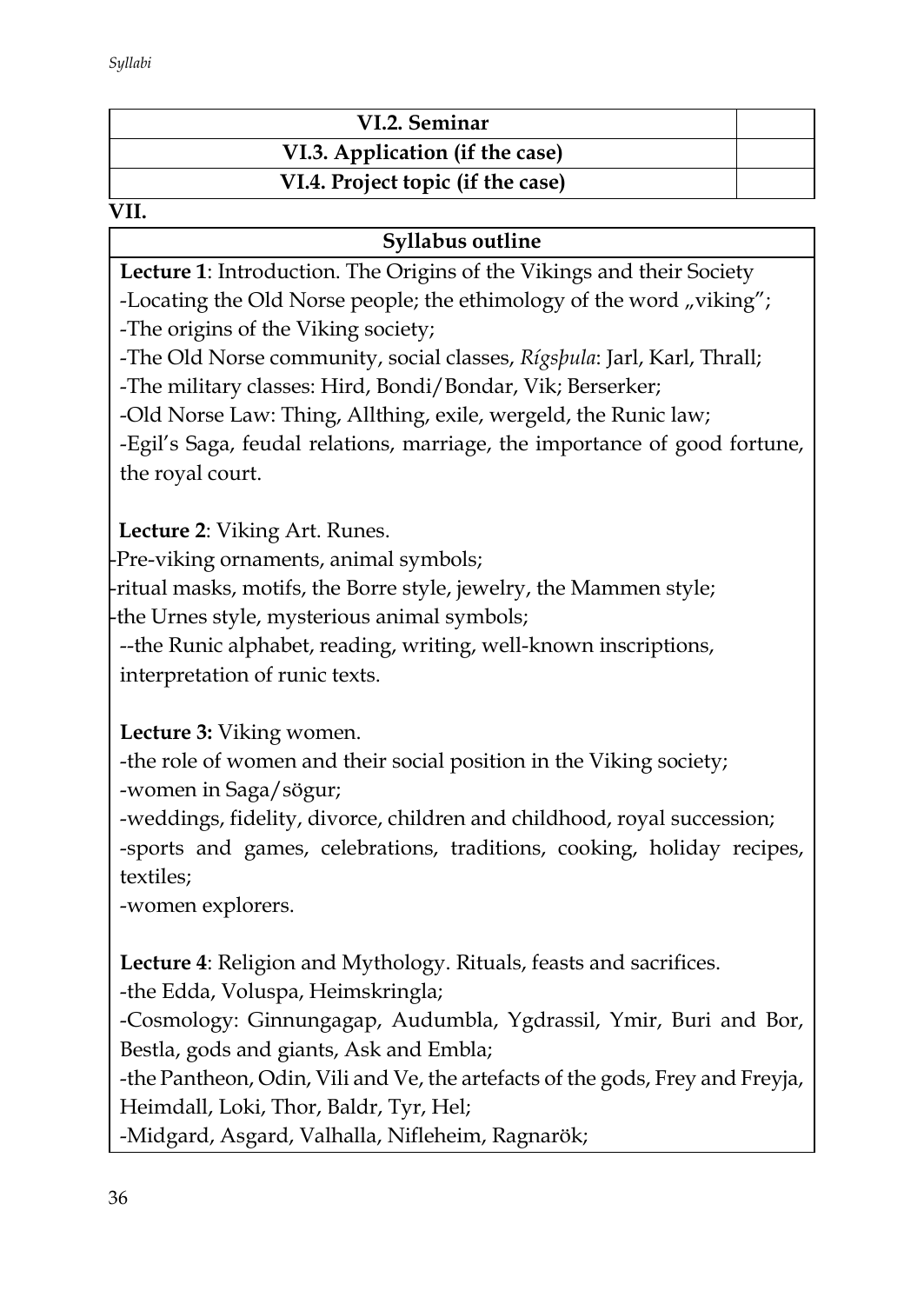| VI.2. Seminar                     |  |
|-----------------------------------|--|
| VI.3. Application (if the case)   |  |
| VI.4. Project topic (if the case) |  |

#### $\overline{\text{VII}}$

### **Syllabus outline**

**Lecture 1**: Introduction. The Origins of the Vikings and their Society

-Locating the Old Norse people; the ethimology of the word  $\mu$  viking"; -The origins of the Viking society;

-The Old Norse community, social classes, *Rígsþula*: Jarl, Karl, Thrall; -The military classes: Hird, Bondi/Bondar, Vik; Berserker;

-Old Norse Law: Thing, Allthing, exile, wergeld, the Runic law;

-Egil's Saga, feudal relations, marriage, the importance of good fortune, the royal court.

 **Lecture 2**: Viking Art. Runes.

-Pre-viking ornaments, animal symbols;

--ritual masks, motifs, the Borre style, jewelry, the Mammen style; --the Urnes style, mysterious animal symbols;

--the Runic alphabet, reading, writing, well-known inscriptions, interpretation of runic texts.

### **Lecture 3:** Viking women.

-the role of women and their social position in the Viking society; -women in Saga/sögur;

-weddings, fidelity, divorce, children and childhood, royal succession; -sports and games, celebrations, traditions, cooking, holiday recipes, textiles;

-women explorers.

**Lecture 4**: Religion and Mythology. Rituals, feasts and sacrifices.

-the Edda, Voluspa, Heimskringla;

-Cosmology: Ginnungagap, Audumbla, Ygdrassil, Ymir, Buri and Bor, Bestla, gods and giants, Ask and Embla;

-the Pantheon, Odin, Vili and Ve, the artefacts of the gods, Frey and Freyja, Heimdall, Loki, Thor, Baldr, Tyr, Hel;

-Midgard, Asgard, Valhalla, Nifleheim, Ragnarök;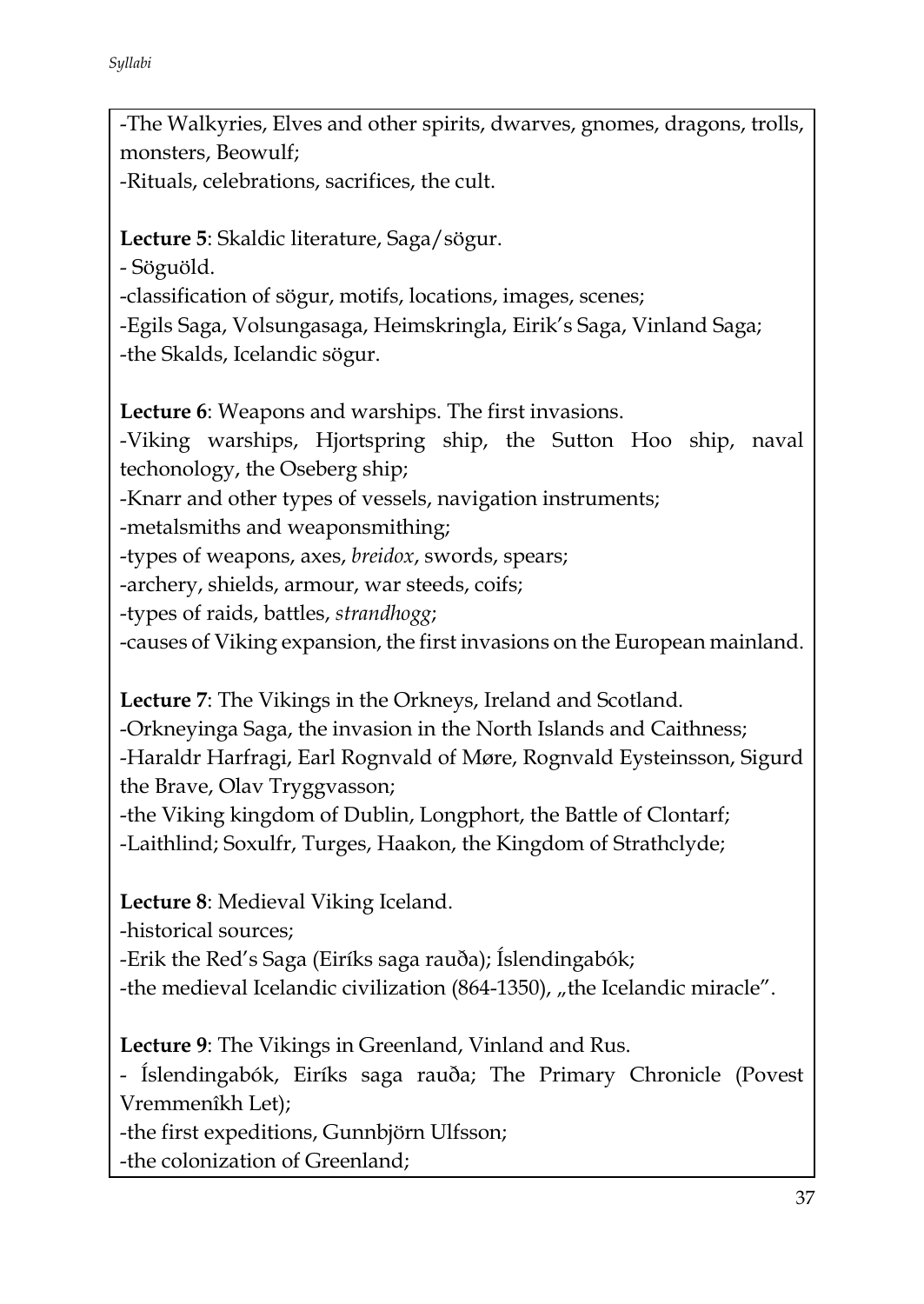-The Walkyries, Elves and other spirits, dwarves, gnomes, dragons, trolls, monsters, Beowulf; -Rituals, celebrations, sacrifices, the cult.

**Lecture 5**: Skaldic literature, Saga/sögur. - Söguöld.

-classification of sögur, motifs, locations, images, scenes;

-Egils Saga, Volsungasaga, Heimskringla, Eirik's Saga, Vinland Saga; -the Skalds, Icelandic sögur.

**Lecture 6**: Weapons and warships. The first invasions.

-Viking warships, Hjortspring ship, the Sutton Hoo ship, naval techonology, the Oseberg ship;

-Knarr and other types of vessels, navigation instruments;

-metalsmiths and weaponsmithing;

-types of weapons, axes, *breidox*, swords, spears;

-archery, shields, armour, war steeds, coifs;

-types of raids, battles, *strandhogg*;

-causes of Viking expansion, the first invasions on the European mainland.

**Lecture 7**: The Vikings in the Orkneys, Ireland and Scotland.

-Orkneyinga Saga, the invasion in the North Islands and Caithness; -Haraldr Harfragi, Earl Rognvald of Møre, Rognvald Eysteinsson, Sigurd the Brave, Olav Tryggvasson;

-the Viking kingdom of Dublin, Longphort, the Battle of Clontarf; -Laithlind; Soxulfr, Turges, Haakon, the Kingdom of Strathclyde;

**Lecture 8**: Medieval Viking Iceland.

-historical sources;

-Erik the Red's Saga (Eiríks saga rauða); Íslendingabók;

-the medieval Icelandic civilization (864-1350), "the Icelandic miracle".

**Lecture 9**: The Vikings in Greenland, Vinland and Rus.

- Íslendingabók, Eiríks saga rauða; The Primary Chronicle (Povest Vremmenîkh Let);

-the first expeditions, Gunnbjörn Ulfsson;

-the colonization of Greenland;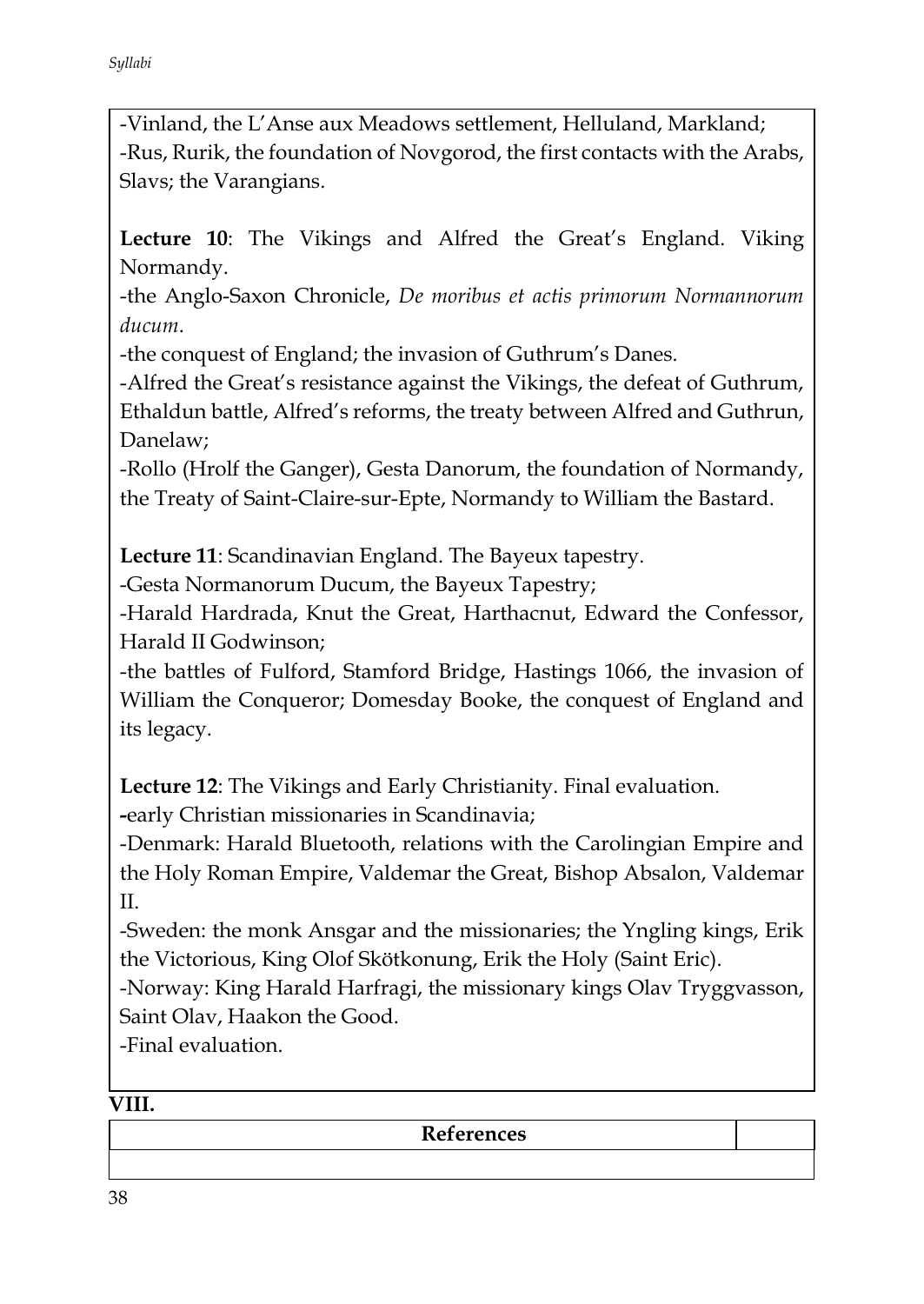-Vinland, the L'Anse aux Meadows settlement, Helluland, Markland; -Rus, Rurik, the foundation of Novgorod, the first contacts with the Arabs, Slavs; the Varangians.

**Lecture 10**: The Vikings and Alfred the Great's England. Viking Normandy.

-the Anglo-Saxon Chronicle, *De moribus et actis primorum Normannorum ducum*.

-the conquest of England; the invasion of Guthrum's Danes.

-Alfred the Great's resistance against the Vikings, the defeat of Guthrum, Ethaldun battle, Alfred's reforms, the treaty between Alfred and Guthrun, Danelaw;

-Rollo (Hrolf the Ganger), Gesta Danorum, the foundation of Normandy, the Treaty of Saint-Claire-sur-Epte, Normandy to William the Bastard.

**Lecture 11**: Scandinavian England. The Bayeux tapestry.

-Gesta Normanorum Ducum, the Bayeux Tapestry;

-Harald Hardrada, Knut the Great, Harthacnut, Edward the Confessor, Harald II Godwinson;

-the battles of Fulford, Stamford Bridge, Hastings 1066, the invasion of William the Conqueror; Domesday Booke, the conquest of England and its legacy.

**Lecture 12**: The Vikings and Early Christianity. Final evaluation.

**-**early Christian missionaries in Scandinavia;

-Denmark: Harald Bluetooth, relations with the Carolingian Empire and the Holy Roman Empire, Valdemar the Great, Bishop Absalon, Valdemar II.

-Sweden: the monk Ansgar and the missionaries; the Yngling kings, Erik the Victorious, King Olof Skötkonung, Erik the Holy (Saint Eric).

-Norway: King Harald Harfragi, the missionary kings Olav Tryggvasson, Saint Olav, Haakon the Good.

-Final evaluation.

### **VIII.**

**References**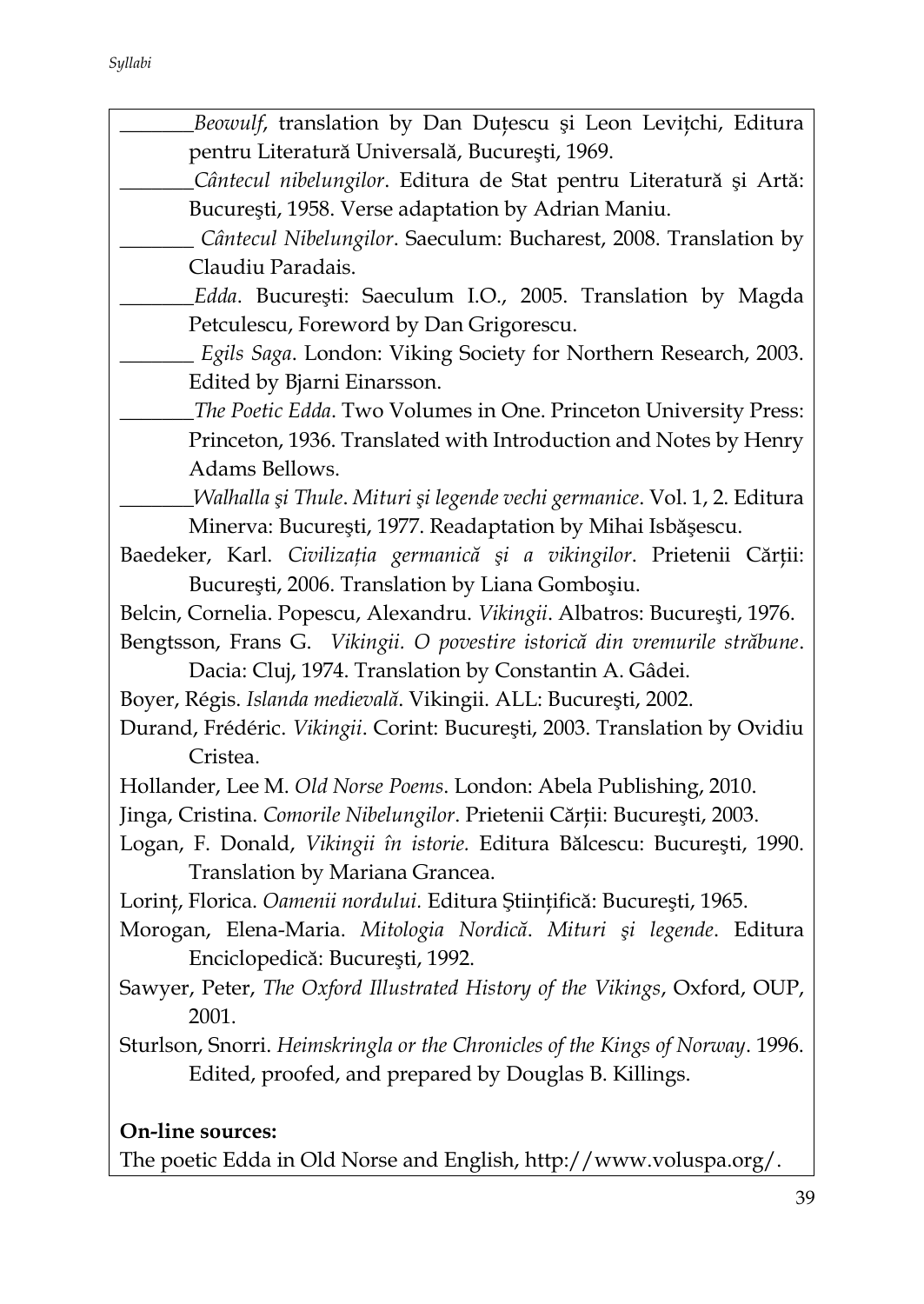*Syllabi*

| Beowulf, translation by Dan Duțescu și Leon Levițchi, Editura                   |
|---------------------------------------------------------------------------------|
| pentru Literatură Universală, București, 1969.                                  |
| Cântecul nibelungilor. Editura de Stat pentru Literatură și Artă:               |
| București, 1958. Verse adaptation by Adrian Maniu.                              |
| Cântecul Nibelungilor. Saeculum: Bucharest, 2008. Translation by                |
| Claudiu Paradais.                                                               |
| Edda. București: Saeculum I.O., 2005. Translation by Magda                      |
| Petculescu, Foreword by Dan Grigorescu.                                         |
| Egils Saga. London: Viking Society for Northern Research, 2003.                 |
| Edited by Bjarni Einarsson.                                                     |
| The Poetic Edda. Two Volumes in One. Princeton University Press:                |
| Princeton, 1936. Translated with Introduction and Notes by Henry                |
| Adams Bellows.                                                                  |
| <i>Walhalla și Thule. Mituri și legende vechi germanice. Vol. 1, 2. Editura</i> |
| Minerva: București, 1977. Readaptation by Mihai Isbășescu.                      |
| Baedeker, Karl. Civilizația germanică și a vikingilor. Prietenii Cărții:        |
| București, 2006. Translation by Liana Gomboșiu.                                 |
| Belcin, Cornelia. Popescu, Alexandru. Vikingii. Albatros: București, 1976.      |
| Bengtsson, Frans G. Vikingii. O povestire istorică din vremurile străbune.      |
| Dacia: Cluj, 1974. Translation by Constantin A. Gâdei.                          |
| Boyer, Régis. Islanda medievală. Vikingii. ALL: București, 2002.                |
| Durand, Frédéric. Vikingii. Corint: București, 2003. Translation by Ovidiu      |
| Cristea.                                                                        |
| Hollander, Lee M. Old Norse Poems. London: Abela Publishing, 2010.              |
| Jinga, Cristina. Comorile Nibelungilor. Prietenii Cărții: București, 2003.      |
| Logan, F. Donald, Vikingii în istorie. Editura Bălcescu: București, 1990.       |
| Translation by Mariana Grancea.                                                 |
| Lorinț, Florica. Oamenii nordului. Editura Științifică: București, 1965.        |
| Morogan, Elena-Maria. Mitologia Nordică. Mituri și legende. Editura             |
| Enciclopedică: București, 1992.                                                 |
| Sawyer, Peter, The Oxford Illustrated History of the Vikings, Oxford, OUP,      |
| 2001.                                                                           |
| Sturlson, Snorri. Heimskringla or the Chronicles of the Kings of Norway. 1996.  |
| Edited, proofed, and prepared by Douglas B. Killings.                           |
|                                                                                 |
| On-line sources:                                                                |

The poetic Edda in Old Norse and English, http://www.voluspa.org/.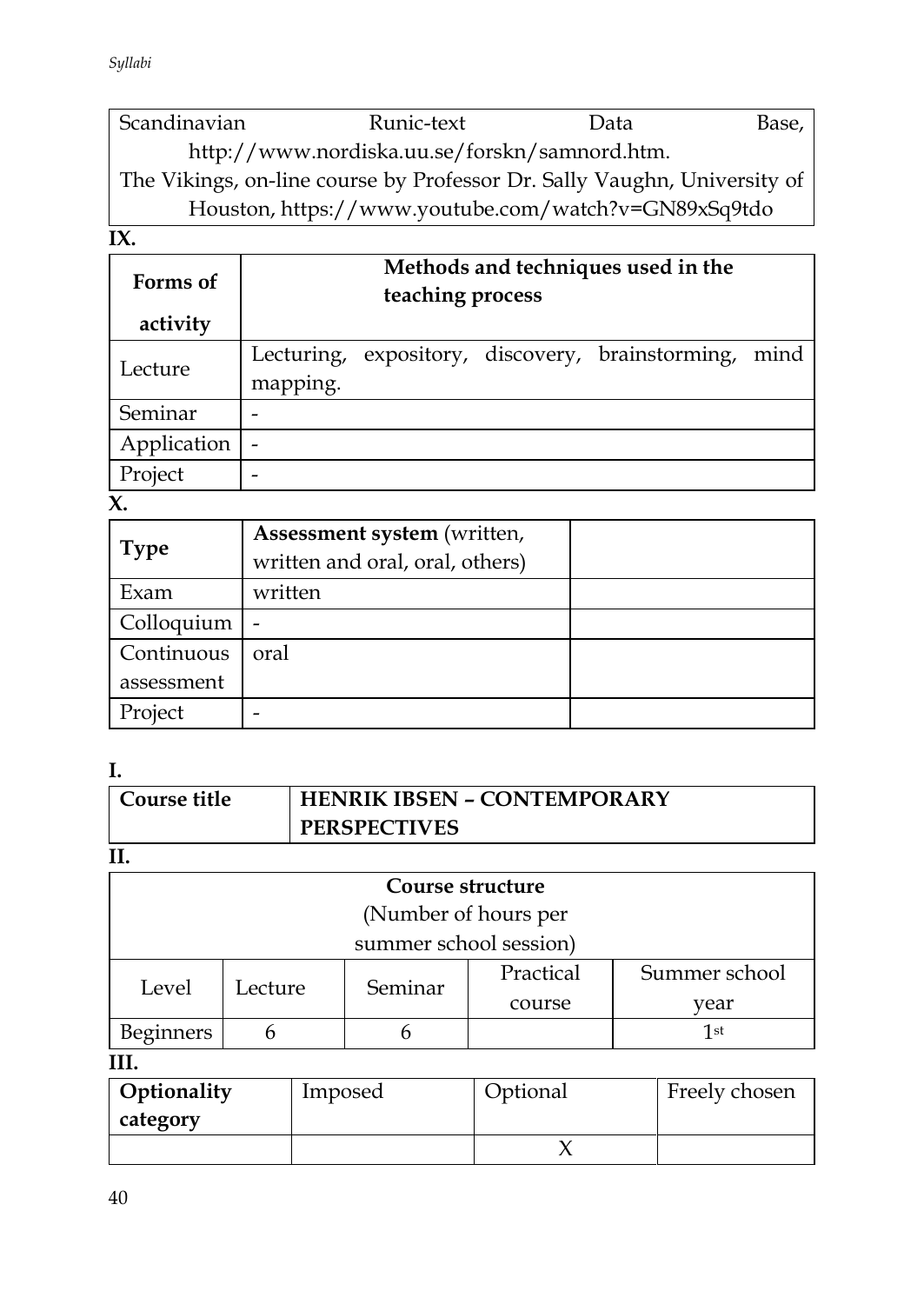Scandinavian Runic-text Data Base, http://www.nordiska.uu.se/forskn/samnord.htm. The Vikings, on-line course by Professor Dr. Sally Vaughn, University of Houston, https://www.youtube.com/watch?v=GN89xSq9tdo

**IX.** 

| Forms of<br>activity | Methods and techniques used in the<br>teaching process |  |                                                  |      |
|----------------------|--------------------------------------------------------|--|--------------------------------------------------|------|
|                      |                                                        |  |                                                  |      |
| Lecture              |                                                        |  | Lecturing, expository, discovery, brainstorming, | mind |
|                      | mapping.                                               |  |                                                  |      |
| Seminar              |                                                        |  |                                                  |      |
| Application          | $\overline{\phantom{0}}$                               |  |                                                  |      |
| Project              |                                                        |  |                                                  |      |

**X.** 

| <b>Type</b> | Assessment system (written,<br>written and oral, oral, others) |  |
|-------------|----------------------------------------------------------------|--|
| Exam        | written                                                        |  |
| Colloquium  |                                                                |  |
| Continuous  | oral                                                           |  |
| assessment  |                                                                |  |
| Project     |                                                                |  |

**I.** 

| Course title | <b>HENRIK IBSEN - CONTEMPORARY</b> |
|--------------|------------------------------------|
|              | <b>PERSPECTIVES</b>                |

**II.**

| Course structure     |                        |         |           |               |  |
|----------------------|------------------------|---------|-----------|---------------|--|
| (Number of hours per |                        |         |           |               |  |
|                      | summer school session) |         |           |               |  |
| Level                | Lecture                | Seminar | Practical | Summer school |  |
|                      |                        |         | course    | vear          |  |
| Beginners            |                        |         |           | 1st           |  |
| TTT                  |                        |         |           |               |  |

**III.**

| Optionality<br>category | Imposed | Optional | Freely chosen |
|-------------------------|---------|----------|---------------|
|                         |         |          |               |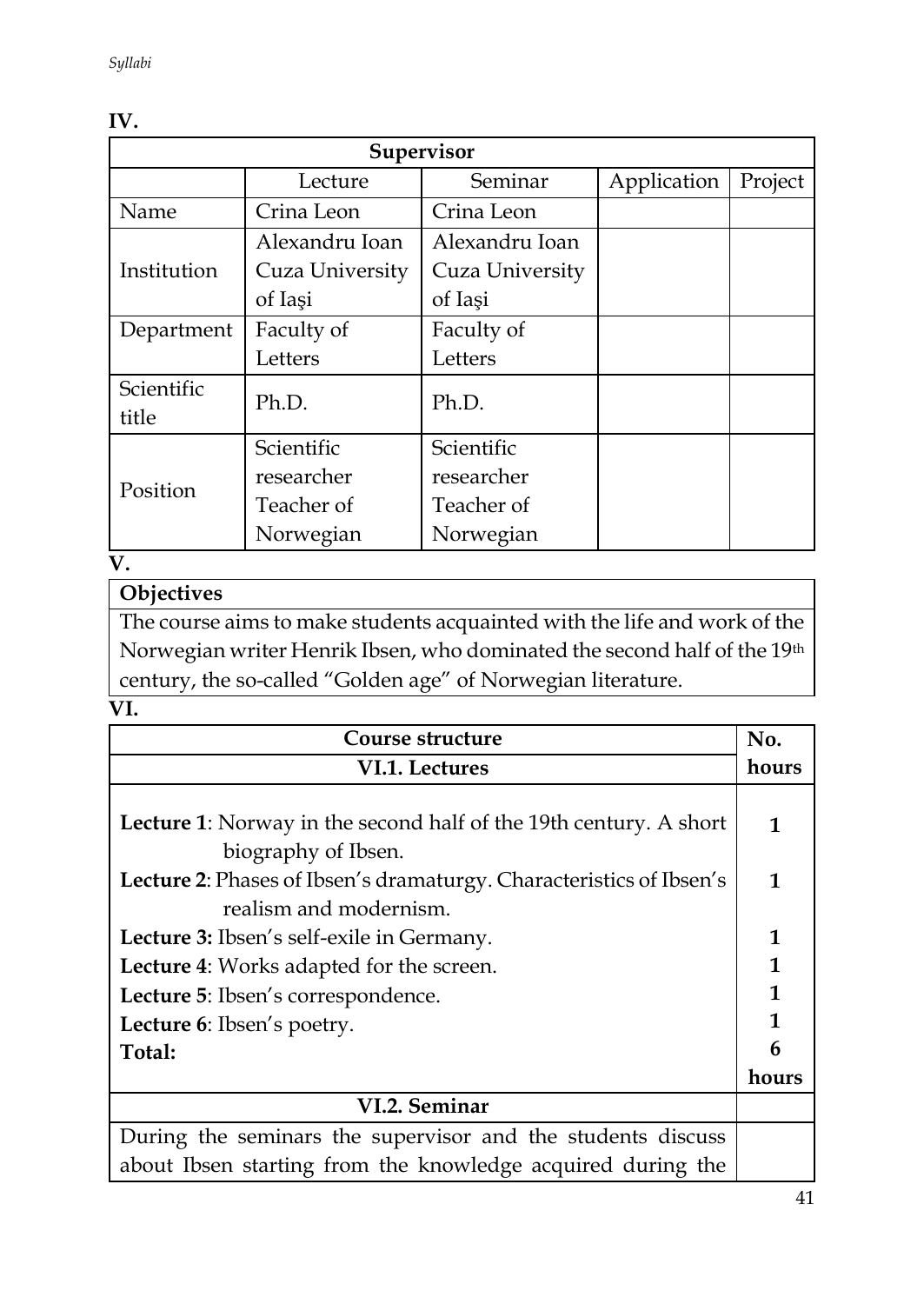| Supervisor          |                 |                 |             |         |  |  |
|---------------------|-----------------|-----------------|-------------|---------|--|--|
|                     | Lecture         | Seminar         | Application | Project |  |  |
| Name                | Crina Leon      | Crina Leon      |             |         |  |  |
|                     | Alexandru Ioan  | Alexandru Ioan  |             |         |  |  |
| Institution         | Cuza University | Cuza University |             |         |  |  |
|                     | of Iasi         | of Iasi         |             |         |  |  |
| Department          | Faculty of      | Faculty of      |             |         |  |  |
|                     | Letters         | Letters         |             |         |  |  |
| Scientific<br>title | Ph.D.           | Ph.D.           |             |         |  |  |
|                     | Scientific      | Scientific      |             |         |  |  |
| Position            | researcher      | researcher      |             |         |  |  |
|                     | Teacher of      | Teacher of      |             |         |  |  |
|                     | Norwegian       | Norwegian       |             |         |  |  |

#### **IV.**

# **V.**

# **Objectives**

The course aims to make students acquainted with the life and work of the Norwegian writer Henrik Ibsen, who dominated the second half of the 19th century, the so-called "Golden age" of Norwegian literature.

### **VI.**

| Course structure                                                         |              |  |
|--------------------------------------------------------------------------|--------------|--|
| VI.1. Lectures                                                           |              |  |
|                                                                          |              |  |
| <b>Lecture 1:</b> Norway in the second half of the 19th century. A short | 1            |  |
| biography of Ibsen.                                                      |              |  |
| Lecture 2: Phases of Ibsen's dramaturgy. Characteristics of Ibsen's      | 1            |  |
| realism and modernism.                                                   |              |  |
| Lecture 3: Ibsen's self-exile in Germany.                                |              |  |
| Lecture 4: Works adapted for the screen.                                 | $\mathbf{1}$ |  |
| Lecture 5: Ibsen's correspondence.                                       | $\mathbf{1}$ |  |
| Lecture 6: Ibsen's poetry.                                               | 1            |  |
| Total:                                                                   | 6            |  |
|                                                                          | hours        |  |
| VI.2. Seminar                                                            |              |  |
| During the seminars the supervisor and the students discuss              |              |  |
| about Ibsen starting from the knowledge acquired during the              |              |  |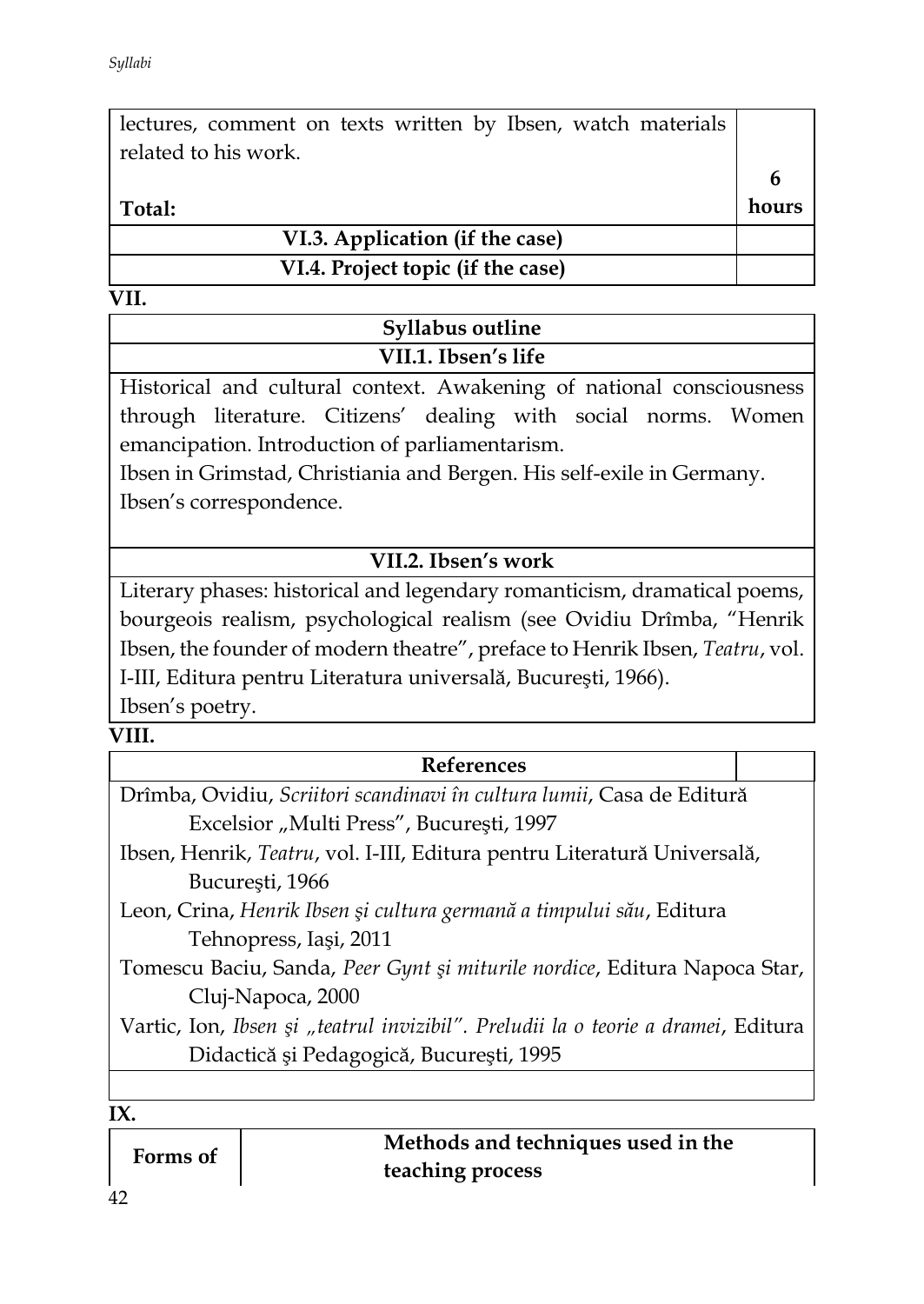| lectures, comment on texts written by Ibsen, watch materials<br>related to his work. |       |
|--------------------------------------------------------------------------------------|-------|
|                                                                                      |       |
| Total:                                                                               | hours |
| VI.3. Application (if the case)                                                      |       |
| VI.4. Project topic (if the case)                                                    |       |
|                                                                                      |       |

| Syllabus outline    |  |
|---------------------|--|
| VII.1. Ibsen's life |  |
|                     |  |

Historical and cultural context. Awakening of national consciousness through literature. Citizens' dealing with social norms. Women emancipation. Introduction of parliamentarism.

Ibsen in Grimstad, Christiania and Bergen. His self-exile in Germany. Ibsen's correspondence.

# **VII.2. Ibsen's work**

Literary phases: historical and legendary romanticism, dramatical poems, bourgeois realism, psychological realism (see Ovidiu Drîmba, "Henrik Ibsen, the founder of modern theatre", preface to Henrik Ibsen, *Teatru*, vol. I-III, Editura pentru Literatura universală, Bucureşti, 1966). Ibsen's poetry.

#### **VIII.**

#### **References**

Drîmba, Ovidiu, *Scriitori scandinavi în cultura lumii*, Casa de Editură Excelsior "Multi Press", Bucureşti, 1997

- Ibsen, Henrik, *Teatru*, vol. I-III, Editura pentru Literatură Universală, Bucureşti, 1966
- Leon, Crina, *Henrik Ibsen şi cultura germană a timpului său*, Editura Tehnopress, Iaşi, 2011

Tomescu Baciu, Sanda, *Peer Gynt şi miturile nordice*, Editura Napoca Star, Cluj-Napoca, 2000

Vartic, Ion, *Ibsen şi "teatrul invizibil". Preludii la o teorie a dramei*, Editura Didactică şi Pedagogică, Bucureşti, 1995

#### **IX.**

| Forms of | Methods and techniques used in the |
|----------|------------------------------------|
|          | teaching process                   |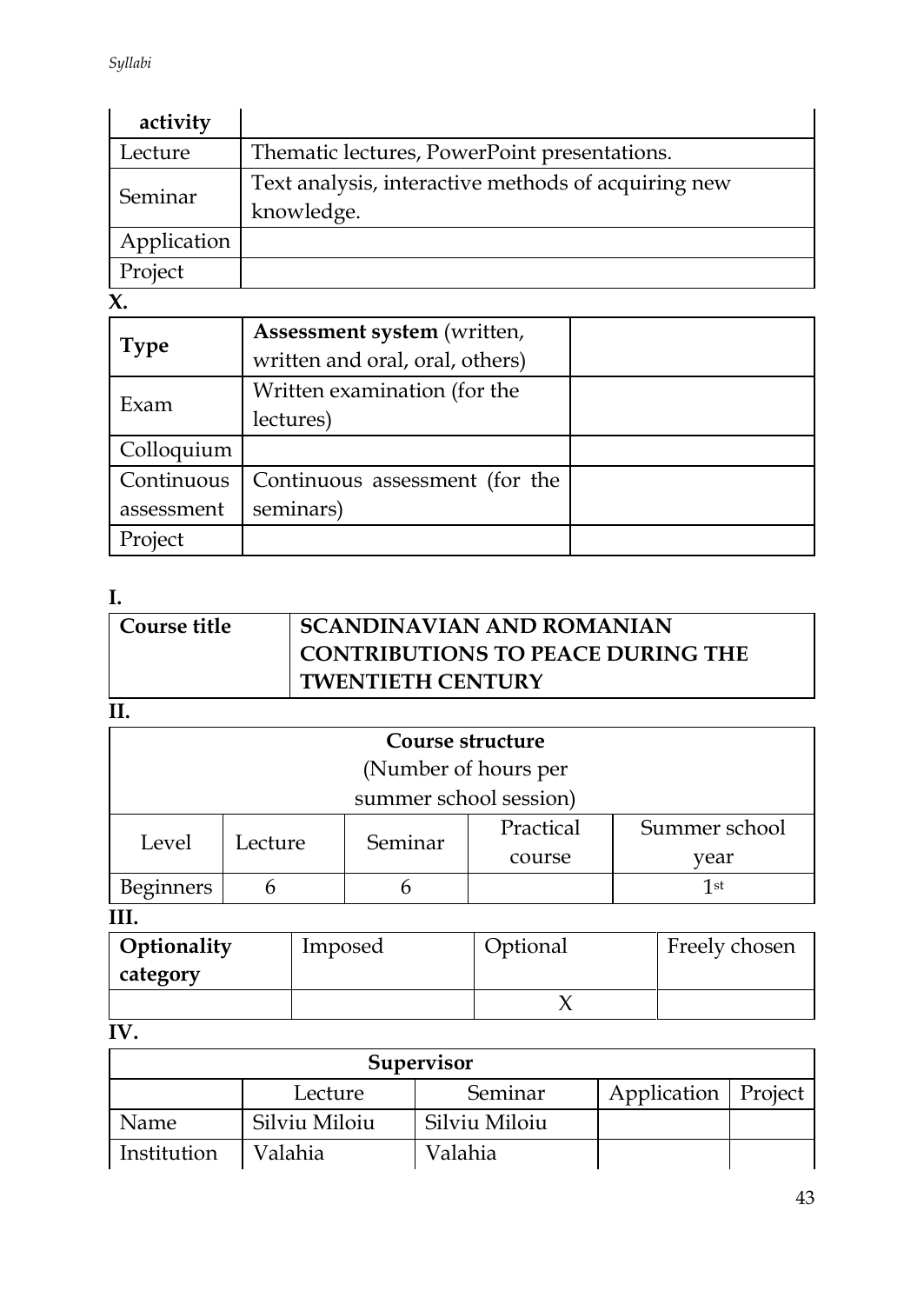| activity    |                                                                   |
|-------------|-------------------------------------------------------------------|
| Lecture     | Thematic lectures, PowerPoint presentations.                      |
| Seminar     | Text analysis, interactive methods of acquiring new<br>knowledge. |
| Application |                                                                   |
| Project     |                                                                   |

 $\overline{\mathbf{x}}$ .

|             | Assessment system (written,     |  |
|-------------|---------------------------------|--|
| <b>Type</b> | written and oral, oral, others) |  |
| Exam        | Written examination (for the    |  |
|             | lectures)                       |  |
| Colloquium  |                                 |  |
| Continuous  | Continuous assessment (for the  |  |
| assessment  | seminars)                       |  |
| Project     |                                 |  |

# **I.**

| <b>Course title</b> | <b>SCANDINAVIAN AND ROMANIAN</b>         |
|---------------------|------------------------------------------|
|                     | <b>CONTRIBUTIONS TO PEACE DURING THE</b> |
|                     | <b>TWENTIETH CENTURY</b>                 |
| --                  |                                          |

**II.**

| Course structure       |         |         |           |               |  |
|------------------------|---------|---------|-----------|---------------|--|
| (Number of hours per   |         |         |           |               |  |
| summer school session) |         |         |           |               |  |
| Level                  | Lecture | Seminar | Practical | Summer school |  |
|                        |         |         | course    | vear          |  |
| <b>Beginners</b>       |         |         |           | 1st           |  |

**III.**

| Optionality | Imposed | Optional | Freely chosen |
|-------------|---------|----------|---------------|
| category    |         |          |               |
|             |         |          |               |

# **IV.**

| Supervisor  |               |               |                       |  |  |  |
|-------------|---------------|---------------|-----------------------|--|--|--|
|             | Lecture       | Seminar       | Application   Project |  |  |  |
| Name        | Silviu Miloiu | Silviu Miloiu |                       |  |  |  |
| Institution | Valahia       | Valahia       |                       |  |  |  |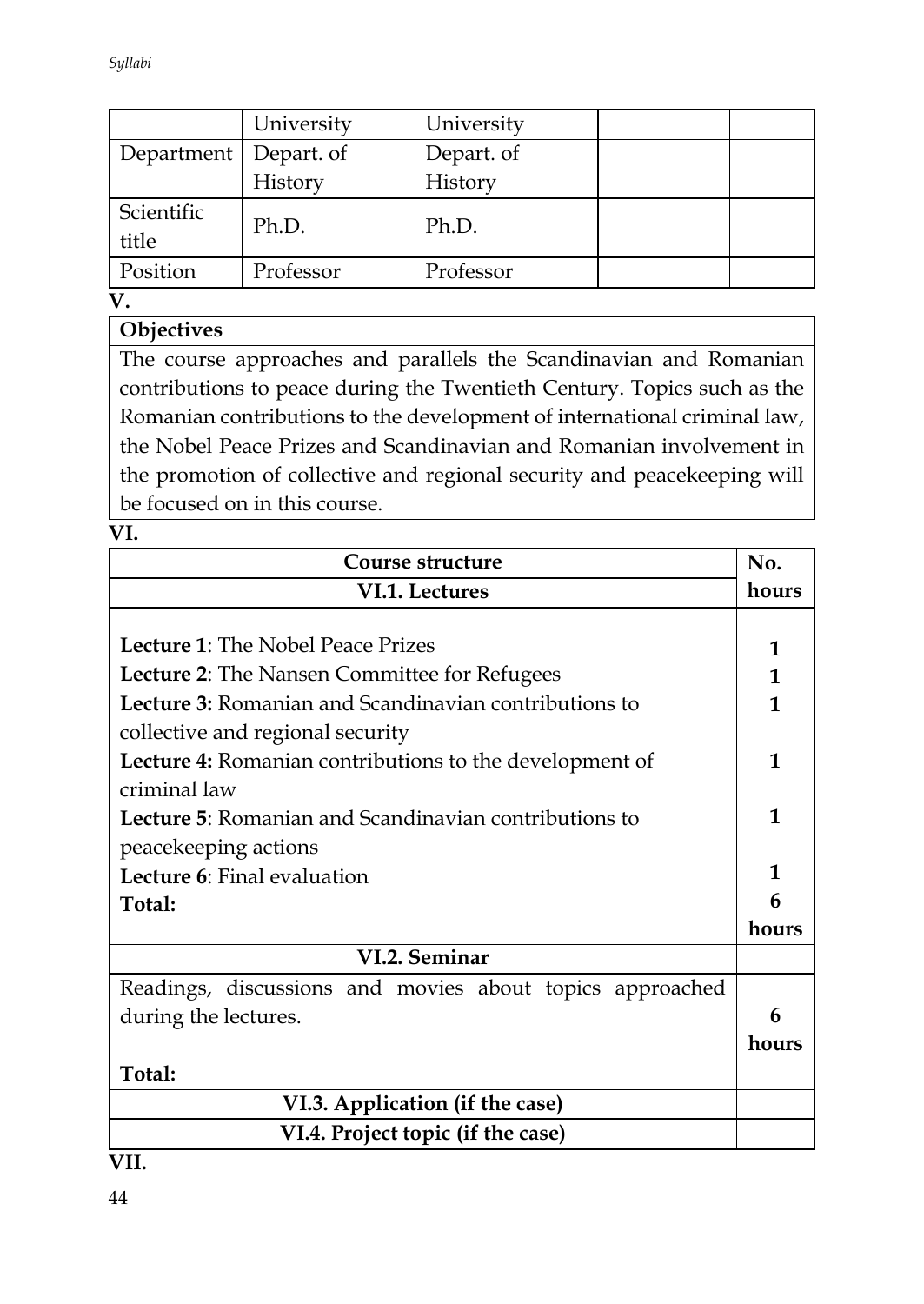*Syllabi*

|                         | University | University |  |
|-------------------------|------------|------------|--|
| Department   Depart. of |            | Depart. of |  |
|                         | History    | History    |  |
| Scientific<br>title     | Ph.D.      | Ph.D.      |  |
| Position                | Professor  | Professor  |  |

**V.**

# **Objectives**

The course approaches and parallels the Scandinavian and Romanian contributions to peace during the Twentieth Century. Topics such as the Romanian contributions to the development of international criminal law, the Nobel Peace Prizes and Scandinavian and Romanian involvement in the promotion of collective and regional security and peacekeeping will be focused on in this course.

**VI.** 

| Course structure                                         | No.          |  |
|----------------------------------------------------------|--------------|--|
| VI.1. Lectures                                           | hours        |  |
|                                                          |              |  |
| <b>Lecture 1:</b> The Nobel Peace Prizes                 | 1            |  |
| <b>Lecture 2:</b> The Nansen Committee for Refugees      | $\mathbf{1}$ |  |
| Lecture 3: Romanian and Scandinavian contributions to    | 1            |  |
| collective and regional security                         |              |  |
| Lecture 4: Romanian contributions to the development of  | 1            |  |
| criminal law                                             |              |  |
| Lecture 5: Romanian and Scandinavian contributions to    |              |  |
| peacekeeping actions                                     |              |  |
| Lecture 6: Final evaluation                              |              |  |
| Total:                                                   |              |  |
|                                                          |              |  |
| VI.2. Seminar                                            |              |  |
| Readings, discussions and movies about topics approached |              |  |
| during the lectures.                                     | 6            |  |
|                                                          |              |  |
| Total:                                                   |              |  |
| VI.3. Application (if the case)                          |              |  |
| VI.4. Project topic (if the case)                        |              |  |

**VII.**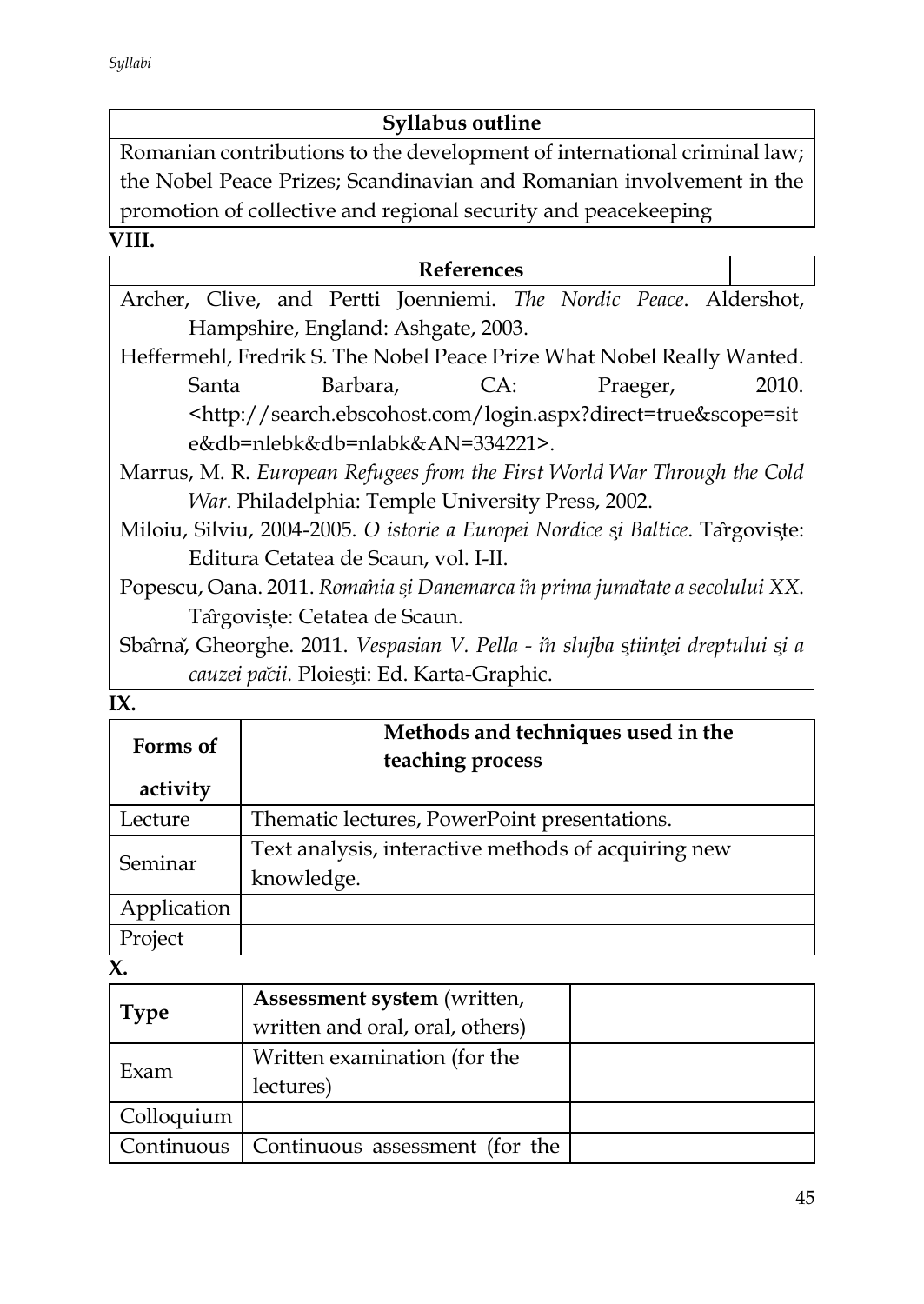# **Syllabus outline**

Romanian contributions to the development of international criminal law; the Nobel Peace Prizes; Scandinavian and Romanian involvement in the promotion of collective and regional security and peacekeeping

#### **VIII.**

|                                                                                |                                                                                                                                    | <b>References</b> |  |  |          |       |
|--------------------------------------------------------------------------------|------------------------------------------------------------------------------------------------------------------------------------|-------------------|--|--|----------|-------|
| Archer, Clive, and Pertti Joenniemi. The Nordic Peace. Aldershot,              |                                                                                                                                    |                   |  |  |          |       |
|                                                                                | Hampshire, England: Ashgate, 2003.                                                                                                 |                   |  |  |          |       |
| Heffermehl, Fredrik S. The Nobel Peace Prize What Nobel Really Wanted.         |                                                                                                                                    |                   |  |  |          |       |
| Santa                                                                          |                                                                                                                                    | Barbara, CA:      |  |  | Praeger, | 2010. |
|                                                                                | <http: login.aspx?direct="true&amp;scope=sit&lt;/td" search.ebscohost.com=""><td></td><td></td><td></td><td></td><td></td></http:> |                   |  |  |          |       |
|                                                                                | e&db=nlebk&db=nlabk&AN=334221>.                                                                                                    |                   |  |  |          |       |
| Marrus, M. R. European Refugees from the First World War Through the Cold      |                                                                                                                                    |                   |  |  |          |       |
| <i>War. Philadelphia: Temple University Press, 2002.</i>                       |                                                                                                                                    |                   |  |  |          |       |
| Miloiu, Silviu, 2004-2005. O istorie a Europei Nordice și Baltice. Târgoviste: |                                                                                                                                    |                   |  |  |          |       |
|                                                                                | Editura Cetatea de Scaun, vol. I-II.                                                                                               |                   |  |  |          |       |
| Popescu, Oana. 2011. Romania și Danemarca în prima jumatate a secolului XX.    |                                                                                                                                    |                   |  |  |          |       |
|                                                                                | Targoviste: Cetatea de Scaun.                                                                                                      |                   |  |  |          |       |
| Sbarna, Gheorghe. 2011. Vespasian V. Pella - în slujba științei dreptului și a |                                                                                                                                    |                   |  |  |          |       |
|                                                                                | cauzei pačii. Ploiesți: Ed. Karta-Graphic.                                                                                         |                   |  |  |          |       |

| $\sim$ |
|--------|

| Forms of<br>activity | Methods and techniques used in the<br>teaching process |
|----------------------|--------------------------------------------------------|
| Lecture              | Thematic lectures, PowerPoint presentations.           |
| Seminar              | Text analysis, interactive methods of acquiring new    |
|                      | knowledge.                                             |
| Application          |                                                        |
| Project              |                                                        |

**X.** 

| <b>Type</b> | Assessment system (written,<br>written and oral, oral, others) |  |
|-------------|----------------------------------------------------------------|--|
| Exam        | Written examination (for the<br>lectures)                      |  |
| Colloquium  |                                                                |  |
| Continuous  | Continuous assessment (for the                                 |  |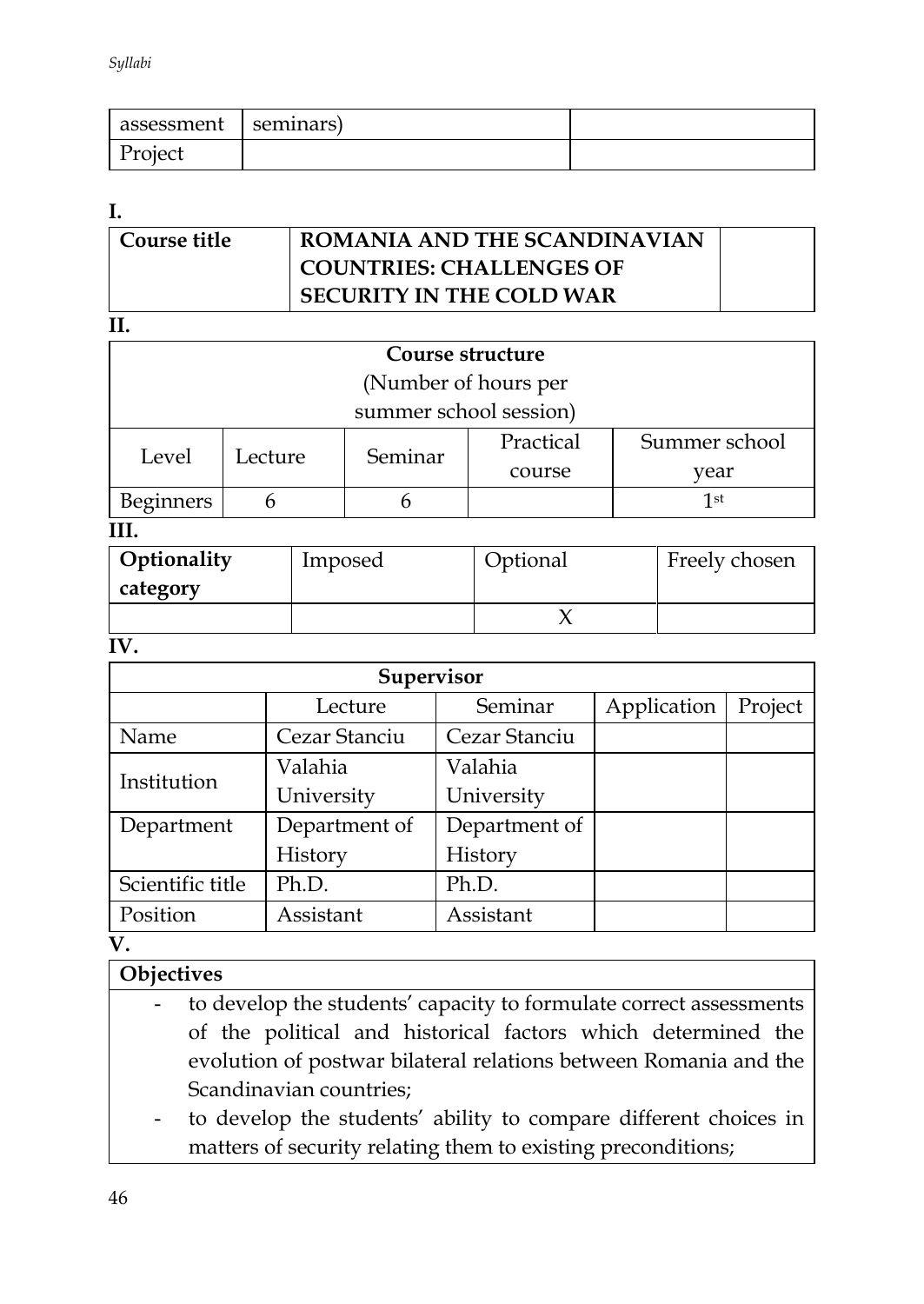| assessment | seminars) |  |
|------------|-----------|--|
| Project    |           |  |

#### **I.**

| Course title | ROMANIA AND THE SCANDINAVIAN    |  |
|--------------|---------------------------------|--|
|              | <b>COUNTRIES: CHALLENGES OF</b> |  |
|              | <b>SECURITY IN THE COLD WAR</b> |  |
|              |                                 |  |

| Course structure        |         |         |           |               |  |  |
|-------------------------|---------|---------|-----------|---------------|--|--|
| (Number of hours per    |         |         |           |               |  |  |
| summer school session)  |         |         |           |               |  |  |
| Level                   | Lecture | Seminar | Practical | Summer school |  |  |
|                         |         | vear    |           |               |  |  |
| <b>Beginners</b><br>1st |         |         |           |               |  |  |
| TTT.                    |         |         |           |               |  |  |

#### **III.**

| Optionality<br>category | Imposed | Optional | Freely chosen |
|-------------------------|---------|----------|---------------|
|                         |         |          |               |

#### **IV.**

| Supervisor       |               |               |             |         |  |  |
|------------------|---------------|---------------|-------------|---------|--|--|
|                  | Lecture       | Seminar       | Application | Project |  |  |
| Name             | Cezar Stanciu | Cezar Stanciu |             |         |  |  |
| Institution      | Valahia       | Valahia       |             |         |  |  |
|                  | University    | University    |             |         |  |  |
| Department       | Department of | Department of |             |         |  |  |
|                  | History       | History       |             |         |  |  |
| Scientific title | Ph.D.         | Ph.D.         |             |         |  |  |
| Position         | Assistant     | Assistant     |             |         |  |  |

**V.**

# **Objectives**

- to develop the students' capacity to formulate correct assessments of the political and historical factors which determined the evolution of postwar bilateral relations between Romania and the Scandinavian countries;
	- to develop the students' ability to compare different choices in matters of security relating them to existing preconditions;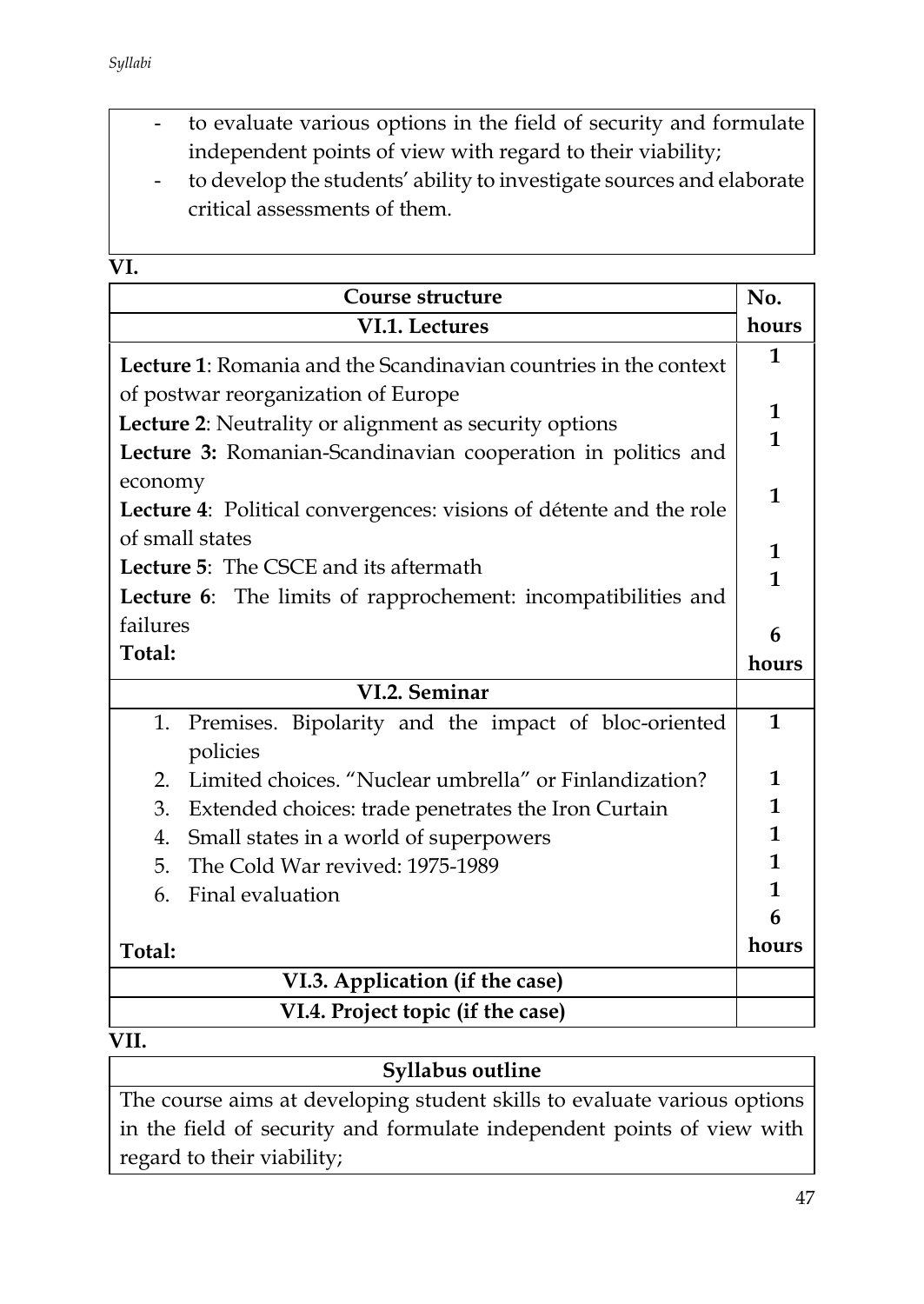- to evaluate various options in the field of security and formulate independent points of view with regard to their viability;
- to develop the students' ability to investigate sources and elaborate critical assessments of them.

| ×<br>۰, |
|---------|

| Course structure                                                                                    | No.          |
|-----------------------------------------------------------------------------------------------------|--------------|
| VI.1. Lectures                                                                                      | hours        |
| <b>Lecture 1:</b> Romania and the Scandinavian countries in the context                             | 1            |
| of postwar reorganization of Europe                                                                 |              |
| Lecture 2: Neutrality or alignment as security options                                              | 1            |
| Lecture 3: Romanian-Scandinavian cooperation in politics and                                        | $\mathbf{1}$ |
| economy                                                                                             |              |
| Lecture 4: Political convergences: visions of détente and the role                                  | 1            |
| of small states                                                                                     | 1            |
| <b>Lecture 5:</b> The CSCE and its aftermath                                                        | $\mathbf{1}$ |
| Lecture 6: The limits of rapprochement: incompatibilities and                                       |              |
| failures                                                                                            | 6            |
| Total:                                                                                              | hours        |
| VI.2. Seminar                                                                                       |              |
| Premises. Bipolarity and the impact of bloc-oriented<br>1.                                          | $\mathbf{1}$ |
| policies                                                                                            |              |
| Limited choices. "Nuclear umbrella" or Finlandization?<br>2.                                        | 1            |
|                                                                                                     |              |
| 3.                                                                                                  | 1            |
| Extended choices: trade penetrates the Iron Curtain<br>Small states in a world of superpowers<br>4. | 1            |
| 5.<br>The Cold War revived: 1975-1989                                                               | $\mathbf{1}$ |
| Final evaluation<br>6.                                                                              | 1            |
|                                                                                                     | 6            |
| Total:                                                                                              | hours        |
| VI.3. Application (if the case)                                                                     |              |

| Syllabus outline                                                         |
|--------------------------------------------------------------------------|
| The course aims at developing student skills to evaluate various options |
| in the field of security and formulate independent points of view with   |
| regard to their viability;                                               |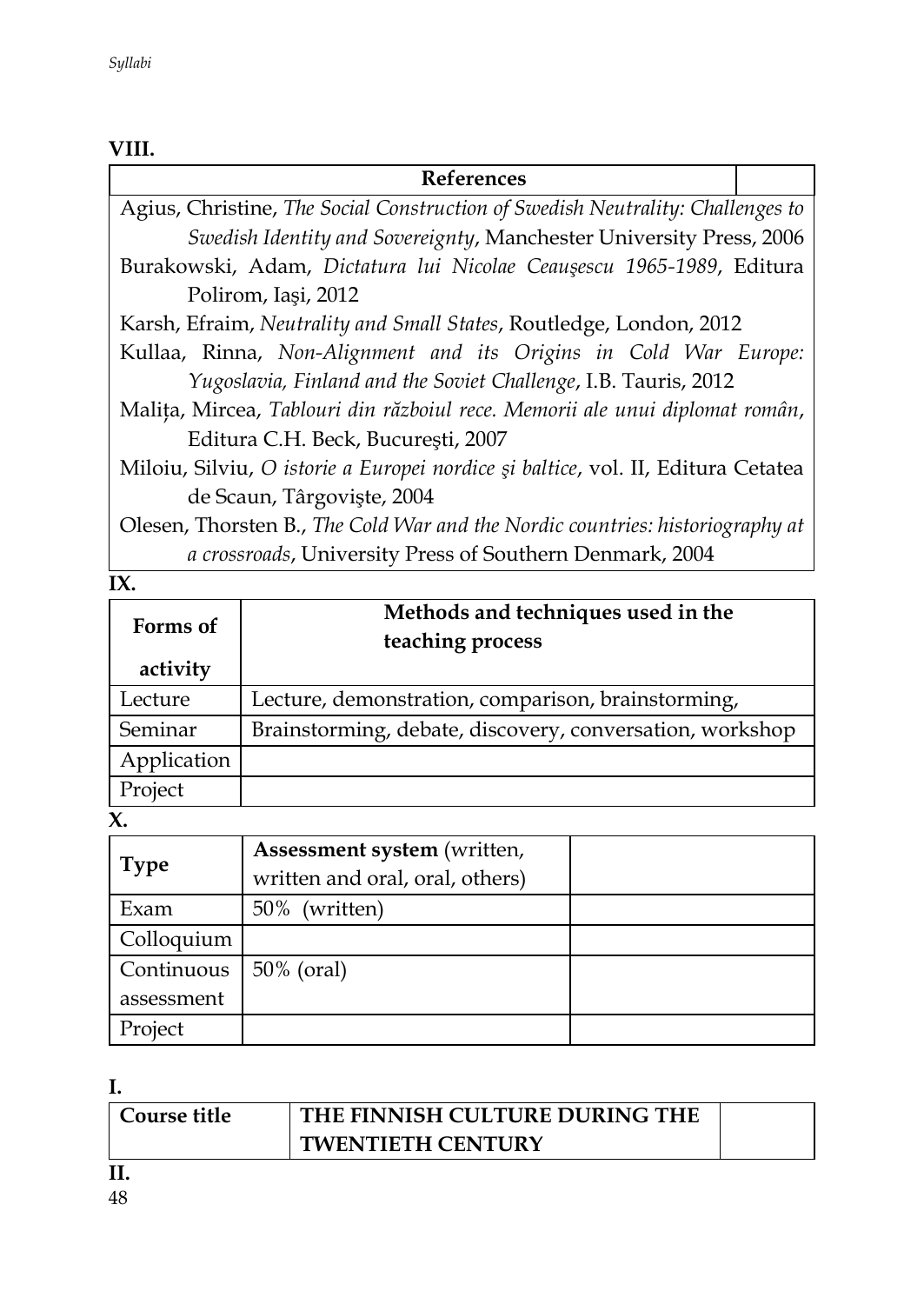#### **VIII.**

# **References** Agius, Christine, *The Social Construction of Swedish Neutrality: Challenges to Swedish Identity and Sovereignty*, Manchester University Press, 2006 Burakowski, Adam, *Dictatura lui Nicolae Ceauşescu 1965-1989*, Editura Polirom, Iaşi, 2012 Karsh, Efraim, *Neutrality and Small States*, Routledge, London, 2012 Kullaa, Rinna, *Non-Alignment and its Origins in Cold War Europe: Yugoslavia, Finland and the Soviet Challenge*, I.B. Tauris, 2012 Maliţa, Mircea, *Tablouri din războiul rece. Memorii ale unui diplomat român*, Editura C.H. Beck, Bucureşti, 2007 Miloiu, Silviu, *O istorie a Europei nordice şi baltice*, vol. II, Editura Cetatea de Scaun, Târgovişte, 2004 Olesen, Thorsten B., *The Cold War and the Nordic countries: historiography at a crossroads*, University Press of Southern Denmark, 2004

#### **IX.**

| Forms of<br>activity | Methods and techniques used in the<br>teaching process   |
|----------------------|----------------------------------------------------------|
| Lecture              | Lecture, demonstration, comparison, brainstorming,       |
| Seminar              | Brainstorming, debate, discovery, conversation, workshop |
| Application          |                                                          |
| Project              |                                                          |

#### **X.**

| <b>Type</b> | Assessment system (written,<br>written and oral, oral, others) |  |
|-------------|----------------------------------------------------------------|--|
| Exam        | 50% (written)                                                  |  |
| Colloquium  |                                                                |  |
| Continuous  | 50% (oral)                                                     |  |
| assessment  |                                                                |  |
| Project     |                                                                |  |

**I.** 

| Course title | THE FINNISH CULTURE DURING THE |  |
|--------------|--------------------------------|--|
|              | <b>TWENTIETH CENTURY</b>       |  |
|              |                                |  |

**II.**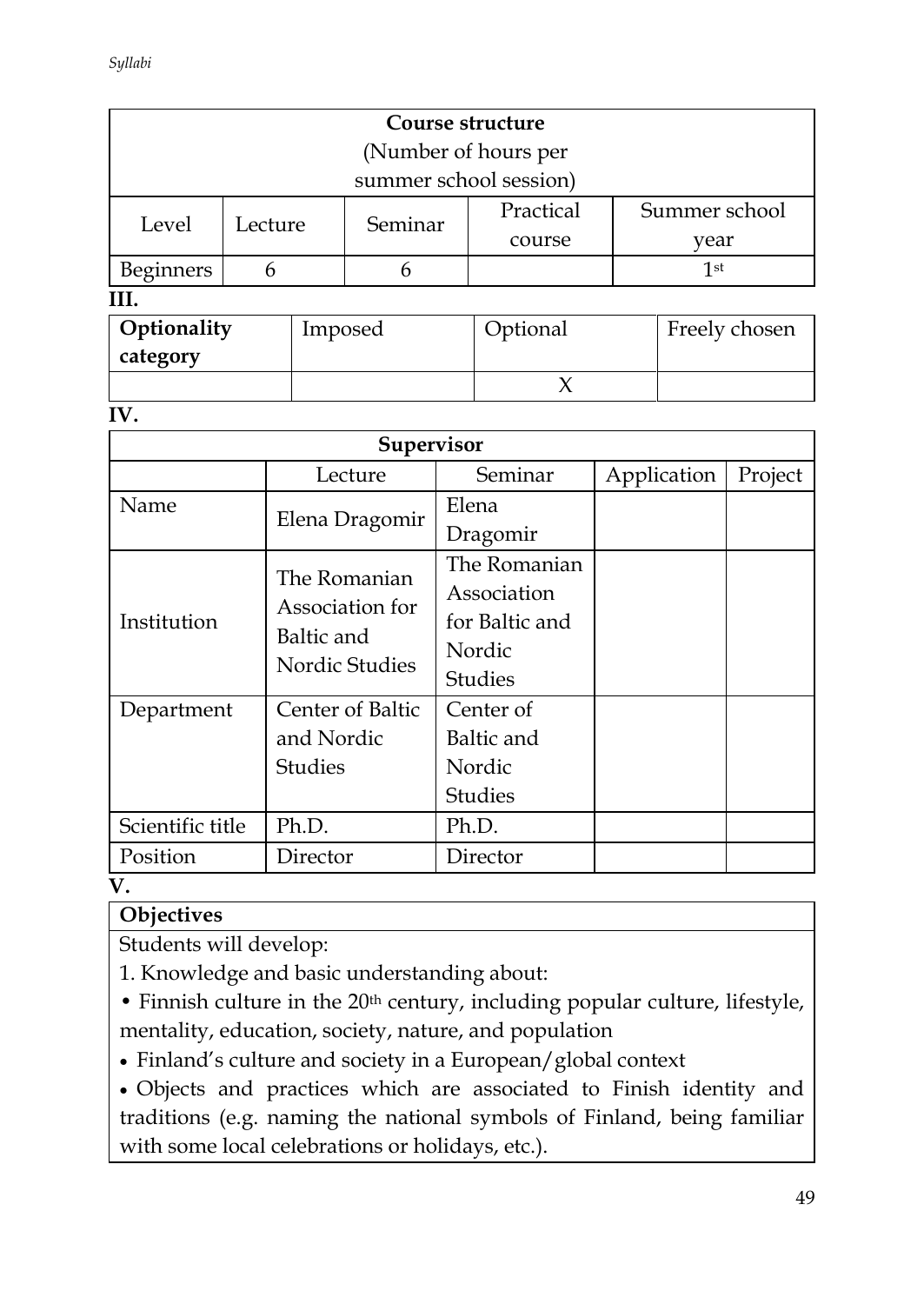| Course structure     |                                   |                        |           |               |  |  |  |  |
|----------------------|-----------------------------------|------------------------|-----------|---------------|--|--|--|--|
| (Number of hours per |                                   |                        |           |               |  |  |  |  |
|                      |                                   | summer school session) |           |               |  |  |  |  |
| Level                | Lecture                           | Seminar                | Practical | Summer school |  |  |  |  |
|                      |                                   |                        | course    | vear          |  |  |  |  |
| Beginners            |                                   |                        | 1st       |               |  |  |  |  |
|                      |                                   |                        |           |               |  |  |  |  |
|                      | 0.01333311<br>$\Gamma$ 1 1<br>т 1 |                        |           |               |  |  |  |  |

| Optionality | Imposed | Optional | Freely chosen |
|-------------|---------|----------|---------------|
| category    |         |          |               |
|             |         |          |               |

**IV.** 

| Supervisor       |                              |                |             |         |  |  |
|------------------|------------------------------|----------------|-------------|---------|--|--|
|                  | Lecture                      | Seminar        | Application | Project |  |  |
| Name             | Elena Dragomir               | Elena          |             |         |  |  |
|                  |                              | Dragomir       |             |         |  |  |
|                  | The Romanian                 | The Romanian   |             |         |  |  |
|                  | Association for              | Association    |             |         |  |  |
| Institution      | Baltic and<br>Nordic Studies | for Baltic and |             |         |  |  |
|                  |                              | Nordic         |             |         |  |  |
|                  |                              | <b>Studies</b> |             |         |  |  |
| Department       | Center of Baltic             | Center of      |             |         |  |  |
|                  | and Nordic                   | Baltic and     |             |         |  |  |
|                  | <b>Studies</b>               | Nordic         |             |         |  |  |
|                  |                              | <b>Studies</b> |             |         |  |  |
| Scientific title | Ph.D.                        | Ph.D.          |             |         |  |  |
| Position         | Director                     | Director       |             |         |  |  |

**V.**

### **Objectives**

Students will develop:

1. Knowledge and basic understanding about:

• Finnish culture in the 20<sup>th</sup> century, including popular culture, lifestyle, mentality, education, society, nature, and population

Finland's culture and society in a European/global context

 Objects and practices which are associated to Finish identity and traditions (e.g. naming the national symbols of Finland, being familiar with some local celebrations or holidays, etc.).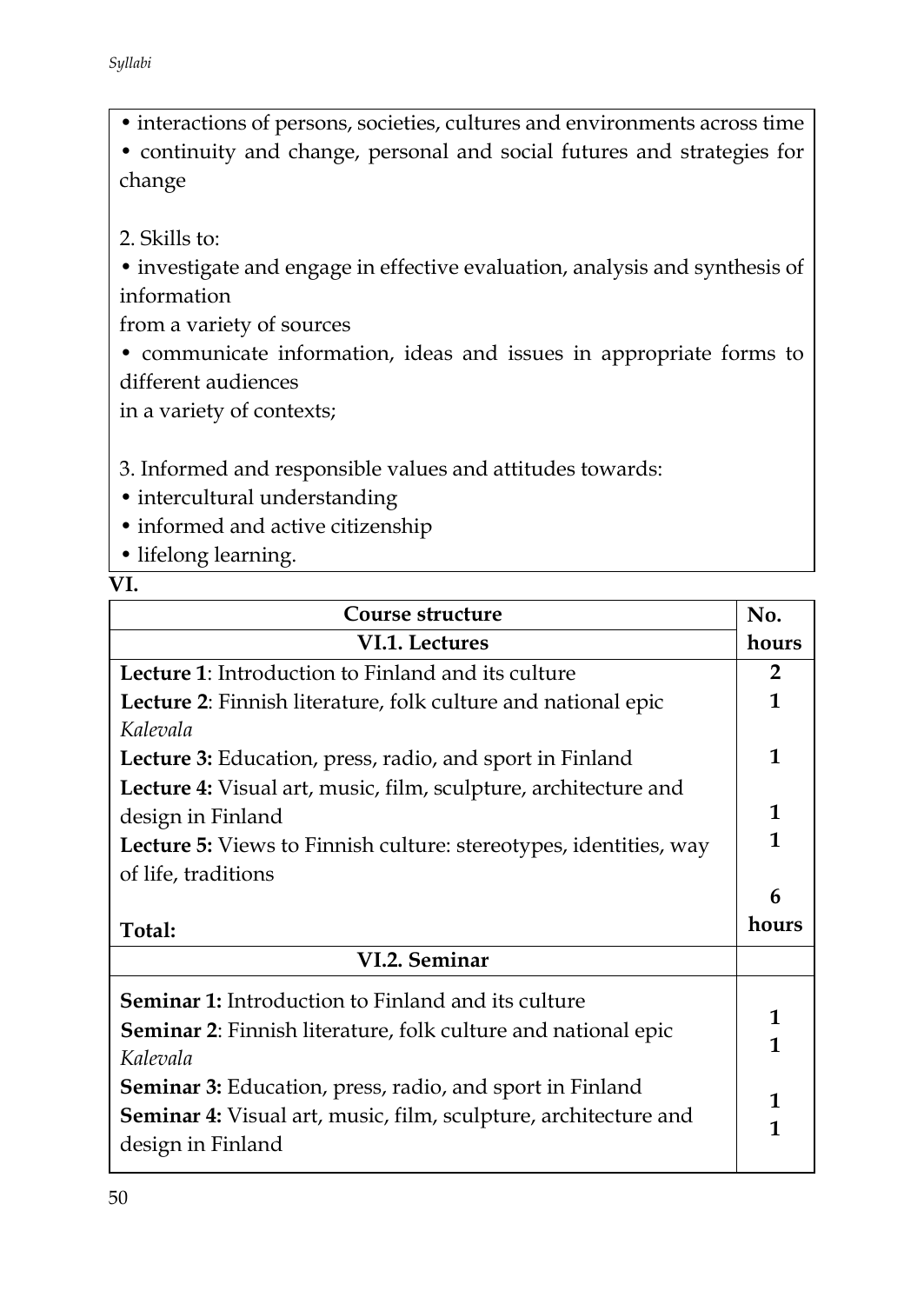• interactions of persons, societies, cultures and environments across time

• continuity and change, personal and social futures and strategies for change

2. Skills to:

• investigate and engage in effective evaluation, analysis and synthesis of information

from a variety of sources

• communicate information, ideas and issues in appropriate forms to different audiences

in a variety of contexts;

3. Informed and responsible values and attitudes towards:

- intercultural understanding
- informed and active citizenship

• lifelong learning.

**VI.** 

| Course structure                                                                     | No.            |
|--------------------------------------------------------------------------------------|----------------|
| VI.1. Lectures                                                                       | hours          |
| Lecture 1: Introduction to Finland and its culture                                   | $\overline{2}$ |
| Lecture 2: Finnish literature, folk culture and national epic                        | 1              |
| Kalevala                                                                             |                |
| <b>Lecture 3:</b> Education, press, radio, and sport in Finland                      | $\mathbf{1}$   |
| Lecture 4: Visual art, music, film, sculpture, architecture and                      |                |
| design in Finland                                                                    | 1              |
| <b>Lecture 5:</b> Views to Finnish culture: stereotypes, identities, way             | 1              |
| of life, traditions                                                                  |                |
|                                                                                      |                |
|                                                                                      | 6              |
| Total:                                                                               | hours          |
| VI.2. Seminar                                                                        |                |
|                                                                                      |                |
| Seminar 1: Introduction to Finland and its culture                                   | 1              |
| <b>Seminar 2:</b> Finnish literature, folk culture and national epic                 | 1              |
| Kalevala                                                                             |                |
| <b>Seminar 3:</b> Education, press, radio, and sport in Finland                      | 1              |
| Seminar 4: Visual art, music, film, sculpture, architecture and<br>design in Finland | 1              |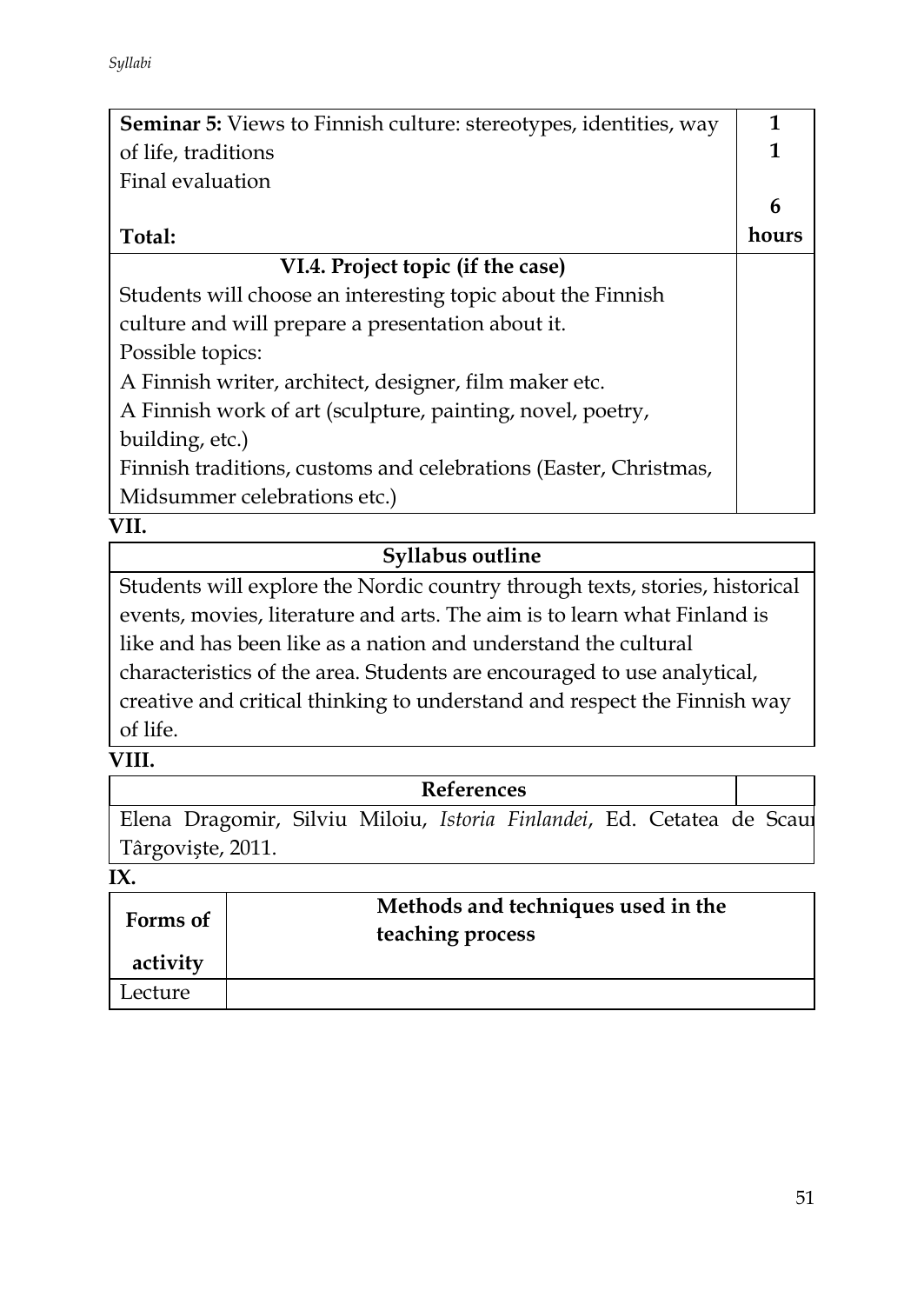| <b>Seminar 5:</b> Views to Finnish culture: stereotypes, identities, way | 1     |
|--------------------------------------------------------------------------|-------|
| of life, traditions                                                      | 1     |
| Final evaluation                                                         |       |
|                                                                          | 6     |
| Total:                                                                   | hours |
| VI.4. Project topic (if the case)                                        |       |
| Students will choose an interesting topic about the Finnish              |       |
| culture and will prepare a presentation about it.                        |       |
| Possible topics:                                                         |       |
| A Finnish writer, architect, designer, film maker etc.                   |       |
| A Finnish work of art (sculpture, painting, novel, poetry,               |       |
| building, etc.)                                                          |       |
| Finnish traditions, customs and celebrations (Easter, Christmas,         |       |
| Midsummer celebrations etc.)                                             |       |

# **Syllabus outline**

Students will explore the Nordic country through texts, stories, historical events, movies, literature and arts. The aim is to learn what Finland is like and has been like as a nation and understand the cultural characteristics of the area. Students are encouraged to use analytical, creative and critical thinking to understand and respect the Finnish way of life.

### **VIII.**

|                                                                        |  | <b>References</b> |  |  |  |
|------------------------------------------------------------------------|--|-------------------|--|--|--|
| Elena Dragomir, Silviu Miloiu, Istoria Finlandei, Ed. Cetatea de Scaur |  |                   |  |  |  |
| Târgoviște, 2011.                                                      |  |                   |  |  |  |

**IX.** 

| Forms of | Methods and techniques used in the<br>teaching process |
|----------|--------------------------------------------------------|
| activity |                                                        |
| Lecture  |                                                        |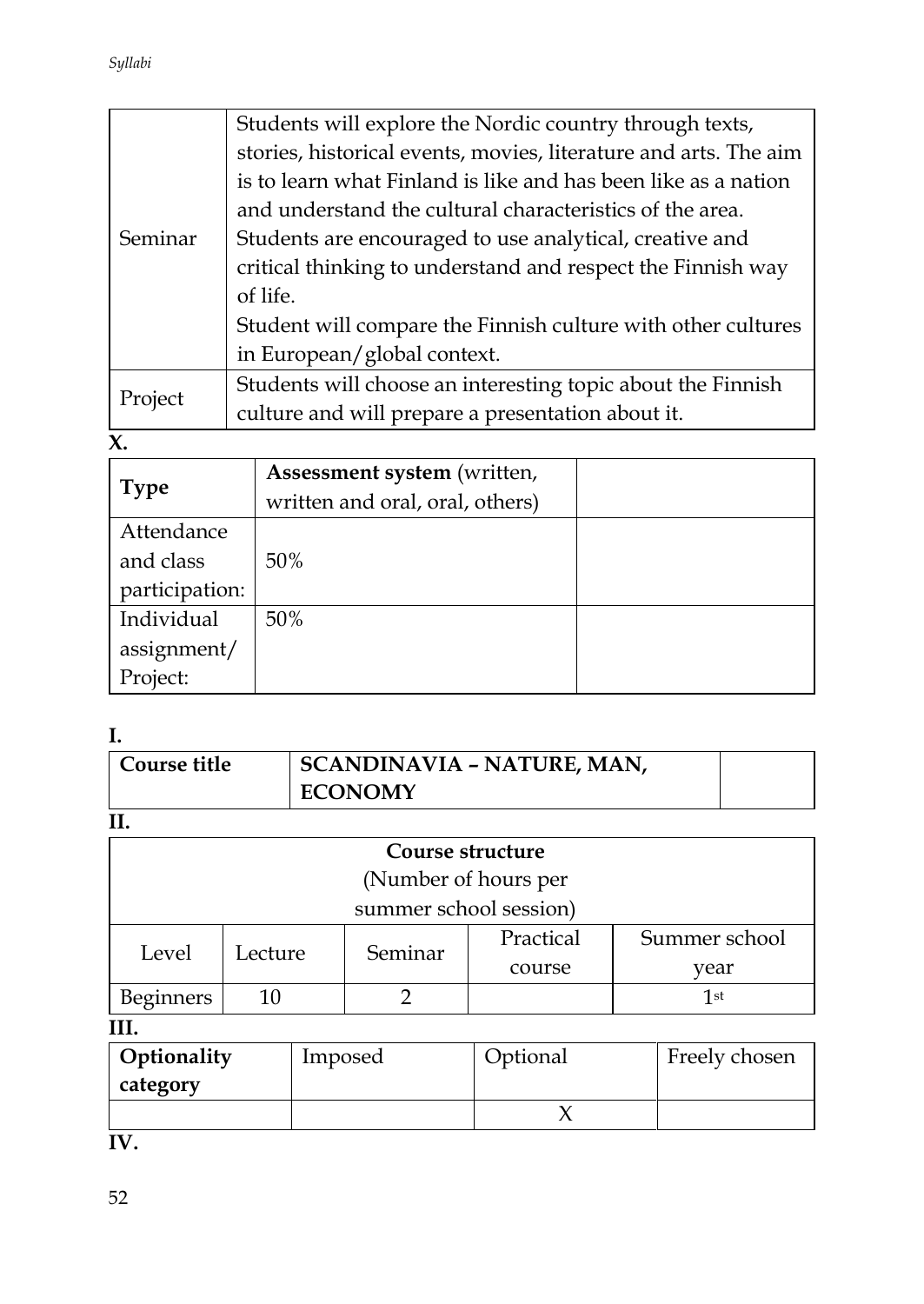|         | Students will explore the Nordic country through texts,          |  |
|---------|------------------------------------------------------------------|--|
|         | stories, historical events, movies, literature and arts. The aim |  |
|         | is to learn what Finland is like and has been like as a nation   |  |
|         | and understand the cultural characteristics of the area.         |  |
| Seminar | Students are encouraged to use analytical, creative and          |  |
|         | critical thinking to understand and respect the Finnish way      |  |
|         | of life.                                                         |  |
|         | Student will compare the Finnish culture with other cultures     |  |
|         | in European/global context.                                      |  |
|         | Students will choose an interesting topic about the Finnish      |  |
| Project | culture and will prepare a presentation about it.                |  |

**X.** 

|                | Assessment system (written,     |  |
|----------------|---------------------------------|--|
| <b>Type</b>    | written and oral, oral, others) |  |
| Attendance     |                                 |  |
| and class      | 50%                             |  |
| participation: |                                 |  |
| Individual     | 50%                             |  |
| assignment/    |                                 |  |
| Project:       |                                 |  |

# **I.**

| Course title | SCANDINAVIA - NATURE, MAN, |  |
|--------------|----------------------------|--|
|              | <b>ECONOMY</b>             |  |

**II.**

| ---                    |                      |         |           |               |  |
|------------------------|----------------------|---------|-----------|---------------|--|
| Course structure       |                      |         |           |               |  |
|                        | (Number of hours per |         |           |               |  |
| summer school session) |                      |         |           |               |  |
| Level                  | Lecture              | Seminar | Practical | Summer school |  |
|                        |                      |         | course    | year          |  |
| <b>Beginners</b>       |                      |         |           | 1st           |  |

# **III.**

| Optionality | Imposed | Optional | Freely chosen |
|-------------|---------|----------|---------------|
| category    |         |          |               |
|             |         |          |               |

**IV.**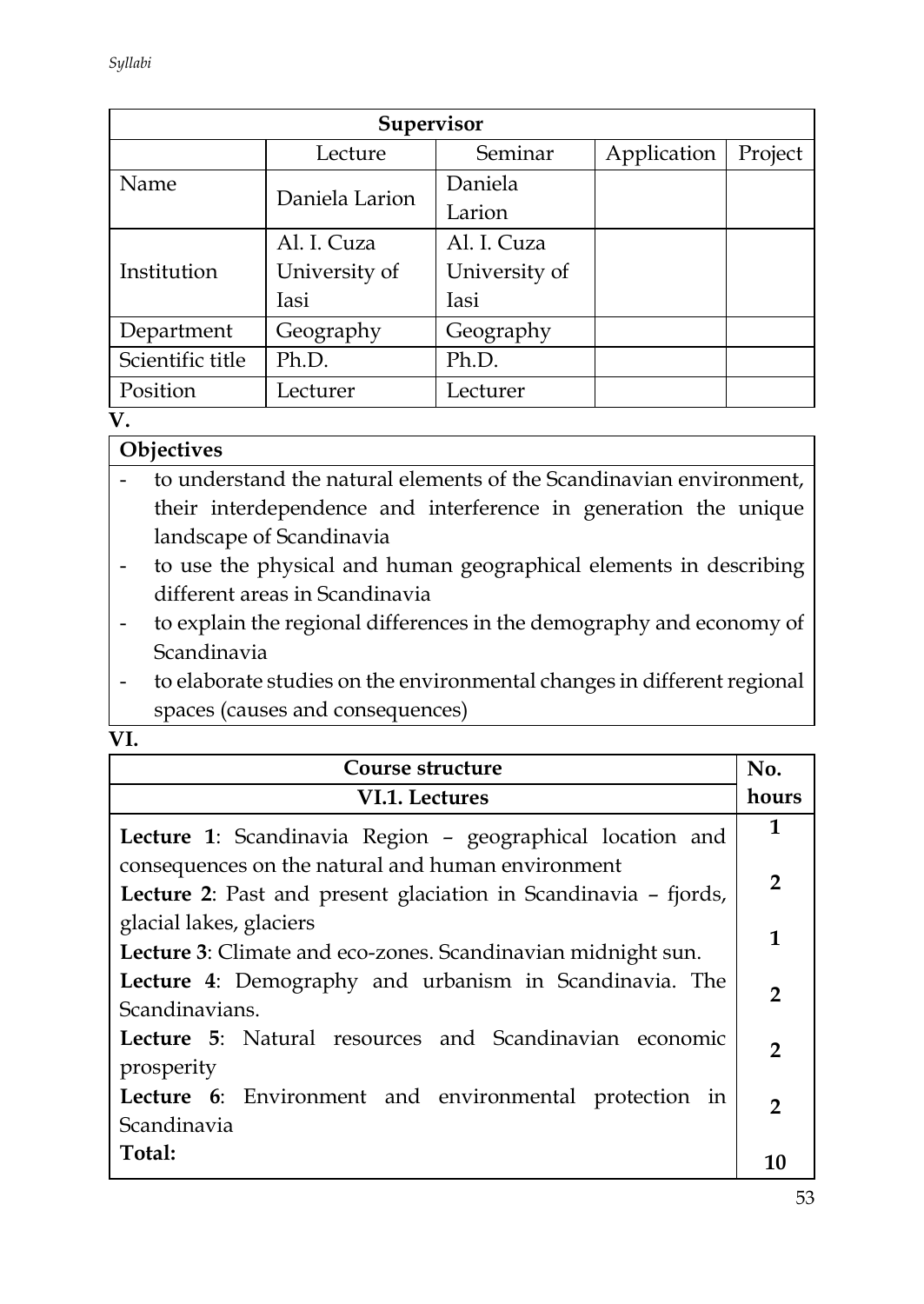| <b>Supervisor</b> |                |               |             |         |  |
|-------------------|----------------|---------------|-------------|---------|--|
|                   | Lecture        | Seminar       | Application | Project |  |
| Name              | Daniela Larion | Daniela       |             |         |  |
|                   |                | Larion        |             |         |  |
|                   | Al. I. Cuza    | Al. I. Cuza   |             |         |  |
| Institution       | University of  | University of |             |         |  |
|                   | <b>Iasi</b>    | Iasi          |             |         |  |
| Department        | Geography      | Geography     |             |         |  |
| Scientific title  | Ph.D.          | Ph.D.         |             |         |  |
| Position          | Lecturer       | Lecturer      |             |         |  |

### **V.**

# **Objectives**

- to understand the natural elements of the Scandinavian environment, their interdependence and interference in generation the unique landscape of Scandinavia
- to use the physical and human geographical elements in describing different areas in Scandinavia
- to explain the regional differences in the demography and economy of Scandinavia
- to elaborate studies on the environmental changes in different regional spaces (causes and consequences)
- **VI.**

| Course structure                                                |                |  |
|-----------------------------------------------------------------|----------------|--|
| VI.1. Lectures                                                  | hours          |  |
| Lecture 1: Scandinavia Region - geographical location and       | $\mathbf{1}$   |  |
| consequences on the natural and human environment               | $\overline{2}$ |  |
| Lecture 2: Past and present glaciation in Scandinavia - fjords, |                |  |
| glacial lakes, glaciers                                         | 1              |  |
| Lecture 3: Climate and eco-zones. Scandinavian midnight sun.    |                |  |
| Lecture 4: Demography and urbanism in Scandinavia. The          |                |  |
| Scandinavians.                                                  |                |  |
| Lecture 5: Natural resources and Scandinavian economic          |                |  |
| prosperity                                                      | $\overline{2}$ |  |
| Lecture 6: Environment and environmental protection in          |                |  |
| Scandinavia                                                     | $\mathcal{P}$  |  |
| Total:                                                          |                |  |
|                                                                 | 10             |  |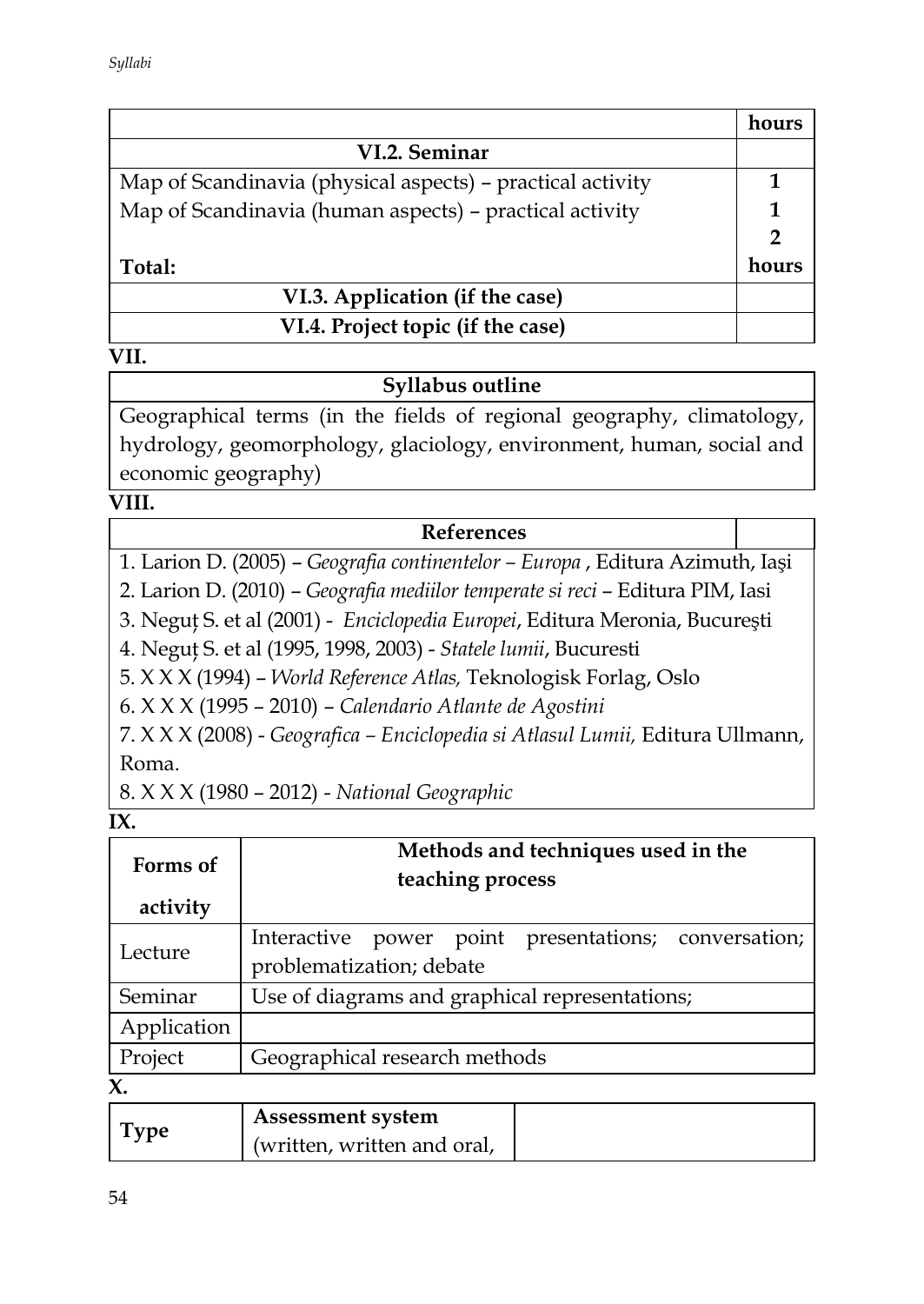|                                                            | hours |
|------------------------------------------------------------|-------|
| VI.2. Seminar                                              |       |
| Map of Scandinavia (physical aspects) - practical activity |       |
| Map of Scandinavia (human aspects) – practical activity    |       |
|                                                            | 2     |
| Total:                                                     | hours |
| VI.3. Application (if the case)                            |       |
| VI.4. Project topic (if the case)                          |       |

### **Syllabus outline**

Geographical terms (in the fields of regional geography, climatology, hydrology, geomorphology, glaciology, environment, human, social and economic geography)

### **VIII.**

### **References**

1. Larion D. (2005) – *Geografia continentelor – Europa* , Editura Azimuth, Iaşi

2. Larion D. (2010) – *Geografia mediilor temperate si reci* – Editura PIM, Iasi

3. Neguţ S. et al (2001) - *Enciclopedia Europei*, Editura Meronia, Bucureşti

4. Neguţ S. et al (1995, 1998, 2003) - *Statele lumii*, Bucuresti

5. X X X (1994) – *World Reference Atlas,* Teknologisk Forlag, Oslo

6. X X X (1995 – 2010) – *Calendario Atlante de Agostini*

7. X X X (2008) - *Geografica – Enciclopedia si Atlasul Lumii,* Editura Ullmann, Roma.

8. X X X (1980 – 2012) - *National Geographic*

#### **IX.**

| Forms of<br>activity | Methods and techniques used in the<br>teaching process                           |  |
|----------------------|----------------------------------------------------------------------------------|--|
| Lecture              | Interactive power point presentations; conversation;<br>problematization; debate |  |
| Seminar              | Use of diagrams and graphical representations;                                   |  |
| Application          |                                                                                  |  |
| Project              | Geographical research methods                                                    |  |

**X.** 

|      | <b>Assessment system</b>    |  |
|------|-----------------------------|--|
| Type | (written, written and oral, |  |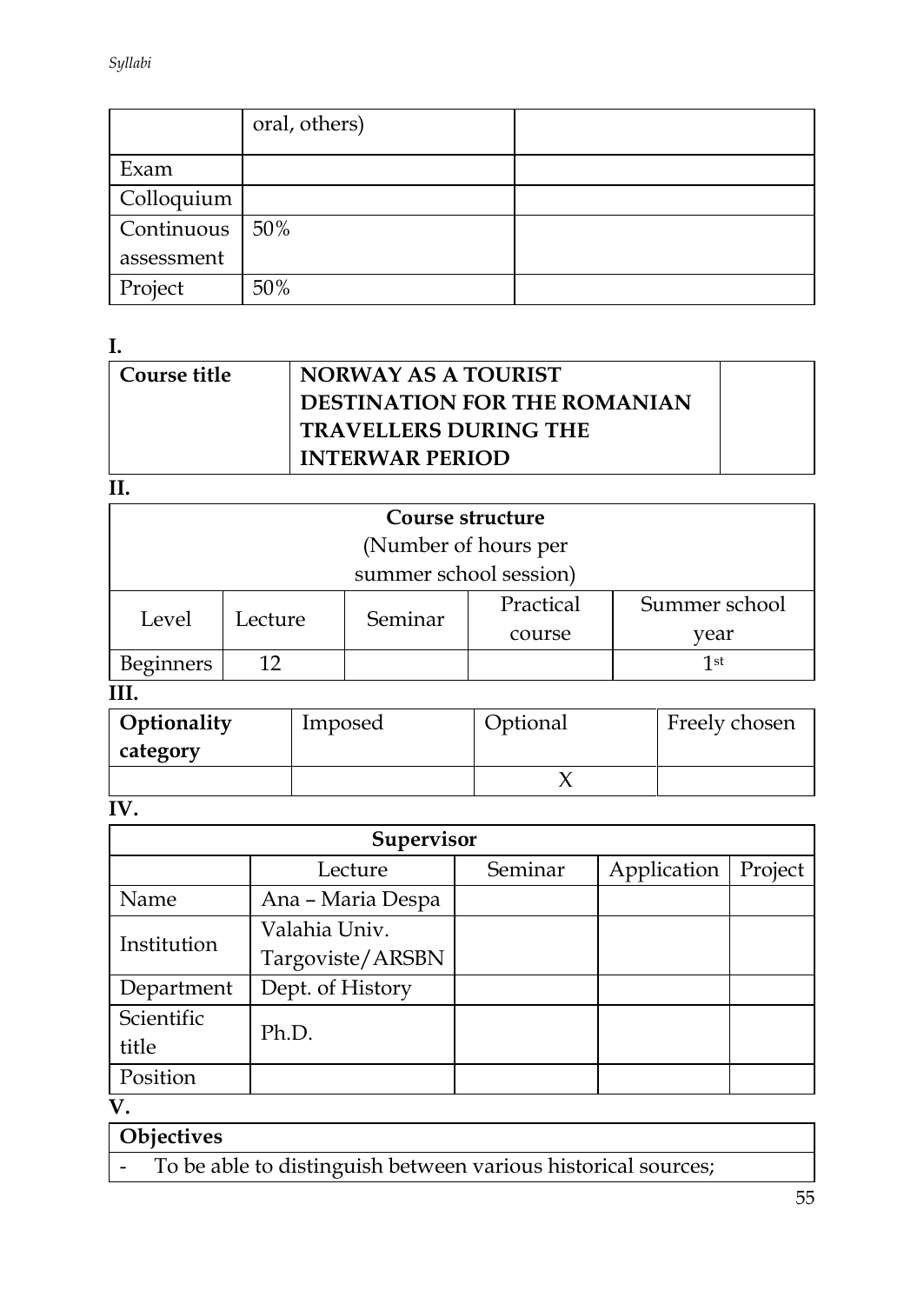|            | oral, others) |  |
|------------|---------------|--|
| Exam       |               |  |
| Colloquium |               |  |
| Continuous | 50%           |  |
| assessment |               |  |
| Project    | 50%           |  |

**I.** 

| Course title | NORWAY AS A TOURIST                 |  |
|--------------|-------------------------------------|--|
|              | <b>DESTINATION FOR THE ROMANIAN</b> |  |
|              | <b>TRAVELLERS DURING THE</b>        |  |
|              | <b>INTERWAR PERIOD</b>              |  |

**II.**

| Course structure       |         |         |           |               |  |  |
|------------------------|---------|---------|-----------|---------------|--|--|
| (Number of hours per   |         |         |           |               |  |  |
| summer school session) |         |         |           |               |  |  |
| Level                  | Lecture | Seminar | Practical | Summer school |  |  |
|                        |         |         | course    | vear          |  |  |
| <b>Beginners</b>       |         |         |           | 1st           |  |  |
|                        |         |         |           |               |  |  |

# **III.**

| Optionality | Imposed | Optional | Freely chosen |
|-------------|---------|----------|---------------|
| category    |         |          |               |
|             |         |          |               |

**IV.** 

| Supervisor  |                   |         |             |         |  |  |
|-------------|-------------------|---------|-------------|---------|--|--|
|             | Lecture           | Seminar | Application | Project |  |  |
| Name        | Ana - Maria Despa |         |             |         |  |  |
| Institution | Valahia Univ.     |         |             |         |  |  |
|             | Targoviste/ARSBN  |         |             |         |  |  |
| Department  | Dept. of History  |         |             |         |  |  |
| Scientific  | Ph.D.             |         |             |         |  |  |
| title       |                   |         |             |         |  |  |
| Position    |                   |         |             |         |  |  |

**V.**

- To be able to distinguish between various historical sources;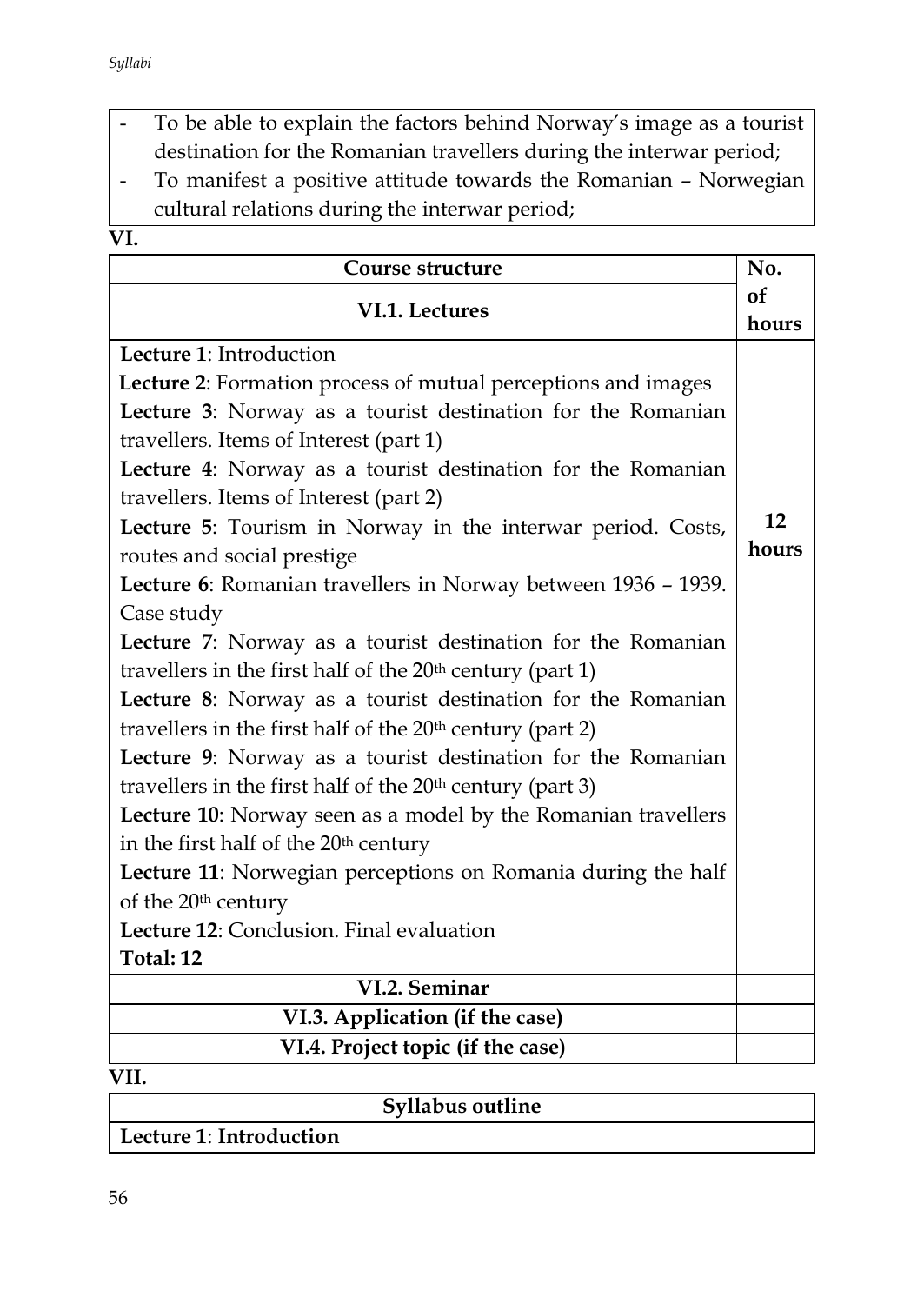- To be able to explain the factors behind Norway's image as a tourist destination for the Romanian travellers during the interwar period;
- To manifest a positive attitude towards the Romanian Norwegian cultural relations during the interwar period;
- $\overline{\mathbf{VI}}$

| Course structure                                                      | No.   |
|-----------------------------------------------------------------------|-------|
| VI.1. Lectures                                                        | of    |
|                                                                       | hours |
| Lecture 1: Introduction                                               |       |
| Lecture 2: Formation process of mutual perceptions and images         |       |
| Lecture 3: Norway as a tourist destination for the Romanian           |       |
| travellers. Items of Interest (part 1)                                |       |
| Lecture 4: Norway as a tourist destination for the Romanian           |       |
| travellers. Items of Interest (part 2)                                |       |
| Lecture 5: Tourism in Norway in the interwar period. Costs,           | 12    |
| routes and social prestige                                            | hours |
| Lecture 6: Romanian travellers in Norway between 1936 - 1939.         |       |
| Case study                                                            |       |
| Lecture 7: Norway as a tourist destination for the Romanian           |       |
| travellers in the first half of the $20th$ century (part 1)           |       |
| Lecture 8: Norway as a tourist destination for the Romanian           |       |
| travellers in the first half of the 20 <sup>th</sup> century (part 2) |       |
| Lecture 9: Norway as a tourist destination for the Romanian           |       |
| travellers in the first half of the $20th$ century (part 3)           |       |
| Lecture 10: Norway seen as a model by the Romanian travellers         |       |
| in the first half of the 20th century                                 |       |
| Lecture 11: Norwegian perceptions on Romania during the half          |       |
| of the 20 <sup>th</sup> century                                       |       |
| Lecture 12: Conclusion. Final evaluation                              |       |
| Total: 12                                                             |       |
| VI.2. Seminar                                                         |       |
| VI.3. Application (if the case)                                       |       |
| VI.4. Project topic (if the case)                                     |       |

**Syllabus outline**

**Lecture 1**: **Introduction**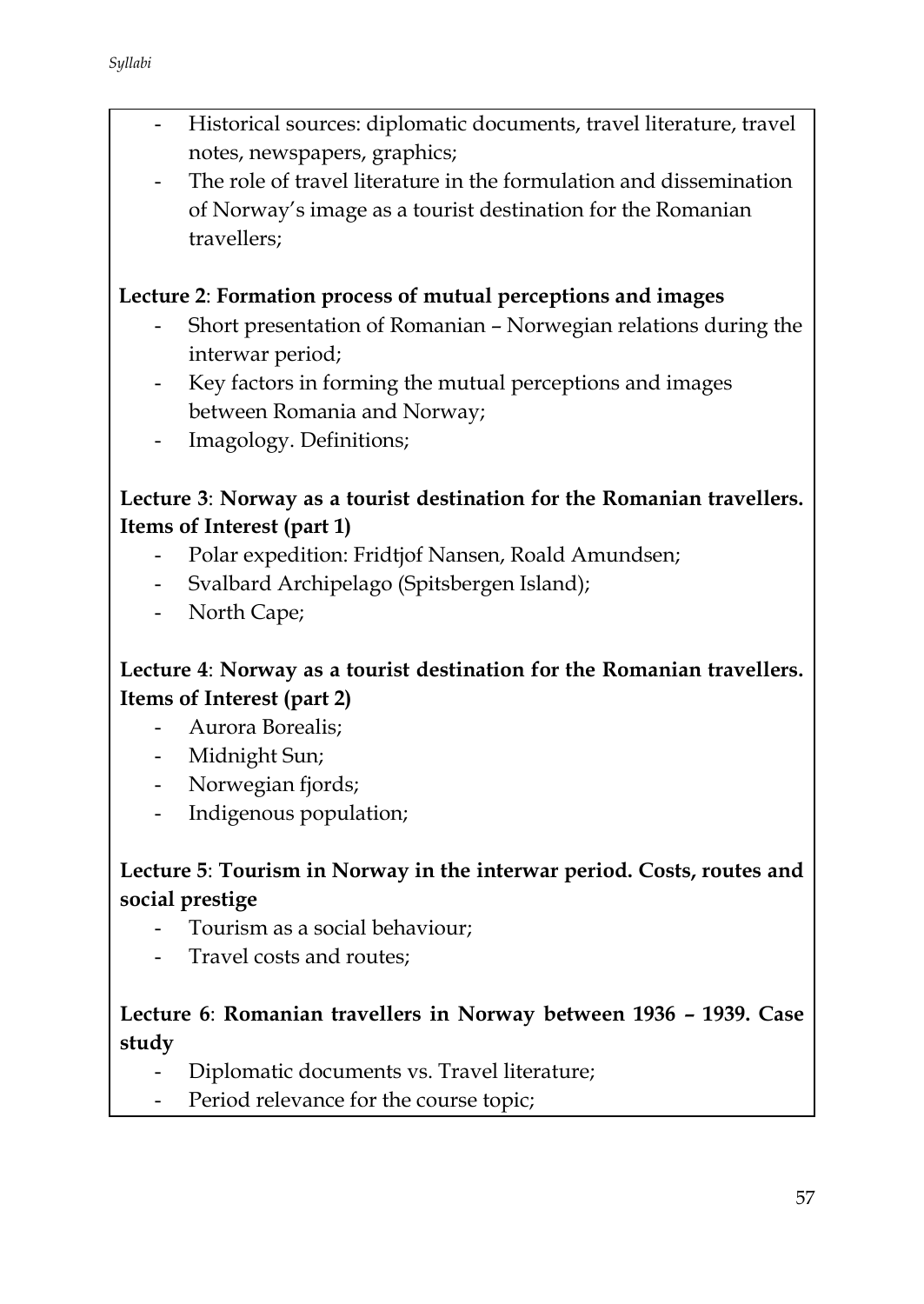- Historical sources: diplomatic documents, travel literature, travel notes, newspapers, graphics;
- The role of travel literature in the formulation and dissemination of Norway's image as a tourist destination for the Romanian travellers;

### **Lecture 2**: **Formation process of mutual perceptions and images**

- Short presentation of Romanian Norwegian relations during the interwar period;
- Key factors in forming the mutual perceptions and images between Romania and Norway;
- Imagology. Definitions;

### **Lecture 3**: **Norway as a tourist destination for the Romanian travellers. Items of Interest (part 1)**

- Polar expedition: Fridtjof Nansen, Roald Amundsen;
- Svalbard Archipelago (Spitsbergen Island);
- North Cape;

# **Lecture 4**: **Norway as a tourist destination for the Romanian travellers. Items of Interest (part 2)**

- Aurora Borealis;
- Midnight Sun;
- Norwegian fjords;
- Indigenous population;

# **Lecture 5**: **Tourism in Norway in the interwar period. Costs, routes and social prestige**

- Tourism as a social behaviour;
- Travel costs and routes;

# **Lecture 6**: **Romanian travellers in Norway between 1936 – 1939. Case study**

- Diplomatic documents vs. Travel literature;
- Period relevance for the course topic;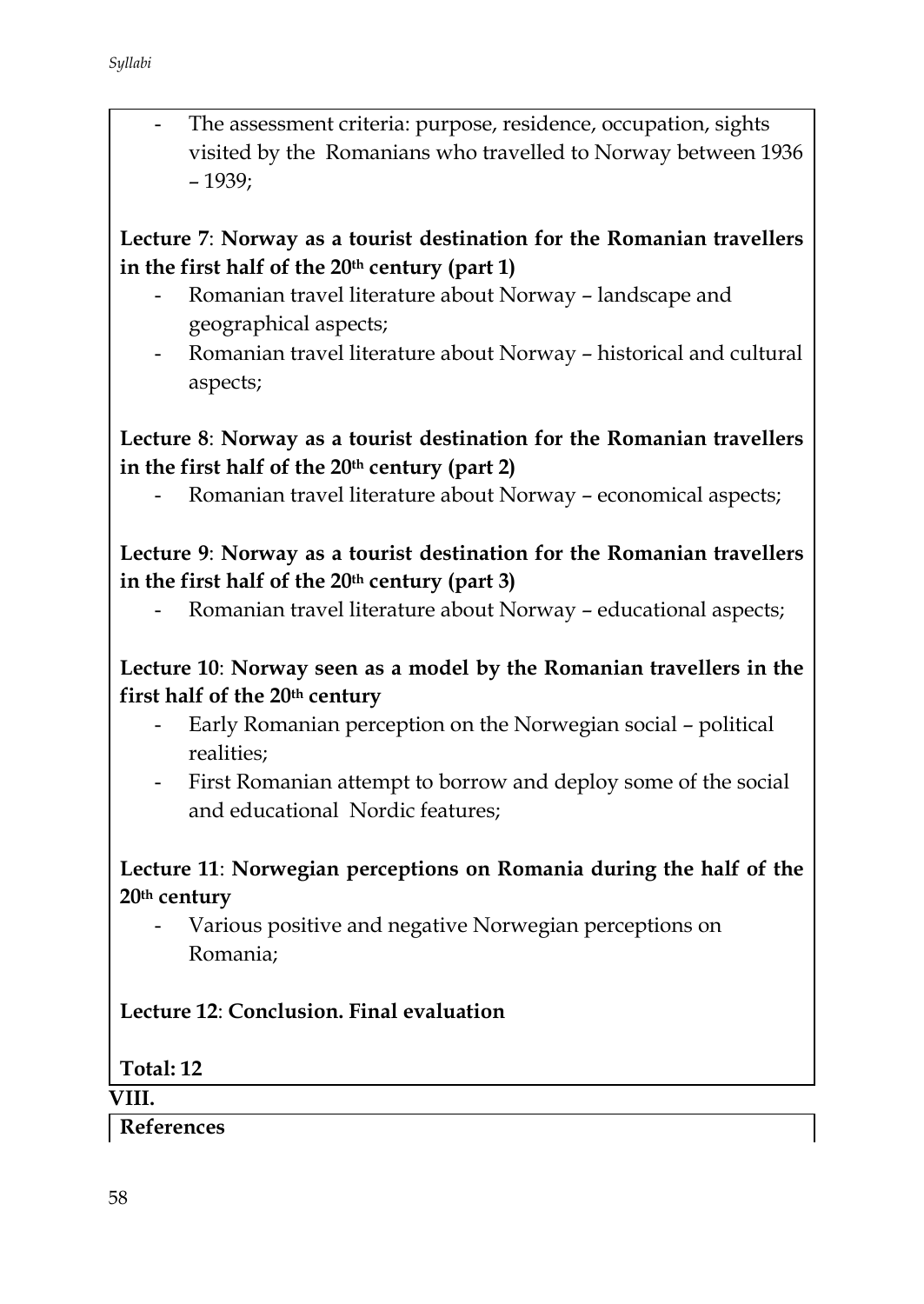The assessment criteria: purpose, residence, occupation, sights visited by the Romanians who travelled to Norway between 1936 – 1939;

# **Lecture 7**: **Norway as a tourist destination for the Romanian travellers in the first half of the 20th century (part 1)**

- Romanian travel literature about Norway landscape and geographical aspects;
- Romanian travel literature about Norway historical and cultural aspects;

# **Lecture 8**: **Norway as a tourist destination for the Romanian travellers in the first half of the 20th century (part 2)**

Romanian travel literature about Norway - economical aspects;

# **Lecture 9**: **Norway as a tourist destination for the Romanian travellers in the first half of the 20th century (part 3)**

Romanian travel literature about Norway - educational aspects;

### **Lecture 10**: **Norway seen as a model by the Romanian travellers in the first half of the 20th century**

- Early Romanian perception on the Norwegian social political realities;
- First Romanian attempt to borrow and deploy some of the social and educational Nordic features;

# **Lecture 11**: **Norwegian perceptions on Romania during the half of the 20th century**

Various positive and negative Norwegian perceptions on Romania;

# **Lecture 12**: **Conclusion. Final evaluation**

### **Total: 12**

#### **VIII.**

### **References**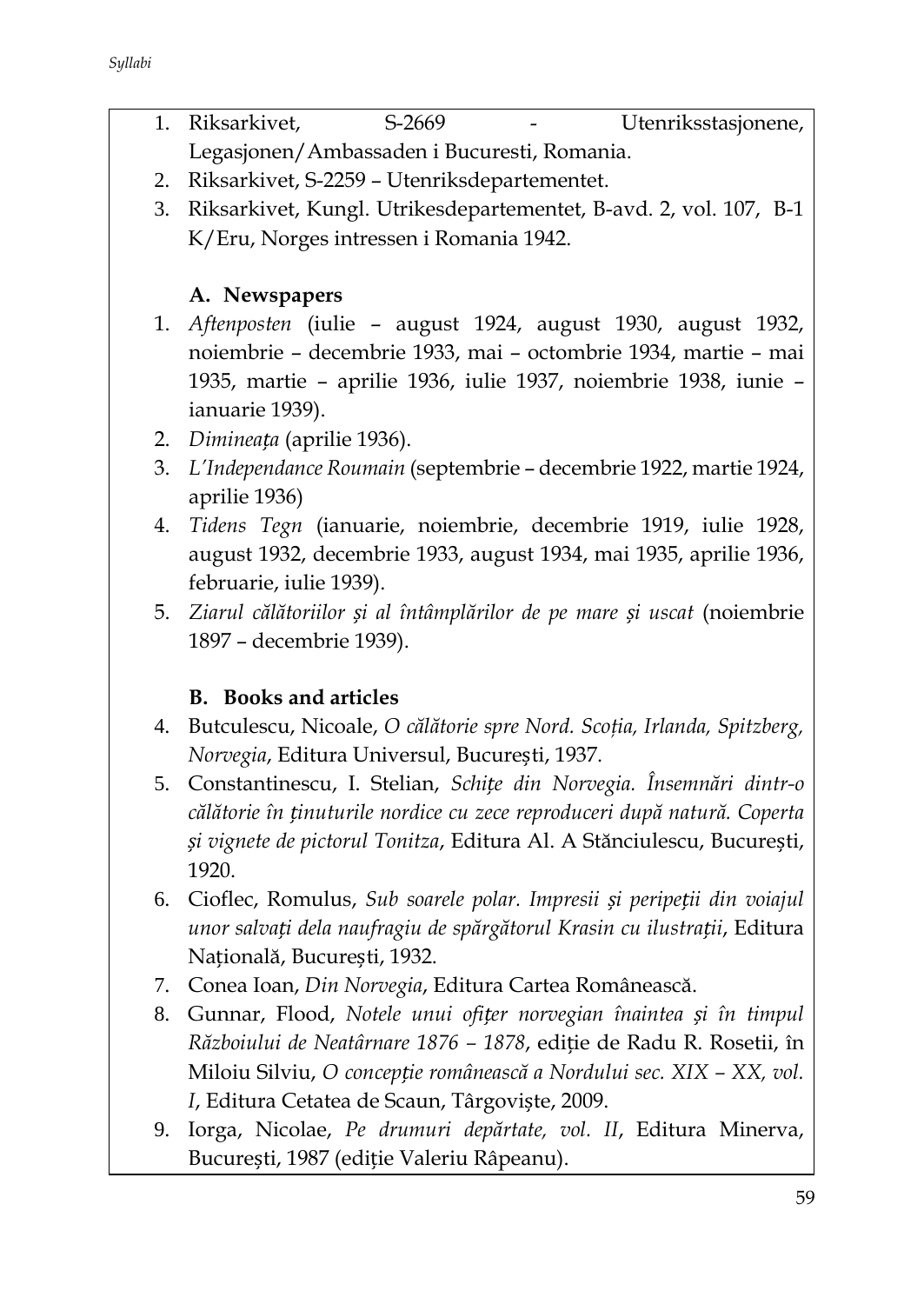- 1. Riksarkivet, S-2669 Utenriksstasjonene, Legasjonen/Ambassaden i Bucuresti, Romania.
- 2. Riksarkivet, S-2259 Utenriksdepartementet.
- 3. Riksarkivet, Kungl. Utrikesdepartementet, B-avd. 2, vol. 107, B-1 K/Eru, Norges intressen i Romania 1942.

# **A. Newspapers**

- 1. *Aftenposten* (iulie august 1924, august 1930, august 1932, noiembrie – decembrie 1933, mai – octombrie 1934, martie – mai 1935, martie – aprilie 1936, iulie 1937, noiembrie 1938, iunie – ianuarie 1939).
- 2. *Dimineața* (aprilie 1936).
- 3. *L'Independance Roumain* (septembrie decembrie 1922, martie 1924, aprilie 1936)
- 4. *Tidens Tegn* (ianuarie, noiembrie, decembrie 1919, iulie 1928, august 1932, decembrie 1933, august 1934, mai 1935, aprilie 1936, februarie, iulie 1939).
- 5. *Ziarul călătoriilor și al întâmplărilor de pe mare și uscat* (noiembrie 1897 – decembrie 1939).

# **B. Books and articles**

- 4. Butculescu, Nicoale, *O călătorie spre Nord. Scoţia, Irlanda, Spitzberg, Norvegia*, Editura Universul, București, 1937.
- 5. Constantinescu, I. Stelian, *Schițe din Norvegia. Însemnări dintr-o călătorie în ținuturile nordice cu zece reproduceri după natură. Coperta și vignete de pictorul Tonitza*, Editura Al. A Stănciulescu, București, 1920.
- 6. Cioflec, Romulus, *Sub soarele polar. Impresii și peripeții din voiajul unor salvați dela naufragiu de spărgătorul Krasin cu ilustrații*, Editura Națională, București, 1932.
- 7. Conea Ioan, *Din Norvegia*, Editura Cartea Românească.
- 8. Gunnar, Flood, *Notele unui ofițer norvegian înaintea și în timpul Războiului de Neatârnare 1876 – 1878*, ediție de Radu R. Rosetii, în Miloiu Silviu, *O concepție românească a Nordului sec. XIX – XX, vol. I*, Editura Cetatea de Scaun, Târgoviște, 2009.
- 9. Iorga, Nicolae, *Pe drumuri depărtate, vol. II*, Editura Minerva, București, 1987 (ediție Valeriu Râpeanu).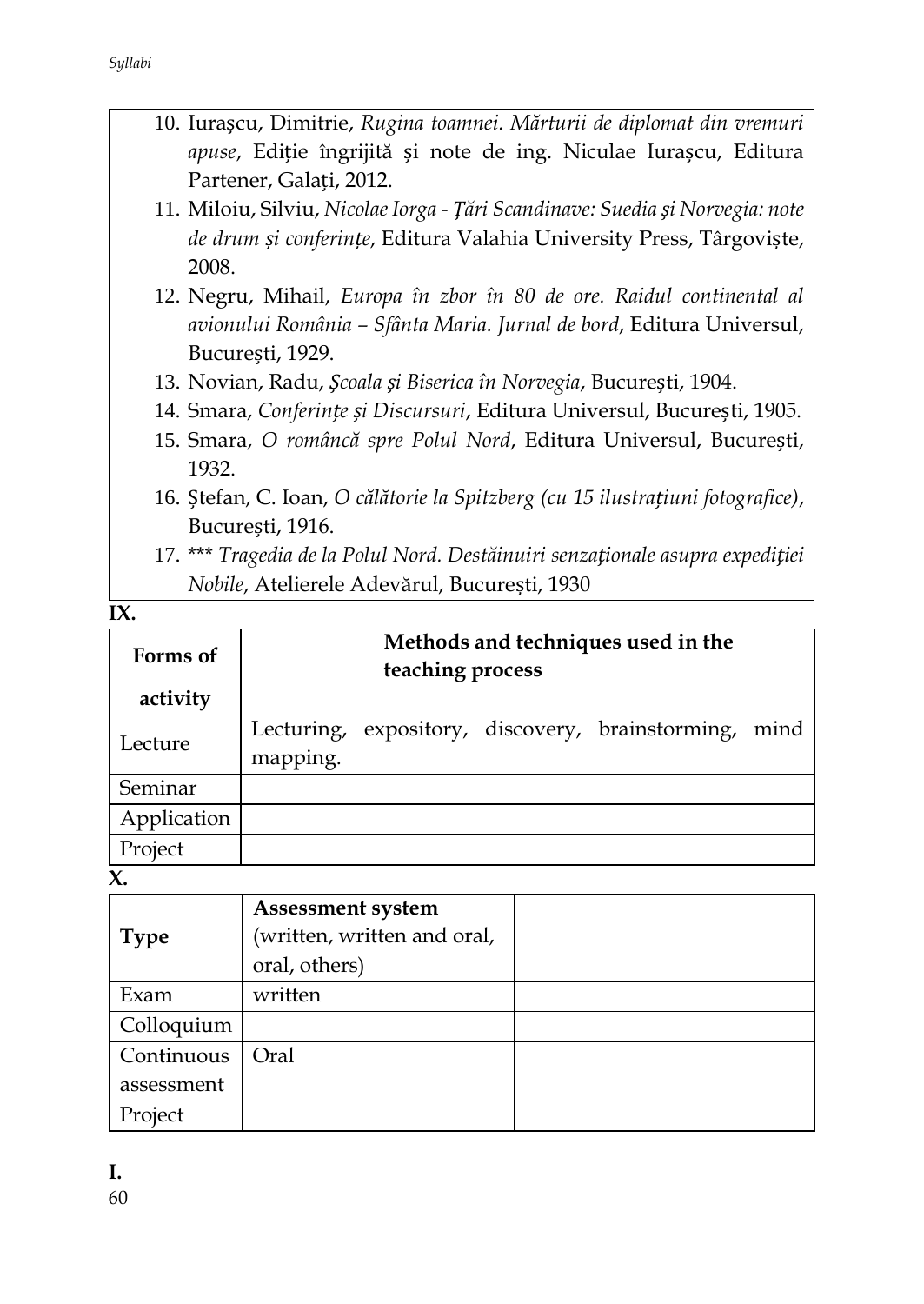|  |                         |  |  | 10. Iurașcu, Dimitrie, Rugina toamnei. Mărturii de diplomat din vremuri  |  |
|--|-------------------------|--|--|--------------------------------------------------------------------------|--|
|  |                         |  |  | <i>apuse</i> , Ediție îngrijită și note de ing. Niculae Iurașcu, Editura |  |
|  | Partener, Galați, 2012. |  |  |                                                                          |  |

- 11. Miloiu, Silviu, *Nicolae Iorga - Țări Scandinave: Suedia și Norvegia: note de drum și conferințe*, Editura Valahia University Press, Târgoviște, 2008.
- 12. Negru, Mihail, *Europa în zbor în 80 de ore. Raidul continental al avionului România – Sfânta Maria. Jurnal de bord*, Editura Universul, București, 1929.
- 13. Novian, Radu, *Școala și Biserica în Norvegia*, București, 1904.
- 14. Smara, *Conferințe și Discursuri*, Editura Universul, București, 1905.
- 15. Smara, *O româncă spre Polul Nord*, Editura Universul, București, 1932.
- 16. Ștefan, C. Ioan, *O călătorie la Spitzberg (cu 15 ilustrațiuni fotografice)*, București, 1916.
- 17. \*\*\* *Tragedia de la Polul Nord. Destăinuiri senzaționale asupra expediției Nobile*, Atelierele Adevărul, București, 1930

**IX** 

| Forms of    | Methods and techniques used in the<br>teaching process |  |  |                                       |      |
|-------------|--------------------------------------------------------|--|--|---------------------------------------|------|
| activity    |                                                        |  |  |                                       |      |
| Lecture     | Lecturing,                                             |  |  | expository, discovery, brainstorming, | mind |
|             | mapping.                                               |  |  |                                       |      |
| Seminar     |                                                        |  |  |                                       |      |
| Application |                                                        |  |  |                                       |      |
| Project     |                                                        |  |  |                                       |      |
|             |                                                        |  |  |                                       |      |

**X.** 

| <b>Type</b> | <b>Assessment system</b><br>(written, written and oral,<br>oral, others) |  |
|-------------|--------------------------------------------------------------------------|--|
| Exam        | written                                                                  |  |
| Colloquium  |                                                                          |  |
| Continuous  | Oral                                                                     |  |
| assessment  |                                                                          |  |
| Project     |                                                                          |  |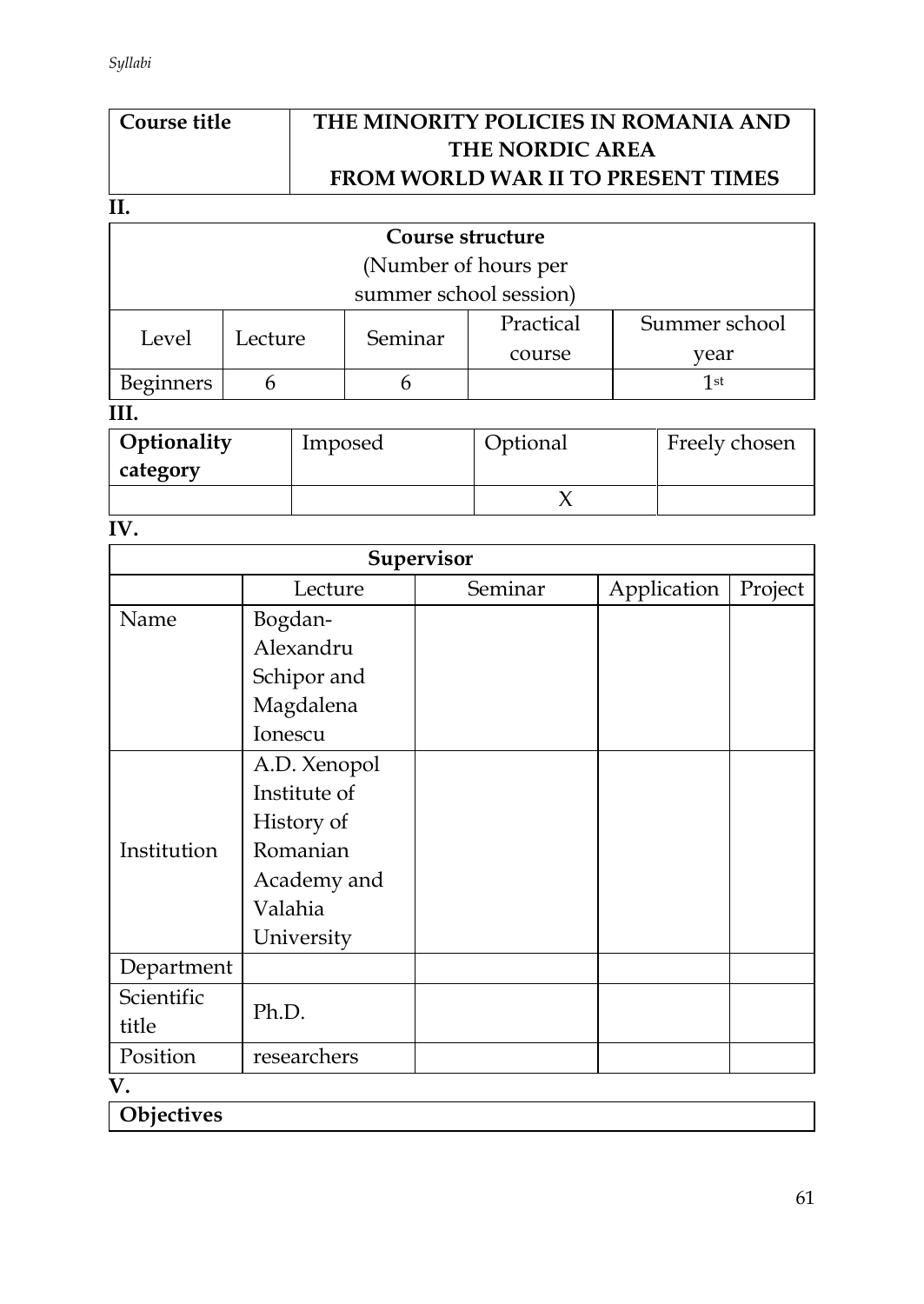# **Course title THE MINORITY POLICIES IN ROMANIA AND THE NORDIC AREA FROM WORLD WAR II TO PRESENT TIMES**

#### **II.**

| Course structure        |                        |         |           |               |  |  |  |
|-------------------------|------------------------|---------|-----------|---------------|--|--|--|
|                         | (Number of hours per   |         |           |               |  |  |  |
|                         | summer school session) |         |           |               |  |  |  |
| Level                   | Lecture                | Seminar | Practical | Summer school |  |  |  |
|                         |                        |         | course    | vear          |  |  |  |
| <b>Beginners</b><br>1st |                        |         |           |               |  |  |  |
|                         |                        |         |           |               |  |  |  |

| Optionality<br>category | Imposed | Optional | Freely chosen |
|-------------------------|---------|----------|---------------|
|                         |         |          |               |

# **IV.**

| Supervisor             |  |  |  |  |  |
|------------------------|--|--|--|--|--|
| Application<br>Project |  |  |  |  |  |
|                        |  |  |  |  |  |
|                        |  |  |  |  |  |
|                        |  |  |  |  |  |
|                        |  |  |  |  |  |
|                        |  |  |  |  |  |
|                        |  |  |  |  |  |
|                        |  |  |  |  |  |
|                        |  |  |  |  |  |
|                        |  |  |  |  |  |
|                        |  |  |  |  |  |
|                        |  |  |  |  |  |
|                        |  |  |  |  |  |
|                        |  |  |  |  |  |
|                        |  |  |  |  |  |
|                        |  |  |  |  |  |
|                        |  |  |  |  |  |
|                        |  |  |  |  |  |
|                        |  |  |  |  |  |

**Objectives**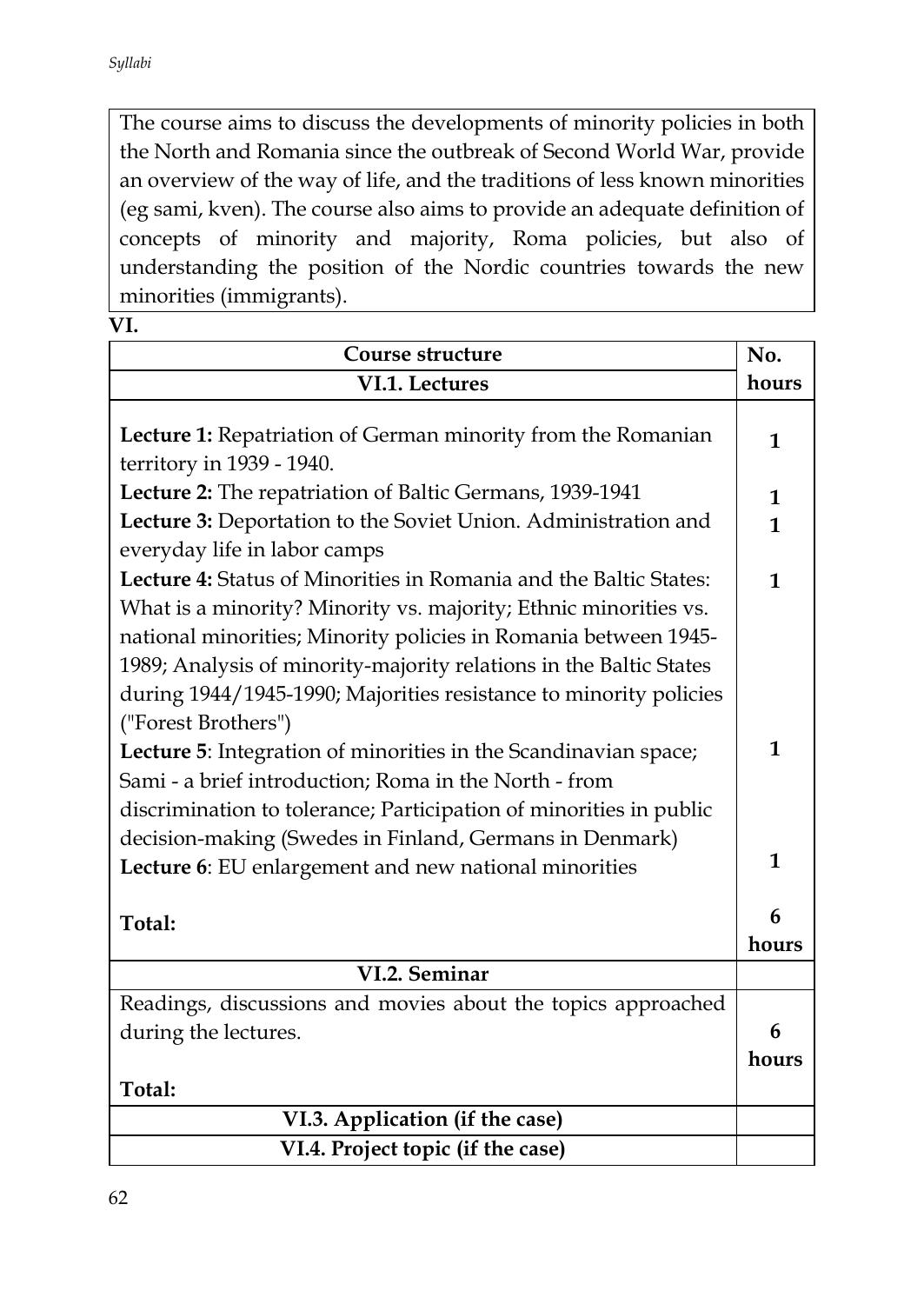The course aims to discuss the developments of minority policies in both the North and Romania since the outbreak of Second World War, provide an overview of the way of life, and the traditions of less known minorities (eg sami, kven). The course also aims to provide an adequate definition of concepts of minority and majority, Roma policies, but also of understanding the position of the Nordic countries towards the new minorities (immigrants).

| $\sim$ |  |
|--------|--|
|--------|--|

| Course structure                                                                                                                                                                                                                                                               |            |  |  |
|--------------------------------------------------------------------------------------------------------------------------------------------------------------------------------------------------------------------------------------------------------------------------------|------------|--|--|
| VI.1. Lectures                                                                                                                                                                                                                                                                 | hours      |  |  |
| Lecture 1: Repatriation of German minority from the Romanian<br>territory in 1939 - 1940.                                                                                                                                                                                      | 1          |  |  |
| Lecture 2: The repatriation of Baltic Germans, 1939-1941                                                                                                                                                                                                                       | 1          |  |  |
| Lecture 3: Deportation to the Soviet Union. Administration and<br>everyday life in labor camps                                                                                                                                                                                 | 1          |  |  |
| Lecture 4: Status of Minorities in Romania and the Baltic States:<br>What is a minority? Minority vs. majority; Ethnic minorities vs.<br>national minorities; Minority policies in Romania between 1945-<br>1989; Analysis of minority-majority relations in the Baltic States | 1          |  |  |
| during 1944/1945-1990; Majorities resistance to minority policies<br>("Forest Brothers")<br>Lecture 5: Integration of minorities in the Scandinavian space;<br>Sami - a brief introduction; Roma in the North - from                                                           | 1          |  |  |
| discrimination to tolerance; Participation of minorities in public<br>decision-making (Swedes in Finland, Germans in Denmark)<br>Lecture 6: EU enlargement and new national minorities                                                                                         |            |  |  |
| Total:                                                                                                                                                                                                                                                                         | 6<br>hours |  |  |
| VI.2. Seminar                                                                                                                                                                                                                                                                  |            |  |  |
| Readings, discussions and movies about the topics approached<br>during the lectures.<br>Total:                                                                                                                                                                                 | 6<br>hours |  |  |
| VI.3. Application (if the case)                                                                                                                                                                                                                                                |            |  |  |
| VI.4. Project topic (if the case)                                                                                                                                                                                                                                              |            |  |  |